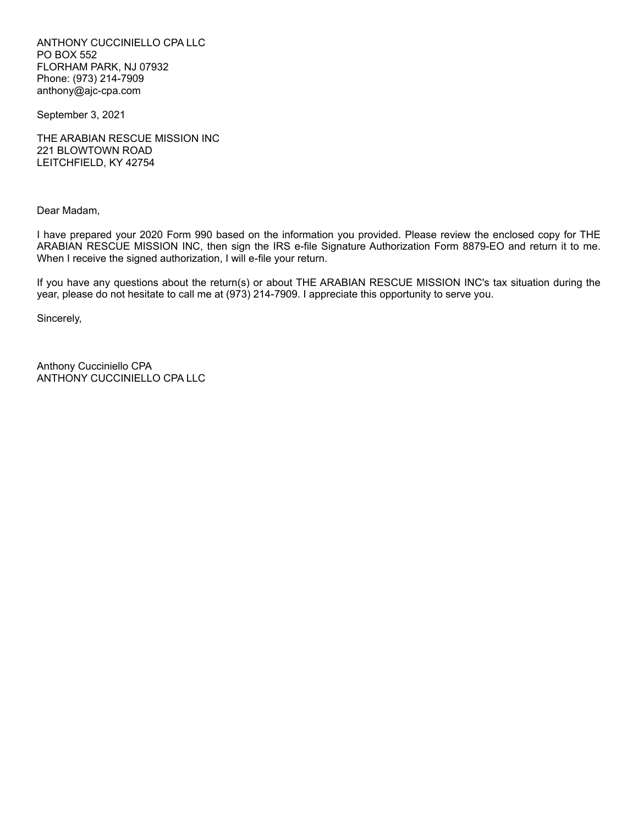ANTHONY CUCCINIELLO CPA LLC PO BOX 552 FLORHAM PARK, NJ 07932 Phone: (973) 214-7909 anthony@ajc-cpa.com

September 3, 2021

THE ARABIAN RESCUE MISSION INC 221 BLOWTOWN ROAD LEITCHFIELD, KY 42754

Dear Madam,

I have prepared your 2020 Form 990 based on the information you provided. Please review the enclosed copy for THE ARABIAN RESCUE MISSION INC, then sign the IRS e-file Signature Authorization Form 8879-EO and return it to me. When I receive the signed authorization, I will e-file your return.

If you have any questions about the return(s) or about THE ARABIAN RESCUE MISSION INC's tax situation during the year, please do not hesitate to call me at (973) 214-7909. I appreciate this opportunity to serve you.

Sincerely,

Anthony Cucciniello CPA ANTHONY CUCCINIELLO CPA LLC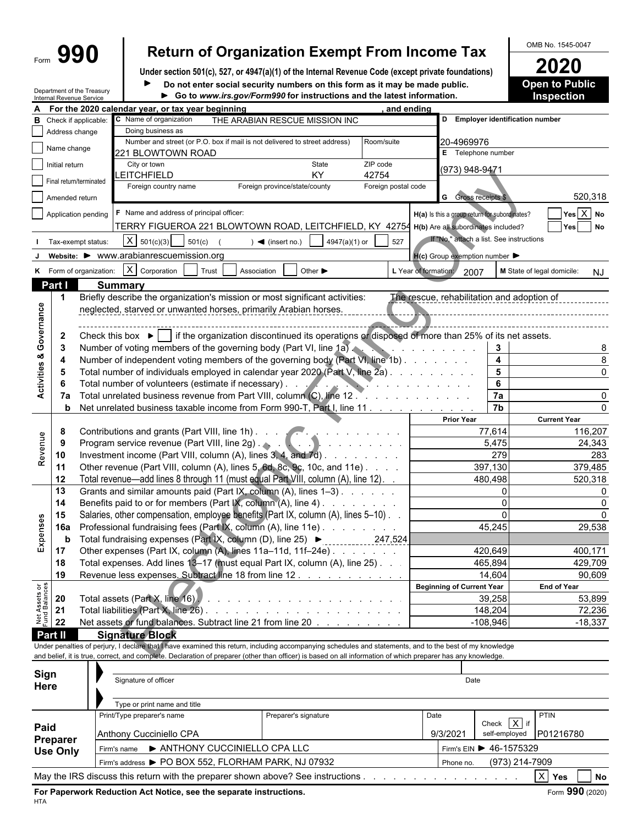# Form  $\left\{\begin{array}{c} \text{990} \\ \text{990} \end{array}\right\}$  Return of Organization Exempt From Income Tax Demands 1545-0047

**Under section 501(c), 527, or 4947(a)(1) of the Internal Revenue Code (except private foundations) 2020 Posible is also not independent in the solution of the Sublicial security numbers on this form as it may be made public**  $\blacktriangleright$ 

Department of the Treasury Internal Revenue Service

| Do not enter social security numbers on this form as it may be made public.                  |  |
|----------------------------------------------------------------------------------------------|--|
| $\blacktriangleright$ Go to www irs gov/Form990 for instructions and the latest information. |  |

**Go to** *www.irs.gov/Form990* **for instructions and the latest information. Inspection**

|                                | internal Revenue Service |                                                                      |                                                                                    |                                                                          | so to mmmmorgom unnoce for motivations and the ratest micromation.                                                                                                                                                                                                                                                       |                     |                                                                                                                                                                                                                                  |                                          |                                         |
|--------------------------------|--------------------------|----------------------------------------------------------------------|------------------------------------------------------------------------------------|--------------------------------------------------------------------------|--------------------------------------------------------------------------------------------------------------------------------------------------------------------------------------------------------------------------------------------------------------------------------------------------------------------------|---------------------|----------------------------------------------------------------------------------------------------------------------------------------------------------------------------------------------------------------------------------|------------------------------------------|-----------------------------------------|
|                                |                          |                                                                      | For the 2020 calendar year, or tax year beginning<br>C Name of organization        |                                                                          |                                                                                                                                                                                                                                                                                                                          | , and ending        |                                                                                                                                                                                                                                  | D Employer identification number         |                                         |
| в                              |                          | Check if applicable:                                                 | Doing business as                                                                  |                                                                          | THE ARABIAN RESCUE MISSION INC                                                                                                                                                                                                                                                                                           |                     |                                                                                                                                                                                                                                  |                                          |                                         |
|                                | Address change           |                                                                      |                                                                                    |                                                                          | Number and street (or P.O. box if mail is not delivered to street address)                                                                                                                                                                                                                                               | Room/suite          | 20-4969976                                                                                                                                                                                                                       |                                          |                                         |
|                                | Name change              |                                                                      | 221 BLOWTOWN ROAD                                                                  |                                                                          |                                                                                                                                                                                                                                                                                                                          |                     |                                                                                                                                                                                                                                  | E Telephone number                       |                                         |
|                                | Initial return           |                                                                      | City or town                                                                       |                                                                          | State                                                                                                                                                                                                                                                                                                                    | ZIP code            |                                                                                                                                                                                                                                  |                                          |                                         |
|                                |                          |                                                                      | LEITCHFIELD                                                                        |                                                                          | KY                                                                                                                                                                                                                                                                                                                       | 42754               | (973) 948-9471                                                                                                                                                                                                                   |                                          |                                         |
|                                | Final return/terminated  |                                                                      | Foreign country name                                                               |                                                                          | Foreign province/state/county                                                                                                                                                                                                                                                                                            | Foreign postal code |                                                                                                                                                                                                                                  |                                          |                                         |
|                                | Amended return           |                                                                      |                                                                                    |                                                                          |                                                                                                                                                                                                                                                                                                                          |                     |                                                                                                                                                                                                                                  | <b>G</b> Gross receipts \$               | 520,318                                 |
|                                |                          |                                                                      |                                                                                    |                                                                          |                                                                                                                                                                                                                                                                                                                          |                     |                                                                                                                                                                                                                                  |                                          |                                         |
|                                |                          | Application pending                                                  | F Name and address of principal officer:                                           |                                                                          |                                                                                                                                                                                                                                                                                                                          |                     | H(a) Is this a group return for subordinates?                                                                                                                                                                                    |                                          | $Yes \ X$ No                            |
|                                |                          |                                                                      |                                                                                    |                                                                          | TERRY FIGUEROA 221 BLOWTOWN ROAD, LEITCHFIELD, KY 42754                                                                                                                                                                                                                                                                  |                     | H(b) Are all subordinates included?                                                                                                                                                                                              |                                          | Yes No                                  |
|                                |                          | Tax-exempt status:                                                   | $X \mid 501(c)(3)$<br>501(c)                                                       |                                                                          | 4947(a)(1) or<br>$\blacktriangleleft$ (insert no.)                                                                                                                                                                                                                                                                       | 527                 |                                                                                                                                                                                                                                  | If "No," attach a list. See instructions |                                         |
|                                |                          |                                                                      | website: ▶ www.arabianrescuemission.org                                            |                                                                          |                                                                                                                                                                                                                                                                                                                          |                     | $H(c)$ Group exemption number $\blacktriangleright$                                                                                                                                                                              |                                          |                                         |
|                                |                          |                                                                      |                                                                                    |                                                                          |                                                                                                                                                                                                                                                                                                                          |                     |                                                                                                                                                                                                                                  |                                          |                                         |
|                                |                          | K Form of organization:                                              | $X$ Corporation                                                                    | Trust<br>Association                                                     | Other $\blacktriangleright$                                                                                                                                                                                                                                                                                              |                     | L Year of formation:<br>2007                                                                                                                                                                                                     |                                          | M State of legal domicile:<br><b>NJ</b> |
|                                | Part I                   |                                                                      | <b>Summary</b>                                                                     |                                                                          |                                                                                                                                                                                                                                                                                                                          |                     |                                                                                                                                                                                                                                  |                                          |                                         |
|                                | -1                       |                                                                      |                                                                                    |                                                                          | Briefly describe the organization's mission or most significant activities:                                                                                                                                                                                                                                              |                     | The rescue, rehabilitation and adoption of                                                                                                                                                                                       |                                          |                                         |
|                                |                          |                                                                      |                                                                                    |                                                                          | neglected, starved or unwanted horses, primarily Arabian horses.                                                                                                                                                                                                                                                         |                     |                                                                                                                                                                                                                                  |                                          |                                         |
| Activities & Governance        |                          |                                                                      |                                                                                    |                                                                          |                                                                                                                                                                                                                                                                                                                          |                     |                                                                                                                                                                                                                                  |                                          |                                         |
|                                | $\mathbf{2}$             |                                                                      |                                                                                    |                                                                          | Check this box $\blacktriangleright$ if the organization discontinued its operations or disposed of more than 25% of its net assets.                                                                                                                                                                                     |                     |                                                                                                                                                                                                                                  |                                          |                                         |
|                                | -3                       |                                                                      |                                                                                    |                                                                          | Number of voting members of the governing body (Part VI, line 1a).                                                                                                                                                                                                                                                       |                     | and the company of the company of                                                                                                                                                                                                | 3                                        |                                         |
|                                | 4                        |                                                                      |                                                                                    |                                                                          | Number of independent voting members of the governing body (Part VI, line 1b)                                                                                                                                                                                                                                            |                     |                                                                                                                                                                                                                                  | $\overline{\mathbf{4}}$                  |                                         |
|                                |                          |                                                                      |                                                                                    |                                                                          | Total number of individuals employed in calendar year 2020 (Part V, line 2a).                                                                                                                                                                                                                                            |                     |                                                                                                                                                                                                                                  | 5                                        |                                         |
|                                | -5                       |                                                                      |                                                                                    |                                                                          |                                                                                                                                                                                                                                                                                                                          |                     |                                                                                                                                                                                                                                  |                                          |                                         |
|                                |                          |                                                                      | Total number of volunteers (estimate if necessary).                                |                                                                          |                                                                                                                                                                                                                                                                                                                          |                     | $\sum_{i=1}^{n}$ . The set of the set of the set of the set of the set of the set of the set of the set of the set of the set of the set of the set of the set of the set of the set of the set of the set of the set of the set | 6                                        |                                         |
|                                | 7а                       |                                                                      |                                                                                    |                                                                          | Total unrelated business revenue from Part VIII, column (C), line 12                                                                                                                                                                                                                                                     |                     |                                                                                                                                                                                                                                  | 7a                                       |                                         |
|                                | b                        |                                                                      |                                                                                    |                                                                          | Net unrelated business taxable income from Form 990-T, Part I, line 11                                                                                                                                                                                                                                                   |                     |                                                                                                                                                                                                                                  | $\overline{7b}$                          |                                         |
|                                |                          |                                                                      |                                                                                    |                                                                          |                                                                                                                                                                                                                                                                                                                          |                     | <b>Prior Year</b>                                                                                                                                                                                                                |                                          | <b>Current Year</b>                     |
|                                | 8                        | Contributions and grants (Part VIII, line 1h)                        |                                                                                    |                                                                          |                                                                                                                                                                                                                                                                                                                          | 77,614              | 116,207                                                                                                                                                                                                                          |                                          |                                         |
|                                | 9                        |                                                                      |                                                                                    |                                                                          | Program service revenue (Part VIII, line 2g) . And the service of the service of the service of the service of                                                                                                                                                                                                           |                     |                                                                                                                                                                                                                                  | 5,475                                    | 24,343                                  |
| Revenue                        | 10                       | Investment income (Part VIII, column (A), lines $3, 4$ , and $7d$ ). |                                                                                    |                                                                          |                                                                                                                                                                                                                                                                                                                          |                     |                                                                                                                                                                                                                                  | 279                                      | 283                                     |
|                                | 11                       |                                                                      |                                                                                    | Other revenue (Part VIII, column (A), lines 5, 6d, 8c, 9c, 10c, and 11e) |                                                                                                                                                                                                                                                                                                                          |                     |                                                                                                                                                                                                                                  | 397,130                                  | 379,485                                 |
|                                | 12                       |                                                                      |                                                                                    |                                                                          | Total revenue—add lines 8 through 11 (must equal Part VIII, column (A), line 12).                                                                                                                                                                                                                                        |                     |                                                                                                                                                                                                                                  | 480,498                                  | 520,318                                 |
|                                | 13                       |                                                                      |                                                                                    |                                                                          | Grants and similar amounts paid (Part IX, column (A), lines 1-3)                                                                                                                                                                                                                                                         |                     |                                                                                                                                                                                                                                  | $\mathbf 0$                              |                                         |
|                                |                          |                                                                      |                                                                                    |                                                                          |                                                                                                                                                                                                                                                                                                                          |                     |                                                                                                                                                                                                                                  | $\overline{0}$                           |                                         |
|                                | 14                       | Benefits paid to or for members (Part IX, column (A), line 4)        |                                                                                    |                                                                          |                                                                                                                                                                                                                                                                                                                          |                     |                                                                                                                                                                                                                                  |                                          |                                         |
|                                | 15                       |                                                                      | Salaries, other compensation, employee benefits (Part IX, column (A), lines 5-10). |                                                                          |                                                                                                                                                                                                                                                                                                                          |                     |                                                                                                                                                                                                                                  | $\Omega$                                 |                                         |
|                                | 16a                      | Professional fundraising fees (Part IX, column (A), line 11e)        |                                                                                    |                                                                          |                                                                                                                                                                                                                                                                                                                          |                     | 45,245                                                                                                                                                                                                                           | 29,538                                   |                                         |
| Expenses                       | b                        |                                                                      |                                                                                    |                                                                          |                                                                                                                                                                                                                                                                                                                          |                     |                                                                                                                                                                                                                                  |                                          |                                         |
|                                | 17                       |                                                                      |                                                                                    |                                                                          | Other expenses (Part IX, column (A), lines 11a-11d, 11f-24e)                                                                                                                                                                                                                                                             |                     |                                                                                                                                                                                                                                  | 420,649                                  | 400,171                                 |
|                                | 18                       |                                                                      |                                                                                    |                                                                          | Total expenses. Add lines 13-17 (must equal Part IX, column (A), line 25). .                                                                                                                                                                                                                                             |                     |                                                                                                                                                                                                                                  | 465,894                                  | 429,709                                 |
|                                | 19                       |                                                                      |                                                                                    |                                                                          | Revenue less expenses. Subtract line 18 from line 12                                                                                                                                                                                                                                                                     |                     |                                                                                                                                                                                                                                  | 14,604                                   | 90,609                                  |
|                                |                          |                                                                      |                                                                                    |                                                                          |                                                                                                                                                                                                                                                                                                                          |                     | <b>Beginning of Current Year</b>                                                                                                                                                                                                 |                                          | <b>End of Year</b>                      |
|                                | 20                       |                                                                      | Total assets (Part X, line 16).                                                    |                                                                          | the contract of the contract of the contract of the contract of the contract of the contract of the contract of                                                                                                                                                                                                          |                     |                                                                                                                                                                                                                                  | 39,258                                   | 53,899                                  |
| Net Assets or<br>Fund Balances | 21                       |                                                                      | Total liabilities (Part X, line 26).                                               |                                                                          |                                                                                                                                                                                                                                                                                                                          |                     |                                                                                                                                                                                                                                  | 148,204                                  | 72,236                                  |
|                                | 22                       |                                                                      |                                                                                    |                                                                          | Net assets or fund balances. Subtract line 21 from line 20                                                                                                                                                                                                                                                               |                     |                                                                                                                                                                                                                                  | $-108,946$                               | $-18,337$                               |
|                                | Part II                  |                                                                      |                                                                                    |                                                                          |                                                                                                                                                                                                                                                                                                                          |                     |                                                                                                                                                                                                                                  |                                          |                                         |
|                                |                          |                                                                      | <b>Signature Block</b>                                                             |                                                                          |                                                                                                                                                                                                                                                                                                                          |                     |                                                                                                                                                                                                                                  |                                          |                                         |
|                                |                          |                                                                      |                                                                                    |                                                                          | Under penalties of perjury, I declare that I have examined this return, including accompanying schedules and statements, and to the best of my knowledge<br>and belief, it is true, correct, and complete. Declaration of preparer (other than officer) is based on all information of which preparer has any knowledge. |                     |                                                                                                                                                                                                                                  |                                          |                                         |
|                                |                          |                                                                      |                                                                                    |                                                                          |                                                                                                                                                                                                                                                                                                                          |                     |                                                                                                                                                                                                                                  |                                          |                                         |
| Sign                           |                          |                                                                      |                                                                                    |                                                                          |                                                                                                                                                                                                                                                                                                                          |                     |                                                                                                                                                                                                                                  |                                          |                                         |
| Here                           |                          |                                                                      | Signature of officer                                                               |                                                                          |                                                                                                                                                                                                                                                                                                                          |                     |                                                                                                                                                                                                                                  | Date                                     |                                         |
|                                |                          |                                                                      |                                                                                    |                                                                          |                                                                                                                                                                                                                                                                                                                          |                     |                                                                                                                                                                                                                                  |                                          |                                         |
|                                |                          |                                                                      | Type or print name and title                                                       |                                                                          |                                                                                                                                                                                                                                                                                                                          |                     |                                                                                                                                                                                                                                  |                                          |                                         |
|                                |                          |                                                                      | Print/Type preparer's name                                                         |                                                                          | Preparer's signature                                                                                                                                                                                                                                                                                                     |                     | Date                                                                                                                                                                                                                             |                                          | PTIN                                    |
| Paid                           |                          |                                                                      |                                                                                    |                                                                          |                                                                                                                                                                                                                                                                                                                          |                     |                                                                                                                                                                                                                                  | Check $X$ if                             |                                         |
|                                | Preparer                 |                                                                      | Anthony Cucciniello CPA                                                            |                                                                          |                                                                                                                                                                                                                                                                                                                          |                     | 9/3/2021                                                                                                                                                                                                                         | self-employed                            | P01216780                               |
|                                | <b>Use Only</b>          |                                                                      | Firm's name > ANTHONY CUCCINIELLO CPA LLC                                          |                                                                          |                                                                                                                                                                                                                                                                                                                          |                     |                                                                                                                                                                                                                                  | Firm's EIN ▶ 46-1575329                  |                                         |
|                                |                          |                                                                      | Firm's address > PO BOX 552, FLORHAM PARK, NJ 07932                                |                                                                          |                                                                                                                                                                                                                                                                                                                          |                     | Phone no.                                                                                                                                                                                                                        | (973) 214-7909                           |                                         |
|                                |                          |                                                                      |                                                                                    |                                                                          |                                                                                                                                                                                                                                                                                                                          |                     |                                                                                                                                                                                                                                  |                                          |                                         |
|                                |                          |                                                                      |                                                                                    |                                                                          | May the IRS discuss this return with the preparer shown above? See instructions                                                                                                                                                                                                                                          |                     |                                                                                                                                                                                                                                  |                                          | $X$ Yes<br><b>No</b>                    |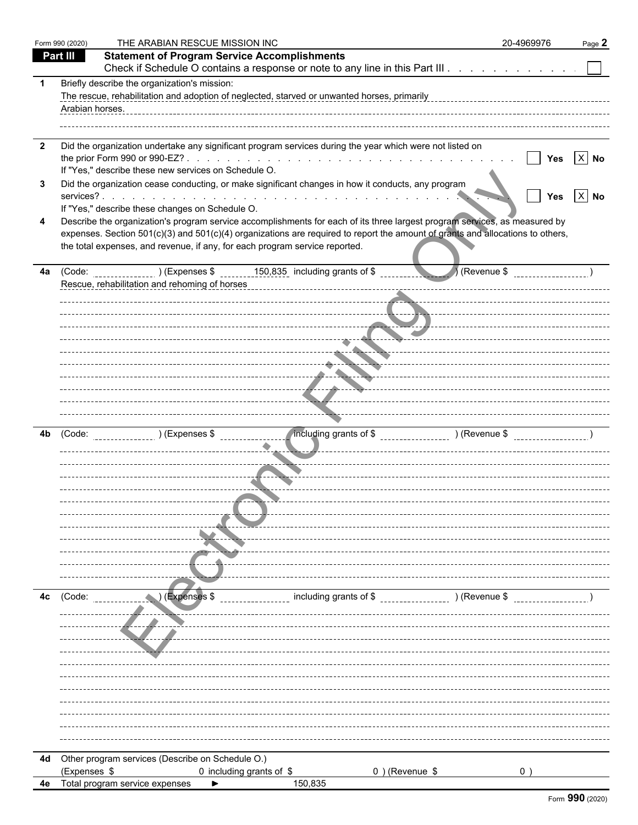|                | Form 990 (2020) | THE ARABIAN RESCUE MISSION INC                                                                                                                                                                                                                                                                                                                                                                 | 20-4969976 | Page 2   |
|----------------|-----------------|------------------------------------------------------------------------------------------------------------------------------------------------------------------------------------------------------------------------------------------------------------------------------------------------------------------------------------------------------------------------------------------------|------------|----------|
|                | Part III        | <b>Statement of Program Service Accomplishments</b>                                                                                                                                                                                                                                                                                                                                            |            |          |
|                |                 | Check if Schedule O contains a response or note to any line in this Part III                                                                                                                                                                                                                                                                                                                   |            |          |
|                | Arabian horses. | Briefly describe the organization's mission:<br>The rescue, rehabilitation and adoption of neglected, starved or unwanted horses, primarily                                                                                                                                                                                                                                                    |            |          |
| $\overline{2}$ |                 | Did the organization undertake any significant program services during the year which were not listed on<br>If "Yes," describe these new services on Schedule O.                                                                                                                                                                                                                               | Yes        | $X$ No   |
| 3              |                 | Did the organization cease conducting, or make significant changes in how it conducts, any program                                                                                                                                                                                                                                                                                             | Yes        | $ X $ No |
| 4              |                 | If "Yes," describe these changes on Schedule O.<br>Describe the organization's program service accomplishments for each of its three largest program services, as measured by<br>expenses. Section 501(c)(3) and 501(c)(4) organizations are required to report the amount of grants and allocations to others,<br>the total expenses, and revenue, if any, for each program service reported. |            |          |
| 4a             |                 | Revenue \$<br>Rescue, rehabilitation and rehoming of horses                                                                                                                                                                                                                                                                                                                                    |            |          |
|                |                 |                                                                                                                                                                                                                                                                                                                                                                                                |            |          |
|                |                 | . <b>. .</b>                                                                                                                                                                                                                                                                                                                                                                                   |            |          |
|                |                 | .<br>--------------- <del>---------------------</del> -                                                                                                                                                                                                                                                                                                                                        |            |          |
| 4b             | (Code:          | ncluding grants of \$ _________________ ) (Revenue \$ _________________<br>$(1)$ (Expenses \$                                                                                                                                                                                                                                                                                                  |            |          |
|                |                 | --- <del>--</del> --                                                                                                                                                                                                                                                                                                                                                                           |            |          |
|                |                 |                                                                                                                                                                                                                                                                                                                                                                                                |            |          |
|                |                 |                                                                                                                                                                                                                                                                                                                                                                                                |            |          |
| 4c             | (Code:          | including grants of \$<br>) (Revenue \$<br>(Expenses \$                                                                                                                                                                                                                                                                                                                                        |            |          |
|                |                 |                                                                                                                                                                                                                                                                                                                                                                                                |            |          |
|                |                 |                                                                                                                                                                                                                                                                                                                                                                                                |            |          |
|                |                 |                                                                                                                                                                                                                                                                                                                                                                                                |            |          |
|                |                 | 4d Other program services (Describe on Schedule O.)                                                                                                                                                                                                                                                                                                                                            |            |          |
|                | (Expenses \$    | 0 including grants of \$<br>$0$ ) (Revenue \$                                                                                                                                                                                                                                                                                                                                                  | 0          |          |
| 4e             |                 | Total program service expenses<br>150,835                                                                                                                                                                                                                                                                                                                                                      |            |          |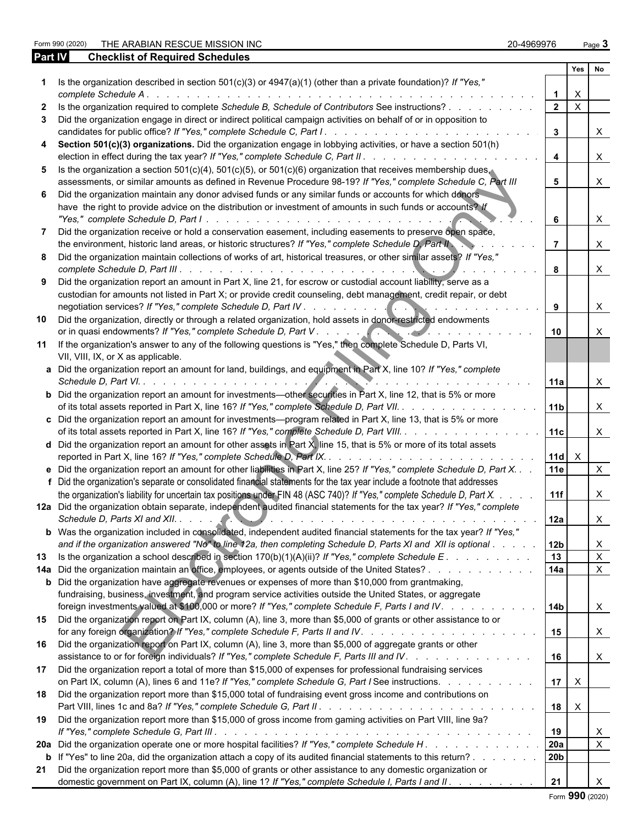Form 990 (2020) THE ARABIAN RESCUE MISSION INC 20-4969976 Page **3**

| Part IV | <b>Checklist of Required Schedules</b>                                                                                                                                                                                 |                         |                           |                           |  |
|---------|------------------------------------------------------------------------------------------------------------------------------------------------------------------------------------------------------------------------|-------------------------|---------------------------|---------------------------|--|
|         |                                                                                                                                                                                                                        |                         | Yes                       | Nο                        |  |
|         | Is the organization described in section $501(c)(3)$ or $4947(a)(1)$ (other than a private foundation)? If "Yes,"<br>complete Schedule A.                                                                              |                         | х                         |                           |  |
|         | Is the organization required to complete Schedule B, Schedule of Contributors See instructions?                                                                                                                        | $\overline{2}$          | $\boldsymbol{\mathsf{X}}$ |                           |  |
|         | Did the organization engage in direct or indirect political campaign activities on behalf of or in opposition to                                                                                                       |                         |                           |                           |  |
|         |                                                                                                                                                                                                                        | $\mathbf{3}$            |                           | X                         |  |
|         | Section 501(c)(3) organizations. Did the organization engage in lobbying activities, or have a section 501(h)                                                                                                          | $\overline{\mathbf{4}}$ |                           | $\boldsymbol{\mathsf{X}}$ |  |
| 5.      | Is the organization a section 501(c)(4), 501(c)(5), or 501(c)(6) organization that receives membership dues.                                                                                                           |                         |                           |                           |  |
|         | assessments, or similar amounts as defined in Revenue Procedure 98-19? If "Yes," complete Schedule C, Part III                                                                                                         | 5                       |                           | $\mathsf{X}$              |  |
| 6.      | Did the organization maintain any donor advised funds or any similar funds or accounts for which donors<br>have the right to provide advice on the distribution or investment of amounts in such funds or accounts? If | 6                       |                           | $\mathsf{X}$              |  |
|         | Did the organization receive or hold a conservation easement, including easements to preserve open space,                                                                                                              |                         |                           |                           |  |
|         | the environment, historic land areas, or historic structures? If "Yes," complete Schedule D, Part II                                                                                                                   |                         |                           | X                         |  |
| 8       | Did the organization maintain collections of works of art, historical treasures, or other similar assets? If "Yes,"                                                                                                    | 8                       |                           | $\mathsf{X}$              |  |
| 9       | Did the organization report an amount in Part X, line 21, for escrow or custodial account liability, serve as a                                                                                                        |                         |                           |                           |  |
|         | custodian for amounts not listed in Part X; or provide credit counseling, debt management, credit repair, or debt                                                                                                      | 9                       |                           | $\mathsf{X}$              |  |
| 10      | Did the organization, directly or through a related organization, hold assets in donor-restricted endowments                                                                                                           |                         |                           |                           |  |
|         | or in quasi endowments? If "Yes," complete Schedule D, Part V.                                                                                                                                                         | 10                      |                           | X                         |  |
|         | 11 If the organization's answer to any of the following questions is "Yes," then complete Schedule D, Parts VI,<br>VII, VIII, IX, or X as applicable.                                                                  |                         |                           |                           |  |
|         | a Did the organization report an amount for land, buildings, and equipment in Part X, line 10? If "Yes," complete<br>Schedule D, Part VI.                                                                              | 11a                     |                           | X                         |  |
|         | <b>b</b> Did the organization report an amount for investments—other securities in Part X, line 12, that is 5% or more<br>of its total assets reported in Part X, line 16? If "Yes," complete Schedule D, Part VII.    | 11 <sub>b</sub>         |                           | X                         |  |
|         | c Did the organization report an amount for investments—program related in Part X, line 13, that is 5% or more<br>of its total assets reported in Part X, line 16? If "Yes," complete Schedule D, Part VIII.           | 11c                     |                           | $\mathsf{X}$              |  |
|         | <b>d</b> Did the organization report an amount for other assets in Part X, line 15, that is 5% or more of its total assets                                                                                             |                         |                           |                           |  |
|         | reported in Part X, line 16? If "Yes," complete Schedule D, Part IX<br>.                                                                                                                                               | $11d \times$            |                           |                           |  |
|         | e Did the organization report an amount for other liabilities in Part X, line 25? If "Yes," complete Schedule D, Part X.                                                                                               | <b>11e</b>              |                           | $\times$                  |  |
|         | f Did the organization's separate or consolidated financial statements for the tax year include a footnote that addresses                                                                                              |                         |                           |                           |  |
|         | the organization's liability for uncertain tax positions under FIN 48 (ASC 740)? If "Yes," complete Schedule D, Part X.                                                                                                | 11f                     |                           | X                         |  |
|         | 12a Did the organization obtain separate, independent audited financial statements for the tax year? If "Yes," complete                                                                                                | l 12a                   |                           | X                         |  |
|         | b Was the organization included in consolidated, independent audited financial statements for the tax year? If "Yes,"                                                                                                  |                         |                           |                           |  |
|         | and if the organization answered "No" to line 12a, then completing Schedule D, Parts XI and XII is optional                                                                                                            | l 12b                   |                           | X                         |  |
| 13      | Is the organization a school described in section $170(b)(1)(A)(ii)$ ? If "Yes," complete Schedule E.                                                                                                                  | 13                      |                           | $\mathsf X$               |  |
|         | 14a Did the organization maintain an office, employees, or agents outside of the United States?                                                                                                                        | 14a                     |                           | $\mathsf{X}$              |  |
|         | <b>b</b> Did the organization have aggregate revenues or expenses of more than \$10,000 from grantmaking,                                                                                                              |                         |                           |                           |  |
|         | fundraising, business, investment, and program service activities outside the United States, or aggregate<br>foreign investments valued at \$100,000 or more? If "Yes," complete Schedule F, Parts I and IV.           | 14b                     |                           | $\mathsf{X}$              |  |
|         | 15 Did the organization report on Part IX, column (A), line 3, more than \$5,000 of grants or other assistance to or                                                                                                   | 15                      |                           | $\mathsf{X}$              |  |
|         | 16 Did the organization report on Part IX, column (A), line 3, more than \$5,000 of aggregate grants or other<br>assistance to or for foreign individuals? If "Yes," complete Schedule F, Parts III and IV.            | 16                      |                           | $\mathsf{X}$              |  |
| 17      | Did the organization report a total of more than \$15,000 of expenses for professional fundraising services                                                                                                            |                         |                           |                           |  |
|         | on Part IX, column (A), lines 6 and 11e? If "Yes," complete Schedule G, Part I See instructions.                                                                                                                       | $17$ $\times$           |                           |                           |  |
| 18      | Did the organization report more than \$15,000 total of fundraising event gross income and contributions on                                                                                                            | $18$ $\times$           |                           |                           |  |
| 19      | Did the organization report more than \$15,000 of gross income from gaming activities on Part VIII, line 9a?                                                                                                           |                         |                           |                           |  |
|         |                                                                                                                                                                                                                        | 19                      |                           | X                         |  |
|         |                                                                                                                                                                                                                        | 20a                     |                           | $\boldsymbol{\mathsf{X}}$ |  |
|         | <b>b</b> If "Yes" to line 20a, did the organization attach a copy of its audited financial statements to this return?                                                                                                  | 20b                     |                           |                           |  |
| 21      | Did the organization report more than \$5,000 of grants or other assistance to any domestic organization or<br>domestic government on Part IX, column (A), line 1? If "Yes," complete Schedule I, Parts I and II.      | 21                      |                           |                           |  |

Form **990** (2020)

| Form 990 (202) |   |  |  |
|----------------|---|--|--|
|                | . |  |  |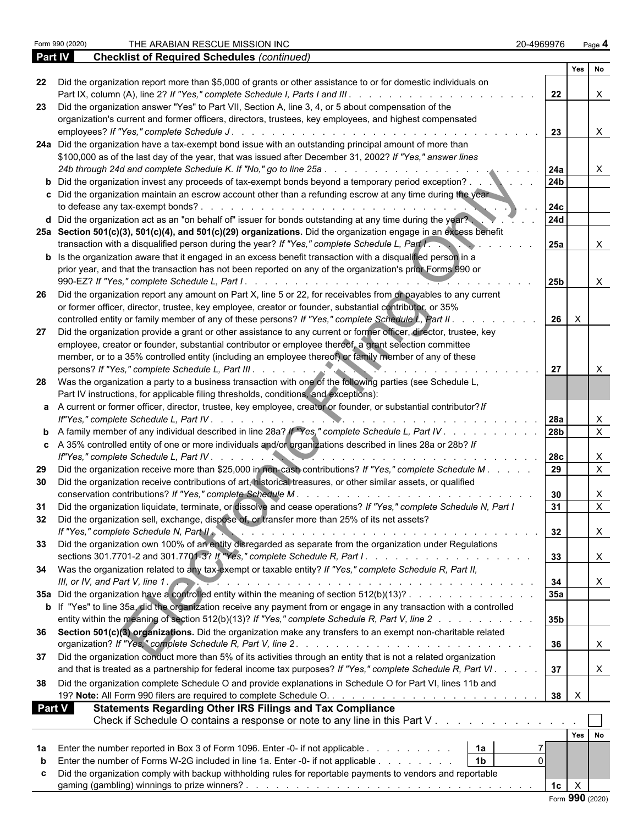|               |                                                                                                                                                                                                                |                        | Yes No           |                           |
|---------------|----------------------------------------------------------------------------------------------------------------------------------------------------------------------------------------------------------------|------------------------|------------------|---------------------------|
| 22            | Did the organization report more than \$5,000 of grants or other assistance to or for domestic individuals on                                                                                                  | 22                     |                  | $\mathsf{X}$              |
| -23           | Did the organization answer "Yes" to Part VII, Section A, line 3, 4, or 5 about compensation of the<br>organization's current and former officers, directors, trustees, key employees, and highest compensated |                        |                  |                           |
|               |                                                                                                                                                                                                                | 23                     |                  | $\mathsf{X}$              |
|               | 24a Did the organization have a tax-exempt bond issue with an outstanding principal amount of more than                                                                                                        |                        |                  |                           |
|               | \$100,000 as of the last day of the year, that was issued after December 31, 2002? If "Yes," answer lines                                                                                                      |                        |                  |                           |
|               |                                                                                                                                                                                                                |                        |                  |                           |
|               |                                                                                                                                                                                                                | 24a<br>24 <sub>b</sub> |                  | $\mathsf{X}$              |
|               | <b>b</b> Did the organization invest any proceeds of tax-exempt bonds beyond a temporary period exception?                                                                                                     |                        |                  |                           |
|               | c Did the organization maintain an escrow account other than a refunding escrow at any time during the year                                                                                                    |                        |                  |                           |
|               |                                                                                                                                                                                                                | <b>24c</b>             |                  |                           |
|               | d Did the organization act as an "on behalf of" issuer for bonds outstanding at any time during the year?                                                                                                      | <b>24d</b>             |                  |                           |
|               | 25a Section 501(c)(3), 501(c)(4), and 501(c)(29) organizations. Did the organization engage in an excess benefit                                                                                               |                        |                  |                           |
|               | transaction with a disqualified person during the year? If "Yes," complete Schedule L, Part I.                                                                                                                 | <b>25a</b>             |                  | $\mathsf{X}$              |
|               | <b>b</b> Is the organization aware that it engaged in an excess benefit transaction with a disqualified person in a                                                                                            |                        |                  |                           |
|               | prior year, and that the transaction has not been reported on any of the organization's prior Forms 990 or                                                                                                     |                        |                  |                           |
|               |                                                                                                                                                                                                                | 25b                    |                  | $\mathsf{X}$              |
| -26           | Did the organization report any amount on Part X, line 5 or 22, for receivables from or payables to any current                                                                                                |                        |                  |                           |
|               | or former officer, director, trustee, key employee, creator or founder, substantial contributor, or 35%                                                                                                        |                        |                  |                           |
|               | controlled entity or family member of any of these persons? If "Yes," complete Schedule L, Part II.                                                                                                            | 26                     | $\mathsf{X}$     |                           |
| 27            | Did the organization provide a grant or other assistance to any current or former officer, director, trustee, key                                                                                              |                        |                  |                           |
|               | employee, creator or founder, substantial contributor or employee thereof, a grant selection committee                                                                                                         |                        |                  |                           |
|               | member, or to a 35% controlled entity (including an employee thereof) or family member of any of these                                                                                                         |                        |                  |                           |
|               |                                                                                                                                                                                                                | 27                     |                  |                           |
|               |                                                                                                                                                                                                                |                        |                  | $\boldsymbol{\mathsf{X}}$ |
|               | 28 Was the organization a party to a business transaction with one of the following parties (see Schedule L,                                                                                                   |                        |                  |                           |
|               | Part IV instructions, for applicable filing thresholds, conditions, and exceptions):                                                                                                                           |                        |                  |                           |
|               | a A current or former officer, director, trustee, key employee, creator or founder, or substantial contributor? If                                                                                             |                        |                  |                           |
|               |                                                                                                                                                                                                                | 28a                    |                  | $\boldsymbol{\mathsf{X}}$ |
|               | <b>b</b> A family member of any individual described in line 28a? If "Yes," complete Schedule L, Part IV.                                                                                                      | 28 <sub>b</sub>        |                  | $\overline{X}$            |
|               | c A 35% controlled entity of one or more individuals and/or organizations described in lines 28a or 28b? If                                                                                                    |                        |                  |                           |
|               |                                                                                                                                                                                                                |                        |                  | $\mathsf{X}$              |
| 29            | Did the organization receive more than \$25,000 in non-cash contributions? If "Yes," complete Schedule M.                                                                                                      |                        |                  | $\overline{X}$            |
| 30            | Did the organization receive contributions of art, historical treasures, or other similar assets, or qualified                                                                                                 |                        |                  |                           |
|               |                                                                                                                                                                                                                | 30                     |                  | $\mathsf{X}$              |
| 31            | Did the organization liquidate, terminate, or dissolve and cease operations? If "Yes," complete Schedule N, Part I                                                                                             | 31                     |                  | $\overline{X}$            |
| 32            | Did the organization sell, exchange, dispose of, or transfer more than 25% of its net assets?                                                                                                                  |                        |                  |                           |
|               | If "Yes," complete Schedule N, Part II                                                                                                                                                                         | 32                     |                  |                           |
|               | Did the organization own 100% of an entity disregarded as separate from the organization under Regulations                                                                                                     |                        |                  | $\mathbf{L}$              |
| 33            |                                                                                                                                                                                                                |                        |                  |                           |
|               |                                                                                                                                                                                                                | 33                     |                  | $\boldsymbol{\mathsf{X}}$ |
|               | 34 Was the organization related to any tax-exempt or taxable entity? If "Yes," complete Schedule R, Part II,                                                                                                   |                        |                  |                           |
|               | III, or IV, and Part V, line $1$ .                                                                                                                                                                             | 34                     |                  | X                         |
|               | 35a Did the organization have a controlled entity within the meaning of section 512(b)(13)?                                                                                                                    | 35a                    |                  |                           |
|               | <b>b</b> If "Yes" to line 35a, did the organization receive any payment from or engage in any transaction with a controlled                                                                                    |                        |                  |                           |
|               | entity within the meaning of section 512(b)(13)? If "Yes," complete Schedule R, Part V, line 2                                                                                                                 | 35b                    |                  |                           |
|               | 36 Section 501(c)(3) organizations. Did the organization make any transfers to an exempt non-charitable related                                                                                                |                        |                  |                           |
|               |                                                                                                                                                                                                                | 36                     |                  | X                         |
| 37            | Did the organization conduct more than 5% of its activities through an entity that is not a related organization                                                                                               |                        |                  |                           |
|               | and that is treated as a partnership for federal income tax purposes? If "Yes," complete Schedule R, Part VI.                                                                                                  | 37                     |                  | X                         |
|               |                                                                                                                                                                                                                |                        |                  |                           |
| 38            | Did the organization complete Schedule O and provide explanations in Schedule O for Part VI, lines 11b and                                                                                                     |                        |                  |                           |
|               |                                                                                                                                                                                                                | 38                     | $\boldsymbol{X}$ |                           |
| <b>Part V</b> | <b>Statements Regarding Other IRS Filings and Tax Compliance</b>                                                                                                                                               |                        |                  |                           |
|               | Check if Schedule O contains a response or note to any line in this Part V                                                                                                                                     |                        |                  |                           |
|               |                                                                                                                                                                                                                |                        | Yes No           |                           |
| 1a            | Enter the number reported in Box 3 of Form 1096. Enter -0- if not applicable<br>1a                                                                                                                             |                        |                  |                           |
| b             | Enter the number of Forms W-2G included in line 1a. Enter -0- if not applicable<br>1 <sub>b</sub><br>$\Omega$                                                                                                  |                        |                  |                           |
| c             | Did the organization comply with backup withholding rules for reportable payments to vendors and reportable                                                                                                    |                        |                  |                           |
|               |                                                                                                                                                                                                                | $1c \mid X$            |                  |                           |
|               |                                                                                                                                                                                                                | Form 990 (2020)        |                  |                           |
|               |                                                                                                                                                                                                                |                        |                  |                           |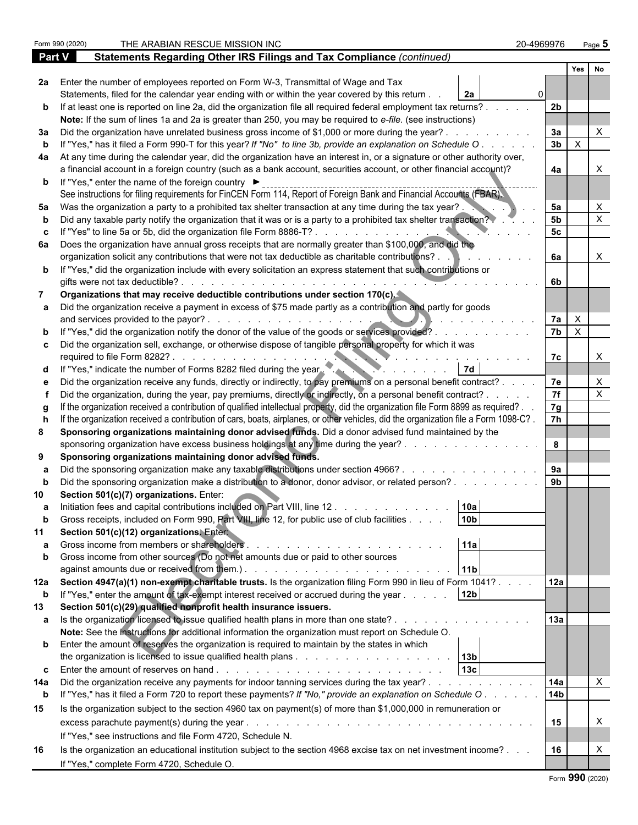|             | Form 990 (2020) | THE ARABIAN RESCUE MISSION INC                                                                                                                                                    | 20-4969976      |                              | Page $5$                  |
|-------------|-----------------|-----------------------------------------------------------------------------------------------------------------------------------------------------------------------------------|-----------------|------------------------------|---------------------------|
| Part V      |                 | Statements Regarding Other IRS Filings and Tax Compliance (continued)                                                                                                             |                 |                              |                           |
|             |                 |                                                                                                                                                                                   |                 | Yes                          | <b>No</b>                 |
|             |                 | 2a Enter the number of employees reported on Form W-3, Transmittal of Wage and Tax                                                                                                |                 |                              |                           |
|             |                 | Statements, filed for the calendar year ending with or within the year covered by this return.<br>2a                                                                              |                 |                              |                           |
|             |                 | b If at least one is reported on line 2a, did the organization file all required federal employment tax returns?.                                                                 | 2 <sub>b</sub>  |                              |                           |
|             |                 | Note: If the sum of lines 1a and 2a is greater than 250, you may be required to e-file. (see instructions)                                                                        |                 |                              |                           |
|             |                 | 3a Did the organization have unrelated business gross income of \$1,000 or more during the year?.                                                                                 | 3a              |                              |                           |
|             |                 | If "Yes," has it filed a Form 990-T for this year? If "No" to line 3b, provide an explanation on Schedule O                                                                       | 3 <sub>b</sub>  | $\mathsf{X}$                 |                           |
|             |                 | 4a At any time during the calendar year, did the organization have an interest in, or a signature or other authority over,                                                        |                 |                              |                           |
|             |                 | a financial account in a foreign country (such as a bank account, securities account, or other financial account)?                                                                | 4a              |                              |                           |
|             |                 | <b>b</b> If "Yes," enter the name of the foreign country ▶<br>See instructions for filing requirements for FinCEN Form 114, Report of Foreign Bank and Financial Accounts (FBAR). |                 |                              |                           |
| 5а          |                 | Was the organization a party to a prohibited tax shelter transaction at any time during the tax year?.                                                                            | 5a              |                              |                           |
|             |                 | Did any taxable party notify the organization that it was or is a party to a prohibited tax shelter transaction?                                                                  | 5 <sub>b</sub>  |                              |                           |
|             |                 | If "Yes" to line 5a or 5b, did the organization file Form 8886-T?                                                                                                                 | 5c              |                              |                           |
|             |                 | 6a Does the organization have annual gross receipts that are normally greater than \$100,000, and did the                                                                         |                 |                              |                           |
|             |                 | organization solicit any contributions that were not tax deductible as charitable contributions?.                                                                                 | 6a              |                              | X                         |
|             |                 | b If "Yes," did the organization include with every solicitation an express statement that such contributions or<br>gifts were not tax deductible?.                               | 6b              |                              |                           |
|             |                 | Organizations that may receive deductible contributions under section 170(c).                                                                                                     |                 |                              |                           |
|             |                 | a Did the organization receive a payment in excess of \$75 made partly as a contribution and partly for goods                                                                     |                 |                              |                           |
|             |                 | and services provided to the payor?.<br>b If "Yes," did the organization notify the donor of the value of the goods or services provided?.                                        | 7a<br>7b        | $\mathsf{X}$<br>$\mathsf{X}$ |                           |
|             |                 | c  Did the organization sell, exchange, or otherwise dispose of tangible personal property for which it was<br>required to file Form 8282?                                        | 7c              |                              |                           |
|             |                 | d If "Yes," indicate the number of Forms 8282 filed during the year.                                                                                                              |                 |                              |                           |
|             |                 | Did the organization receive any funds, directly or indirectly, to pay premiums on a personal benefit contract?.                                                                  | 7e              |                              |                           |
|             |                 | Did the organization, during the year, pay premiums, directly or indirectly, on a personal benefit contract? .                                                                    | $\overline{7f}$ |                              | X                         |
|             |                 | If the organization received a contribution of qualified intellectual property, did the organization file Form 8899 as required?.                                                 | 7g              |                              |                           |
|             |                 | If the organization received a contribution of cars, boats, airplanes, or other vehicles, did the organization file a Form 1098-C?.                                               | $\overline{7h}$ |                              |                           |
| 8           |                 | Sponsoring organizations maintaining donor advised funds. Did a donor advised fund maintained by the                                                                              |                 |                              |                           |
|             |                 | sponsoring organization have excess business holdings at any time during the year?.                                                                                               | 8               |                              |                           |
| 9           |                 | Sponsoring organizations maintaining donor advised funds.                                                                                                                         |                 |                              |                           |
|             |                 | Did the sponsoring organization make any taxable distributions under section 4966? .                                                                                              | 9a              |                              |                           |
|             |                 | Did the sponsoring organization make a distribution to a donor, donor advisor, or related person?.                                                                                | 9 <sub>b</sub>  |                              |                           |
|             |                 | Section 501(c)(7) organizations. Enter:                                                                                                                                           |                 |                              |                           |
|             |                 | Initiation fees and capital contributions included on Part VIII, line 12.<br>10a                                                                                                  |                 |                              |                           |
|             |                 | 10 <sub>b</sub><br>Gross receipts, included on Form 990, Part VIII, line 12, for public use of club facilities                                                                    |                 |                              |                           |
|             |                 | Section 501(c)(12) organizations. Enter                                                                                                                                           |                 |                              |                           |
|             |                 | 11a                                                                                                                                                                               |                 |                              |                           |
| b           |                 | Gross income from other sources (Do not net amounts due or paid to other sources                                                                                                  |                 |                              |                           |
|             |                 | 11 <sub>b</sub>                                                                                                                                                                   |                 |                              |                           |
|             |                 | 12a Section 4947(a)(1) non-exempt charitable trusts. Is the organization filing Form 990 in lieu of Form 1041?.                                                                   | 12a             |                              |                           |
| b           |                 | If "Yes," enter the amount of tax-exempt interest received or accrued during the year<br>12 <sub>b</sub>                                                                          |                 |                              |                           |
| 13          |                 | Section 501(c)(29) qualified nonprofit health insurance issuers.<br>a Is the organization licensed to issue qualified health plans in more than one state?.                       | 13a             |                              |                           |
|             |                 | Note: See the instructions for additional information the organization must report on Schedule O.                                                                                 |                 |                              |                           |
|             |                 | <b>b</b> Enter the amount of reserves the organization is required to maintain by the states in which                                                                             |                 |                              |                           |
|             |                 |                                                                                                                                                                                   |                 |                              |                           |
|             |                 | 13c<br><b>c</b> Enter the amount of reserves on hand $\ldots$ $\ldots$ $\ldots$ $\ldots$ $\ldots$ $\ldots$ $\ldots$ $\ldots$ $\ldots$                                             |                 |                              |                           |
| 14a         |                 | Did the organization receive any payments for indoor tanning services during the tax year?                                                                                        | 14a             |                              | $\boldsymbol{\mathsf{X}}$ |
| $\mathbf b$ |                 | If "Yes," has it filed a Form 720 to report these payments? If "No," provide an explanation on Schedule O.                                                                        | 14 <sub>b</sub> |                              |                           |
| 15          |                 | Is the organization subject to the section 4960 tax on payment(s) of more than \$1,000,000 in remuneration or                                                                     |                 |                              |                           |
|             |                 | excess parachute payment(s) during the year.<br>and a complete that the complete the complete the complete the complete the complete the complete the complete                    | 15              |                              | X                         |
|             |                 | If "Yes," see instructions and file Form 4720, Schedule N.                                                                                                                        |                 |                              |                           |
| 16          |                 | Is the organization an educational institution subject to the section 4968 excise tax on net investment income?                                                                   | 16              |                              |                           |
|             |                 | If "Yes," complete Form 4720, Schedule O.                                                                                                                                         |                 |                              |                           |

|  |  | Form 990 (2020) |
|--|--|-----------------|
|--|--|-----------------|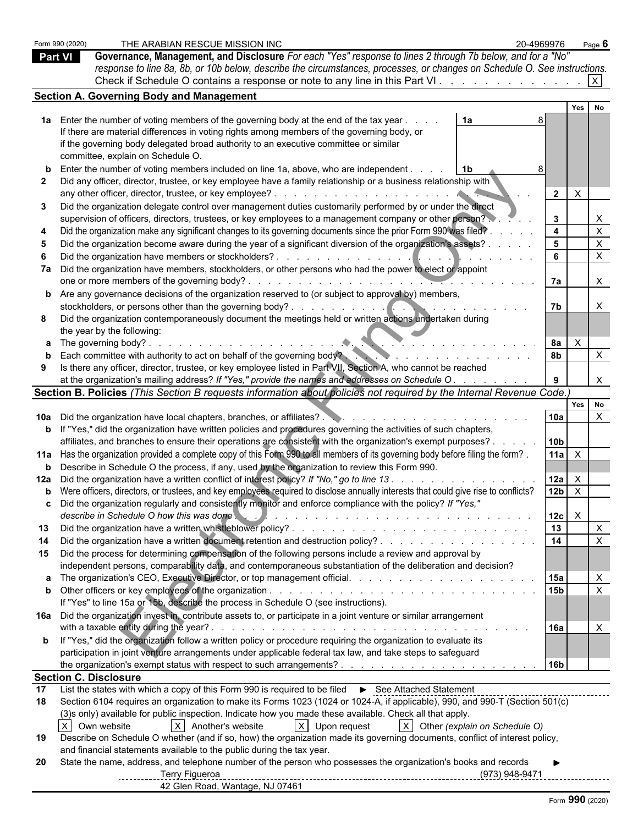| <b>Part VI</b> | THE ARABIAN RESCUE MISSION INC<br>Form 990 (2020)<br>Governance, Management, and Disclosure For each "Yes" response to lines 2 through 7b below, and for a "No"<br>response to line 8a, 8b, or 10b below, describe the circumstances, processes, or changes on Schedule O. See instructions.<br>Check if Schedule O contains a response or note to any line in this Part VI. $\vert x \vert$                                                                                                                                                                                                                                                                                                                                                                                                                                                                                                                                                                                                                   | 20-4969976                                                                         | Page $6$ |                                     |
|----------------|----------------------------------------------------------------------------------------------------------------------------------------------------------------------------------------------------------------------------------------------------------------------------------------------------------------------------------------------------------------------------------------------------------------------------------------------------------------------------------------------------------------------------------------------------------------------------------------------------------------------------------------------------------------------------------------------------------------------------------------------------------------------------------------------------------------------------------------------------------------------------------------------------------------------------------------------------------------------------------------------------------------|------------------------------------------------------------------------------------|----------|-------------------------------------|
|                | <b>Section A. Governing Body and Management</b>                                                                                                                                                                                                                                                                                                                                                                                                                                                                                                                                                                                                                                                                                                                                                                                                                                                                                                                                                                |                                                                                    |          |                                     |
|                |                                                                                                                                                                                                                                                                                                                                                                                                                                                                                                                                                                                                                                                                                                                                                                                                                                                                                                                                                                                                                | Yes                                                                                | No       |                                     |
| 3              | 1a Enter the number of voting members of the governing body at the end of the tax year<br>1a<br>If there are material differences in voting rights among members of the governing body, or<br>if the governing body delegated broad authority to an executive committee or similar<br>committee, explain on Schedule O.<br><b>b</b> Enter the number of voting members included on line 1a, above, who are independent.<br>l 1b<br>Did any officer, director, trustee, or key employee have a family relationship or a business relationship with<br>Did the organization delegate control over management duties customarily performed by or under the direct<br>supervision of officers, directors, trustees, or key employees to a management company or other person?<br>Did the organization make any significant changes to its governing documents since the prior Form 990 was filed?.<br>Did the organization become aware during the year of a significant diversion of the organization's assets? . | $\mathsf{X}$<br>$\overline{2}$<br>$\mathbf{3}$<br>$\overline{4}$<br>5 <sup>5</sup> |          | X<br>$\boldsymbol{\mathsf{X}}$<br>X |
|                |                                                                                                                                                                                                                                                                                                                                                                                                                                                                                                                                                                                                                                                                                                                                                                                                                                                                                                                                                                                                                | 6                                                                                  |          | X                                   |
|                | 7a Did the organization have members, stockholders, or other persons who had the power to elect or appoint                                                                                                                                                                                                                                                                                                                                                                                                                                                                                                                                                                                                                                                                                                                                                                                                                                                                                                     | 7a                                                                                 |          | $\times$                            |
|                | <b>b</b> Are any governance decisions of the organization reserved to (or subject to approval by) members,                                                                                                                                                                                                                                                                                                                                                                                                                                                                                                                                                                                                                                                                                                                                                                                                                                                                                                     |                                                                                    |          |                                     |
| 8              | Did the organization contemporaneously document the meetings held or written actions undertaken during<br>the year by the following:                                                                                                                                                                                                                                                                                                                                                                                                                                                                                                                                                                                                                                                                                                                                                                                                                                                                           | 7b                                                                                 |          |                                     |
|                | <b>a</b> The governing body?<br>.                                                                                                                                                                                                                                                                                                                                                                                                                                                                                                                                                                                                                                                                                                                                                                                                                                                                                                                                                                              | 8a<br>$\mathsf{X}$                                                                 |          |                                     |
|                | <b>b</b> Each committee with authority to act on behalf of the governing body?                                                                                                                                                                                                                                                                                                                                                                                                                                                                                                                                                                                                                                                                                                                                                                                                                                                                                                                                 | 8b                                                                                 |          | $\times$                            |
|                | Is there any officer, director, trustee, or key employee listed in Part VII, Section A, who cannot be reached<br>at the organization's mailing address? If "Yes," provide the names and addresses on Schedule O.                                                                                                                                                                                                                                                                                                                                                                                                                                                                                                                                                                                                                                                                                                                                                                                               | 9                                                                                  |          | $\times$                            |
|                | Section B. Policies (This Section B requests information about policies not required by the Internal Revenue Code.)                                                                                                                                                                                                                                                                                                                                                                                                                                                                                                                                                                                                                                                                                                                                                                                                                                                                                            |                                                                                    |          |                                     |
|                |                                                                                                                                                                                                                                                                                                                                                                                                                                                                                                                                                                                                                                                                                                                                                                                                                                                                                                                                                                                                                | Yes                                                                                |          | No                                  |
|                |                                                                                                                                                                                                                                                                                                                                                                                                                                                                                                                                                                                                                                                                                                                                                                                                                                                                                                                                                                                                                | 10a                                                                                |          | $\boldsymbol{\mathsf{X}}$           |
|                | <b>b</b> If "Yes," did the organization have written policies and procedures governing the activities of such chapters,                                                                                                                                                                                                                                                                                                                                                                                                                                                                                                                                                                                                                                                                                                                                                                                                                                                                                        |                                                                                    |          |                                     |
|                | affiliates, and branches to ensure their operations are consistent with the organization's exempt purposes?                                                                                                                                                                                                                                                                                                                                                                                                                                                                                                                                                                                                                                                                                                                                                                                                                                                                                                    | 10 <sub>b</sub>                                                                    |          |                                     |
|                | 11a Has the organization provided a complete copy of this Form 990 to all members of its governing body before filing the form?                                                                                                                                                                                                                                                                                                                                                                                                                                                                                                                                                                                                                                                                                                                                                                                                                                                                                | $11a \times$                                                                       |          |                                     |
|                | <b>b</b> Describe in Schedule O the process, if any, used by the organization to review this Form 990.                                                                                                                                                                                                                                                                                                                                                                                                                                                                                                                                                                                                                                                                                                                                                                                                                                                                                                         |                                                                                    |          |                                     |
|                | 12a Did the organization have a written conflict of interest policy? If "No," go to line 13.                                                                                                                                                                                                                                                                                                                                                                                                                                                                                                                                                                                                                                                                                                                                                                                                                                                                                                                   | 12a<br>X.                                                                          |          |                                     |
|                | b Were officers, directors, or trustees, and key employees required to disclose annually interests that could give rise to conflicts?<br>c Did the organization regularly and consistently monitor and enforce compliance with the policy? If "Yes,<br>describe in Schedule O how this was done                                                                                                                                                                                                                                                                                                                                                                                                                                                                                                                                                                                                                                                                                                                | 12 <sub>b</sub><br>$\mathsf{X}$<br>$12c \quad X$                                   |          |                                     |
| 13             |                                                                                                                                                                                                                                                                                                                                                                                                                                                                                                                                                                                                                                                                                                                                                                                                                                                                                                                                                                                                                | 13                                                                                 |          | $\mathsf{X}$                        |
|                | Did the organization have a written document retention and destruction policy?                                                                                                                                                                                                                                                                                                                                                                                                                                                                                                                                                                                                                                                                                                                                                                                                                                                                                                                                 | 14                                                                                 |          | $\boldsymbol{\mathsf{X}}$           |
|                | 15 Did the process for determining compensation of the following persons include a review and approval by                                                                                                                                                                                                                                                                                                                                                                                                                                                                                                                                                                                                                                                                                                                                                                                                                                                                                                      |                                                                                    |          |                                     |
|                | independent persons, comparability data, and contemporaneous substantiation of the deliberation and decision?                                                                                                                                                                                                                                                                                                                                                                                                                                                                                                                                                                                                                                                                                                                                                                                                                                                                                                  |                                                                                    |          |                                     |
|                |                                                                                                                                                                                                                                                                                                                                                                                                                                                                                                                                                                                                                                                                                                                                                                                                                                                                                                                                                                                                                | 15a                                                                                |          | $\times$                            |
|                | If "Yes" to line 15a or 15b, describe the process in Schedule O (see instructions).                                                                                                                                                                                                                                                                                                                                                                                                                                                                                                                                                                                                                                                                                                                                                                                                                                                                                                                            | 15 <sub>b</sub>                                                                    |          |                                     |
|                | 16a Did the organization invest in, contribute assets to, or participate in a joint venture or similar arrangement                                                                                                                                                                                                                                                                                                                                                                                                                                                                                                                                                                                                                                                                                                                                                                                                                                                                                             |                                                                                    |          |                                     |
|                | with a taxable entity during the year?.<br>and a constitution of the constitution of the constitution of the constitution of the constitution of the constitution of the constitution of the constitution of the constitution of the constitution of the constitution of                                                                                                                                                                                                                                                                                                                                                                                                                                                                                                                                                                                                                                                                                                                                       | 16a                                                                                |          |                                     |
|                | <b>b</b> If "Yes," did the organization follow a written policy or procedure requiring the organization to evaluate its                                                                                                                                                                                                                                                                                                                                                                                                                                                                                                                                                                                                                                                                                                                                                                                                                                                                                        |                                                                                    |          |                                     |
|                | participation in joint venture arrangements under applicable federal tax law, and take steps to safeguard                                                                                                                                                                                                                                                                                                                                                                                                                                                                                                                                                                                                                                                                                                                                                                                                                                                                                                      | 16 <sub>b</sub>                                                                    |          |                                     |
|                | <b>Section C. Disclosure</b>                                                                                                                                                                                                                                                                                                                                                                                                                                                                                                                                                                                                                                                                                                                                                                                                                                                                                                                                                                                   |                                                                                    |          |                                     |
| 17             | List the states with which a copy of this Form 990 is required to be filed ▶ See Attached Statement                                                                                                                                                                                                                                                                                                                                                                                                                                                                                                                                                                                                                                                                                                                                                                                                                                                                                                            |                                                                                    |          |                                     |
| 18             | Section 6104 requires an organization to make its Forms 1023 (1024 or 1024-A, if applicable), 990, and 990-T (Section 501(c)                                                                                                                                                                                                                                                                                                                                                                                                                                                                                                                                                                                                                                                                                                                                                                                                                                                                                   |                                                                                    |          |                                     |
|                | (3)s only) available for public inspection. Indicate how you made these available. Check all that apply.                                                                                                                                                                                                                                                                                                                                                                                                                                                                                                                                                                                                                                                                                                                                                                                                                                                                                                       |                                                                                    |          |                                     |
|                | X Own website<br>X Upon request<br>$ X $ Other (explain on Schedule O)<br>$ X $ Another's website<br>Describe on Schedule O whether (and if so, how) the organization made its governing documents, conflict of interest policy,                                                                                                                                                                                                                                                                                                                                                                                                                                                                                                                                                                                                                                                                                                                                                                               |                                                                                    |          |                                     |
| 19             | and financial statements available to the public during the tax year.                                                                                                                                                                                                                                                                                                                                                                                                                                                                                                                                                                                                                                                                                                                                                                                                                                                                                                                                          |                                                                                    |          |                                     |
|                | 20 State the name, address, and telephone number of the person who possesses the organization's books and records<br>Terry Figueroa<br>(973) 948-9471<br>------------                                                                                                                                                                                                                                                                                                                                                                                                                                                                                                                                                                                                                                                                                                                                                                                                                                          | -----------------                                                                  |          |                                     |
|                | 42 Glen Road, Wantage, NJ 07461                                                                                                                                                                                                                                                                                                                                                                                                                                                                                                                                                                                                                                                                                                                                                                                                                                                                                                                                                                                |                                                                                    |          |                                     |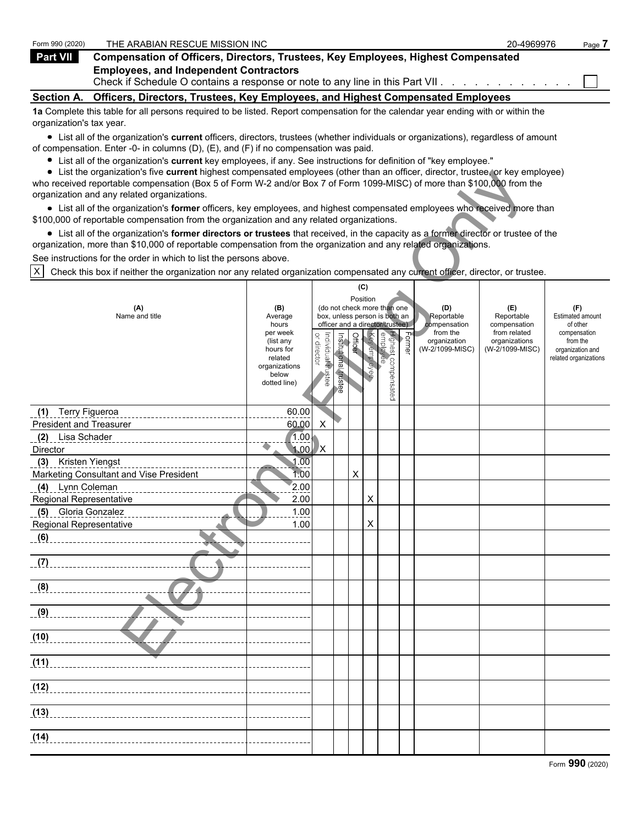| Form 990 (2020)          | THE ARABIAN RESCUE MISSION INC                                                                                                    | 20-4969976 | Page 7 |
|--------------------------|-----------------------------------------------------------------------------------------------------------------------------------|------------|--------|
| Part VII                 | <b>Compensation of Officers, Directors, Trustees, Key Employees, Highest Compensated</b>                                          |            |        |
|                          | <b>Employees, and Independent Contractors</b><br>Check if Schedule O contains a response or note to any line in this Part VII.    |            |        |
| <b>Section A.</b>        | Officers, Directors, Trustees, Key Employees, and Highest Compensated Employees                                                   |            |        |
| organization's tax year. | 1a Complete this table for all persons required to be listed. Report compensation for the calendar year ending with or within the |            |        |

List all of the organization's **current** officers, directors, trustees (whether individuals or organizations), regardless of amount of compensation. Enter -0- in columns (D), (E), and (F) if no compensation was paid.

- List all of the organization's **current** key employees, if any. See instructions for definition of "key employee."
- List the organization's five **current** highest compensated employees (other than an officer, director, trustee, or key employee)

| $\bullet$ List the organization's five current highest compensated employees (other than an officer, director, trustee, or key employee)<br>who received reportable compensation (Box 5 of Form W-2 and/or Box 7 of Form 1099-MISC) of more than \$100,000 from the |                                                                                                                                     |                                   |                       |          |              |                                                                  |                     |                                 |                                  |                                     |  |
|---------------------------------------------------------------------------------------------------------------------------------------------------------------------------------------------------------------------------------------------------------------------|-------------------------------------------------------------------------------------------------------------------------------------|-----------------------------------|-----------------------|----------|--------------|------------------------------------------------------------------|---------------------|---------------------------------|----------------------------------|-------------------------------------|--|
| organization and any related organizations.                                                                                                                                                                                                                         |                                                                                                                                     |                                   |                       |          |              |                                                                  |                     |                                 |                                  |                                     |  |
| • List all of the organization's former officers, key employees, and highest compensated employees who received more than<br>\$100,000 of reportable compensation from the organization and any related organizations.                                              |                                                                                                                                     |                                   |                       |          |              |                                                                  |                     |                                 |                                  |                                     |  |
|                                                                                                                                                                                                                                                                     | • List all of the organization's former directors or trustees that received, in the capacity as a former director or trustee of the |                                   |                       |          |              |                                                                  |                     |                                 |                                  |                                     |  |
| organization, more than \$10,000 of reportable compensation from the organization and any related organizations.                                                                                                                                                    |                                                                                                                                     |                                   |                       |          |              |                                                                  |                     |                                 |                                  |                                     |  |
| See instructions for the order in which to list the persons above.                                                                                                                                                                                                  |                                                                                                                                     |                                   |                       |          |              |                                                                  |                     |                                 |                                  |                                     |  |
| X<br>Check this box if neither the organization nor any related organization compensated any current officer, director, or trustee.                                                                                                                                 |                                                                                                                                     |                                   |                       |          |              |                                                                  |                     |                                 |                                  |                                     |  |
| (C)                                                                                                                                                                                                                                                                 |                                                                                                                                     |                                   |                       |          |              |                                                                  |                     |                                 |                                  |                                     |  |
|                                                                                                                                                                                                                                                                     |                                                                                                                                     |                                   |                       | Position |              |                                                                  |                     |                                 |                                  |                                     |  |
| (A)                                                                                                                                                                                                                                                                 | (B)                                                                                                                                 |                                   |                       |          |              | (do not check more than one                                      |                     | (D)                             | (E)                              | (F)                                 |  |
| Name and title                                                                                                                                                                                                                                                      | Average<br>hours                                                                                                                    |                                   |                       |          |              | box, unless person is both an<br>officer and a director/trustee) |                     | Reportable<br>compensation      | Reportable<br>compensation       | <b>Estimated amount</b><br>of other |  |
|                                                                                                                                                                                                                                                                     | per week                                                                                                                            |                                   |                       |          |              |                                                                  |                     | from the                        | from related                     | compensation                        |  |
|                                                                                                                                                                                                                                                                     | (list any<br>hours for                                                                                                              | or director<br>Individual trustee | Institutional trustee | Officer  | Key employee | Highest compensated<br>employee                                  | ∣ <sup>Former</sup> | organization<br>(W-2/1099-MISC) | organizations<br>(W-2/1099-MISC) | from the<br>organization and        |  |
|                                                                                                                                                                                                                                                                     | related                                                                                                                             |                                   |                       |          |              |                                                                  |                     |                                 |                                  | related organizations               |  |
|                                                                                                                                                                                                                                                                     | organizations<br>below                                                                                                              |                                   |                       |          |              |                                                                  |                     |                                 |                                  |                                     |  |
|                                                                                                                                                                                                                                                                     | dotted line)                                                                                                                        |                                   |                       |          |              |                                                                  |                     |                                 |                                  |                                     |  |
|                                                                                                                                                                                                                                                                     |                                                                                                                                     |                                   |                       |          |              |                                                                  |                     |                                 |                                  |                                     |  |
| (1) Terry Figueroa                                                                                                                                                                                                                                                  | 60.00                                                                                                                               |                                   |                       |          |              |                                                                  |                     |                                 |                                  |                                     |  |
| <b>President and Treasurer</b>                                                                                                                                                                                                                                      | 60.00                                                                                                                               | X                                 |                       |          |              |                                                                  |                     |                                 |                                  |                                     |  |
| (2) Lisa Schader                                                                                                                                                                                                                                                    | 1.00.                                                                                                                               |                                   |                       |          |              |                                                                  |                     |                                 |                                  |                                     |  |
| Director                                                                                                                                                                                                                                                            | 1.00                                                                                                                                | /X                                |                       |          |              |                                                                  |                     |                                 |                                  |                                     |  |
| (3) Kristen Yiengst                                                                                                                                                                                                                                                 | 1.00                                                                                                                                |                                   |                       |          |              |                                                                  |                     |                                 |                                  |                                     |  |
| Marketing Consultant and Vise President                                                                                                                                                                                                                             | 1:00                                                                                                                                |                                   |                       | X        |              |                                                                  |                     |                                 |                                  |                                     |  |
| (4) Lynn Coleman                                                                                                                                                                                                                                                    | 2.00                                                                                                                                |                                   |                       |          |              |                                                                  |                     |                                 |                                  |                                     |  |
| Regional Representative                                                                                                                                                                                                                                             | 2.00                                                                                                                                |                                   |                       |          | X            |                                                                  |                     |                                 |                                  |                                     |  |
| (5) Gloria Gonzalez                                                                                                                                                                                                                                                 | 1.00                                                                                                                                |                                   |                       |          |              |                                                                  |                     |                                 |                                  |                                     |  |
| Regional Representative                                                                                                                                                                                                                                             | 1.00                                                                                                                                |                                   |                       |          | X            |                                                                  |                     |                                 |                                  |                                     |  |
| (6)                                                                                                                                                                                                                                                                 |                                                                                                                                     |                                   |                       |          |              |                                                                  |                     |                                 |                                  |                                     |  |
| (7)                                                                                                                                                                                                                                                                 |                                                                                                                                     |                                   |                       |          |              |                                                                  |                     |                                 |                                  |                                     |  |
|                                                                                                                                                                                                                                                                     |                                                                                                                                     |                                   |                       |          |              |                                                                  |                     |                                 |                                  |                                     |  |
| (8)                                                                                                                                                                                                                                                                 |                                                                                                                                     |                                   |                       |          |              |                                                                  |                     |                                 |                                  |                                     |  |
|                                                                                                                                                                                                                                                                     |                                                                                                                                     |                                   |                       |          |              |                                                                  |                     |                                 |                                  |                                     |  |
| (9)                                                                                                                                                                                                                                                                 |                                                                                                                                     |                                   |                       |          |              |                                                                  |                     |                                 |                                  |                                     |  |
|                                                                                                                                                                                                                                                                     |                                                                                                                                     |                                   |                       |          |              |                                                                  |                     |                                 |                                  |                                     |  |
| (10)                                                                                                                                                                                                                                                                |                                                                                                                                     |                                   |                       |          |              |                                                                  |                     |                                 |                                  |                                     |  |
|                                                                                                                                                                                                                                                                     |                                                                                                                                     |                                   |                       |          |              |                                                                  |                     |                                 |                                  |                                     |  |
| (11)                                                                                                                                                                                                                                                                |                                                                                                                                     |                                   |                       |          |              |                                                                  |                     |                                 |                                  |                                     |  |
|                                                                                                                                                                                                                                                                     |                                                                                                                                     |                                   |                       |          |              |                                                                  |                     |                                 |                                  |                                     |  |
| (12)                                                                                                                                                                                                                                                                |                                                                                                                                     |                                   |                       |          |              |                                                                  |                     |                                 |                                  |                                     |  |
|                                                                                                                                                                                                                                                                     |                                                                                                                                     |                                   |                       |          |              |                                                                  |                     |                                 |                                  |                                     |  |
| (13)                                                                                                                                                                                                                                                                |                                                                                                                                     |                                   |                       |          |              |                                                                  |                     |                                 |                                  |                                     |  |
|                                                                                                                                                                                                                                                                     |                                                                                                                                     |                                   |                       |          |              |                                                                  |                     |                                 |                                  |                                     |  |
| (14)                                                                                                                                                                                                                                                                |                                                                                                                                     |                                   |                       |          |              |                                                                  |                     |                                 |                                  |                                     |  |
|                                                                                                                                                                                                                                                                     |                                                                                                                                     |                                   |                       |          |              |                                                                  |                     |                                 |                                  |                                     |  |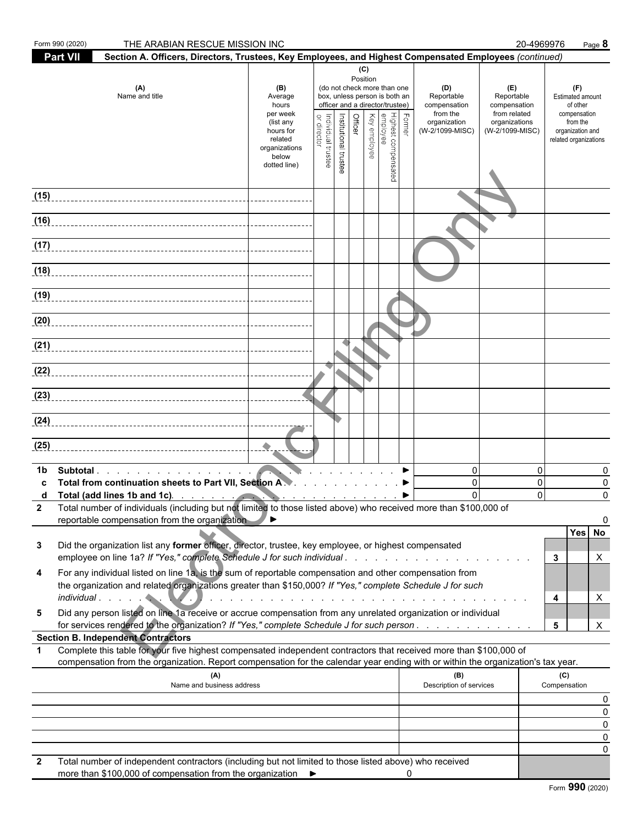| <b>Part VII</b><br>Section A. Officers, Directors, Trustees, Key Employees, and Highest Compensated Employees (continued)<br>(C)<br>Position<br>(do not check more than one<br>(A)<br>(D)<br>(F)<br>(E)<br>(B)<br>Name and title<br>box, unless person is both an<br>Reportable<br>Reportable<br><b>Estimated amount</b><br>Average<br>officer and a director/trustee)<br>compensation<br>compensation<br>of other<br>hours<br>from the<br>from related<br>compensation<br>per week<br>Highest compensated<br>  employee<br>  Key employee<br>Former<br>Institutional trustee<br><b>Officer</b><br>Individual trustee<br>or director<br>organization<br>organizations<br>from the<br>(list any<br>(W-2/1099-MISC)<br>(W-2/1099-MISC)<br>hours for<br>organization and<br>related<br>related organizations<br>organizations<br>below<br>dotted line)<br>(18)<br>(20)<br>(25)<br>0<br>$\mathbf{0}$<br>Subtotal.<br>0<br>1b<br>Total from continuation sheets to Part VII, Section A.V. ▶<br>$\mathbf{0}$<br>$\mathbf{0}$<br>0<br>$\mathbf{0}$<br>$\Omega$<br>Total (add lines 1b and 1c).<br>$\Omega$<br>Total number of individuals (including but not limited to those listed above) who received more than \$100,000 of<br>reportable compensation from the organization<br>◢▸<br>Yes No<br>Did the organization list any former officer, director, trustee, key employee, or highest compensated<br>3<br>3<br>X<br>For any individual listed on line 1a, is the sum of reportable compensation and other compensation from<br>4<br>the organization and related organizations greater than \$150,000? If "Yes," complete Schedule J for such<br>4<br>X<br>and a constitution of the constitution of the constitution of the constitution of the constitution of the constitution of the constitution of the constitution of the constitution of the constitution of the constitution of<br>Did any person listed on line 1a receive or accrue compensation from any unrelated organization or individual<br>5<br>for services rendered to the organization? If "Yes," complete Schedule J for such person<br>5<br>X<br><b>Section B. Independent Contractors</b><br>Complete this table for your five highest compensated independent contractors that received more than \$100,000 of<br>1<br>compensation from the organization. Report compensation for the calendar year ending with or within the organization's tax year.<br>(B)<br>(C)<br>(A)<br>Description of services<br>Name and business address<br>Compensation<br>0<br>0<br>0<br>Total number of independent contractors (including but not limited to those listed above) who received<br>2 | Form 990 (2020) | THE ARABIAN RESCUE MISSION INC |  |  |  |  | 20-4969976 | Page 8 |  |
|--------------------------------------------------------------------------------------------------------------------------------------------------------------------------------------------------------------------------------------------------------------------------------------------------------------------------------------------------------------------------------------------------------------------------------------------------------------------------------------------------------------------------------------------------------------------------------------------------------------------------------------------------------------------------------------------------------------------------------------------------------------------------------------------------------------------------------------------------------------------------------------------------------------------------------------------------------------------------------------------------------------------------------------------------------------------------------------------------------------------------------------------------------------------------------------------------------------------------------------------------------------------------------------------------------------------------------------------------------------------------------------------------------------------------------------------------------------------------------------------------------------------------------------------------------------------------------------------------------------------------------------------------------------------------------------------------------------------------------------------------------------------------------------------------------------------------------------------------------------------------------------------------------------------------------------------------------------------------------------------------------------------------------------------------------------------------------------------------------------------------------------------------------------------------------------------------------------------------------------------------------------------------------------------------------------------------------------------------------------------------------------------------------------------------------------------------------------------------------------------------------------------------------------------------------------------------------------------------------------------------------------------------------------|-----------------|--------------------------------|--|--|--|--|------------|--------|--|
|                                                                                                                                                                                                                                                                                                                                                                                                                                                                                                                                                                                                                                                                                                                                                                                                                                                                                                                                                                                                                                                                                                                                                                                                                                                                                                                                                                                                                                                                                                                                                                                                                                                                                                                                                                                                                                                                                                                                                                                                                                                                                                                                                                                                                                                                                                                                                                                                                                                                                                                                                                                                                                                              |                 |                                |  |  |  |  |            |        |  |
| 0<br>0                                                                                                                                                                                                                                                                                                                                                                                                                                                                                                                                                                                                                                                                                                                                                                                                                                                                                                                                                                                                                                                                                                                                                                                                                                                                                                                                                                                                                                                                                                                                                                                                                                                                                                                                                                                                                                                                                                                                                                                                                                                                                                                                                                                                                                                                                                                                                                                                                                                                                                                                                                                                                                                       |                 |                                |  |  |  |  |            |        |  |
| (16)<br>(17)<br>(19)<br>(21)<br>(23)                                                                                                                                                                                                                                                                                                                                                                                                                                                                                                                                                                                                                                                                                                                                                                                                                                                                                                                                                                                                                                                                                                                                                                                                                                                                                                                                                                                                                                                                                                                                                                                                                                                                                                                                                                                                                                                                                                                                                                                                                                                                                                                                                                                                                                                                                                                                                                                                                                                                                                                                                                                                                         | (15)            |                                |  |  |  |  |            |        |  |
|                                                                                                                                                                                                                                                                                                                                                                                                                                                                                                                                                                                                                                                                                                                                                                                                                                                                                                                                                                                                                                                                                                                                                                                                                                                                                                                                                                                                                                                                                                                                                                                                                                                                                                                                                                                                                                                                                                                                                                                                                                                                                                                                                                                                                                                                                                                                                                                                                                                                                                                                                                                                                                                              |                 |                                |  |  |  |  |            |        |  |
| (24)                                                                                                                                                                                                                                                                                                                                                                                                                                                                                                                                                                                                                                                                                                                                                                                                                                                                                                                                                                                                                                                                                                                                                                                                                                                                                                                                                                                                                                                                                                                                                                                                                                                                                                                                                                                                                                                                                                                                                                                                                                                                                                                                                                                                                                                                                                                                                                                                                                                                                                                                                                                                                                                         |                 |                                |  |  |  |  |            |        |  |
|                                                                                                                                                                                                                                                                                                                                                                                                                                                                                                                                                                                                                                                                                                                                                                                                                                                                                                                                                                                                                                                                                                                                                                                                                                                                                                                                                                                                                                                                                                                                                                                                                                                                                                                                                                                                                                                                                                                                                                                                                                                                                                                                                                                                                                                                                                                                                                                                                                                                                                                                                                                                                                                              |                 |                                |  |  |  |  |            |        |  |
|                                                                                                                                                                                                                                                                                                                                                                                                                                                                                                                                                                                                                                                                                                                                                                                                                                                                                                                                                                                                                                                                                                                                                                                                                                                                                                                                                                                                                                                                                                                                                                                                                                                                                                                                                                                                                                                                                                                                                                                                                                                                                                                                                                                                                                                                                                                                                                                                                                                                                                                                                                                                                                                              |                 |                                |  |  |  |  |            |        |  |
|                                                                                                                                                                                                                                                                                                                                                                                                                                                                                                                                                                                                                                                                                                                                                                                                                                                                                                                                                                                                                                                                                                                                                                                                                                                                                                                                                                                                                                                                                                                                                                                                                                                                                                                                                                                                                                                                                                                                                                                                                                                                                                                                                                                                                                                                                                                                                                                                                                                                                                                                                                                                                                                              |                 |                                |  |  |  |  |            |        |  |
|                                                                                                                                                                                                                                                                                                                                                                                                                                                                                                                                                                                                                                                                                                                                                                                                                                                                                                                                                                                                                                                                                                                                                                                                                                                                                                                                                                                                                                                                                                                                                                                                                                                                                                                                                                                                                                                                                                                                                                                                                                                                                                                                                                                                                                                                                                                                                                                                                                                                                                                                                                                                                                                              |                 |                                |  |  |  |  |            |        |  |
|                                                                                                                                                                                                                                                                                                                                                                                                                                                                                                                                                                                                                                                                                                                                                                                                                                                                                                                                                                                                                                                                                                                                                                                                                                                                                                                                                                                                                                                                                                                                                                                                                                                                                                                                                                                                                                                                                                                                                                                                                                                                                                                                                                                                                                                                                                                                                                                                                                                                                                                                                                                                                                                              |                 |                                |  |  |  |  |            |        |  |
|                                                                                                                                                                                                                                                                                                                                                                                                                                                                                                                                                                                                                                                                                                                                                                                                                                                                                                                                                                                                                                                                                                                                                                                                                                                                                                                                                                                                                                                                                                                                                                                                                                                                                                                                                                                                                                                                                                                                                                                                                                                                                                                                                                                                                                                                                                                                                                                                                                                                                                                                                                                                                                                              |                 |                                |  |  |  |  |            |        |  |
|                                                                                                                                                                                                                                                                                                                                                                                                                                                                                                                                                                                                                                                                                                                                                                                                                                                                                                                                                                                                                                                                                                                                                                                                                                                                                                                                                                                                                                                                                                                                                                                                                                                                                                                                                                                                                                                                                                                                                                                                                                                                                                                                                                                                                                                                                                                                                                                                                                                                                                                                                                                                                                                              |                 |                                |  |  |  |  |            |        |  |
|                                                                                                                                                                                                                                                                                                                                                                                                                                                                                                                                                                                                                                                                                                                                                                                                                                                                                                                                                                                                                                                                                                                                                                                                                                                                                                                                                                                                                                                                                                                                                                                                                                                                                                                                                                                                                                                                                                                                                                                                                                                                                                                                                                                                                                                                                                                                                                                                                                                                                                                                                                                                                                                              |                 |                                |  |  |  |  |            |        |  |
|                                                                                                                                                                                                                                                                                                                                                                                                                                                                                                                                                                                                                                                                                                                                                                                                                                                                                                                                                                                                                                                                                                                                                                                                                                                                                                                                                                                                                                                                                                                                                                                                                                                                                                                                                                                                                                                                                                                                                                                                                                                                                                                                                                                                                                                                                                                                                                                                                                                                                                                                                                                                                                                              |                 |                                |  |  |  |  |            |        |  |
|                                                                                                                                                                                                                                                                                                                                                                                                                                                                                                                                                                                                                                                                                                                                                                                                                                                                                                                                                                                                                                                                                                                                                                                                                                                                                                                                                                                                                                                                                                                                                                                                                                                                                                                                                                                                                                                                                                                                                                                                                                                                                                                                                                                                                                                                                                                                                                                                                                                                                                                                                                                                                                                              |                 |                                |  |  |  |  |            |        |  |
|                                                                                                                                                                                                                                                                                                                                                                                                                                                                                                                                                                                                                                                                                                                                                                                                                                                                                                                                                                                                                                                                                                                                                                                                                                                                                                                                                                                                                                                                                                                                                                                                                                                                                                                                                                                                                                                                                                                                                                                                                                                                                                                                                                                                                                                                                                                                                                                                                                                                                                                                                                                                                                                              |                 |                                |  |  |  |  |            |        |  |
|                                                                                                                                                                                                                                                                                                                                                                                                                                                                                                                                                                                                                                                                                                                                                                                                                                                                                                                                                                                                                                                                                                                                                                                                                                                                                                                                                                                                                                                                                                                                                                                                                                                                                                                                                                                                                                                                                                                                                                                                                                                                                                                                                                                                                                                                                                                                                                                                                                                                                                                                                                                                                                                              |                 |                                |  |  |  |  |            |        |  |
|                                                                                                                                                                                                                                                                                                                                                                                                                                                                                                                                                                                                                                                                                                                                                                                                                                                                                                                                                                                                                                                                                                                                                                                                                                                                                                                                                                                                                                                                                                                                                                                                                                                                                                                                                                                                                                                                                                                                                                                                                                                                                                                                                                                                                                                                                                                                                                                                                                                                                                                                                                                                                                                              |                 |                                |  |  |  |  |            |        |  |
|                                                                                                                                                                                                                                                                                                                                                                                                                                                                                                                                                                                                                                                                                                                                                                                                                                                                                                                                                                                                                                                                                                                                                                                                                                                                                                                                                                                                                                                                                                                                                                                                                                                                                                                                                                                                                                                                                                                                                                                                                                                                                                                                                                                                                                                                                                                                                                                                                                                                                                                                                                                                                                                              |                 |                                |  |  |  |  |            |        |  |
|                                                                                                                                                                                                                                                                                                                                                                                                                                                                                                                                                                                                                                                                                                                                                                                                                                                                                                                                                                                                                                                                                                                                                                                                                                                                                                                                                                                                                                                                                                                                                                                                                                                                                                                                                                                                                                                                                                                                                                                                                                                                                                                                                                                                                                                                                                                                                                                                                                                                                                                                                                                                                                                              |                 |                                |  |  |  |  |            |        |  |
|                                                                                                                                                                                                                                                                                                                                                                                                                                                                                                                                                                                                                                                                                                                                                                                                                                                                                                                                                                                                                                                                                                                                                                                                                                                                                                                                                                                                                                                                                                                                                                                                                                                                                                                                                                                                                                                                                                                                                                                                                                                                                                                                                                                                                                                                                                                                                                                                                                                                                                                                                                                                                                                              |                 |                                |  |  |  |  |            |        |  |
|                                                                                                                                                                                                                                                                                                                                                                                                                                                                                                                                                                                                                                                                                                                                                                                                                                                                                                                                                                                                                                                                                                                                                                                                                                                                                                                                                                                                                                                                                                                                                                                                                                                                                                                                                                                                                                                                                                                                                                                                                                                                                                                                                                                                                                                                                                                                                                                                                                                                                                                                                                                                                                                              |                 |                                |  |  |  |  |            |        |  |
|                                                                                                                                                                                                                                                                                                                                                                                                                                                                                                                                                                                                                                                                                                                                                                                                                                                                                                                                                                                                                                                                                                                                                                                                                                                                                                                                                                                                                                                                                                                                                                                                                                                                                                                                                                                                                                                                                                                                                                                                                                                                                                                                                                                                                                                                                                                                                                                                                                                                                                                                                                                                                                                              |                 |                                |  |  |  |  |            |        |  |
| more than \$100,000 of compensation from the organization ▶                                                                                                                                                                                                                                                                                                                                                                                                                                                                                                                                                                                                                                                                                                                                                                                                                                                                                                                                                                                                                                                                                                                                                                                                                                                                                                                                                                                                                                                                                                                                                                                                                                                                                                                                                                                                                                                                                                                                                                                                                                                                                                                                                                                                                                                                                                                                                                                                                                                                                                                                                                                                  |                 |                                |  |  |  |  |            |        |  |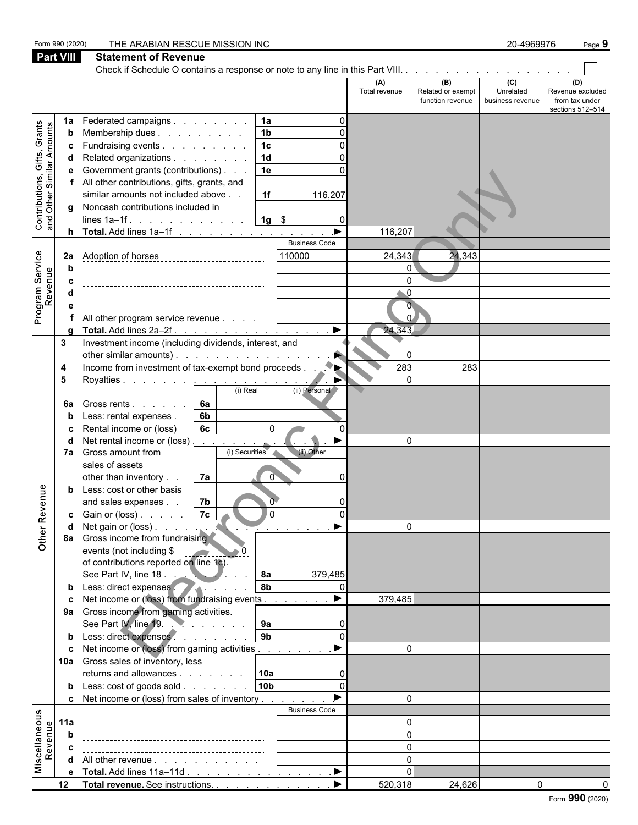|                                                                     | Form 990 (2020)  | THE ARABIAN RESCUE MISSION INC                                                          |                      |                                              | 20-4969976                                      | Page 9                                                        |
|---------------------------------------------------------------------|------------------|-----------------------------------------------------------------------------------------|----------------------|----------------------------------------------|-------------------------------------------------|---------------------------------------------------------------|
|                                                                     | <b>Part VIII</b> | <b>Statement of Revenue</b>                                                             |                      |                                              |                                                 |                                                               |
|                                                                     |                  |                                                                                         |                      |                                              |                                                 |                                                               |
|                                                                     |                  |                                                                                         | (A)<br>Total revenue | (B)<br>Related or exempt<br>function revenue | $\overline{c}$<br>Unrelated<br>business revenue | (D)<br>Revenue excluded<br>from tax under<br>sections 512-514 |
|                                                                     | 1a               | Federated campaigns<br>1a                                                               |                      |                                              |                                                 |                                                               |
| Grants<br>Contributions, Gifts, Grants<br>and Other Similar Amounts | b                | 1 <sub>b</sub><br>Membership dues                                                       |                      |                                              |                                                 |                                                               |
|                                                                     |                  | Fundraising events<br>1 <sub>c</sub>                                                    |                      |                                              |                                                 |                                                               |
|                                                                     |                  | Related organizations<br>1 <sub>d</sub>                                                 |                      |                                              |                                                 |                                                               |
|                                                                     | е                | Government grants (contributions)<br>1e                                                 |                      |                                              |                                                 |                                                               |
|                                                                     |                  | All other contributions, gifts, grants, and<br>similar amounts not included above<br>1f |                      |                                              |                                                 |                                                               |
|                                                                     |                  | 116,207<br>Noncash contributions included in                                            |                      |                                              |                                                 |                                                               |
|                                                                     | g                | $1g$   \$<br>lines $1a-1f$ . $\ldots$ $\ldots$ $\ldots$ $\ldots$<br>0                   |                      |                                              |                                                 |                                                               |
|                                                                     |                  | <b>h</b> Total. Add lines $1a-1f$                                                       | 116,207              |                                              |                                                 |                                                               |
|                                                                     |                  | <b>Business Code</b>                                                                    |                      |                                              |                                                 |                                                               |
| Service                                                             | 2a               | 110000                                                                                  | 24,343               | 24,343                                       |                                                 |                                                               |
|                                                                     |                  |                                                                                         | $\Omega$             |                                              |                                                 |                                                               |
| Program Serv<br>Revenue                                             |                  |                                                                                         |                      |                                              |                                                 |                                                               |
|                                                                     |                  |                                                                                         | $\bullet$ 0          |                                              |                                                 |                                                               |
|                                                                     |                  |                                                                                         | $\overline{0}$<br>ΩI |                                              |                                                 |                                                               |
|                                                                     |                  | All other program service revenue<br>$\blacktriangleright$<br>Total. Add lines 2a-2f.   | 24,343               |                                              |                                                 |                                                               |
|                                                                     | 3                | Investment income (including dividends, interest, and                                   |                      |                                              |                                                 |                                                               |
|                                                                     |                  | other similar amounts).                                                                 | $\Omega$             |                                              |                                                 |                                                               |
|                                                                     | 4                | Income from investment of tax-exempt bond proceeds.                                     | 283                  | 283                                          |                                                 |                                                               |
|                                                                     | 5                | Royalties <u>.</u>                                                                      | $\Omega$             |                                              |                                                 |                                                               |
|                                                                     |                  | (i) Real<br>(ii) Personal                                                               |                      |                                              |                                                 |                                                               |
|                                                                     | 6a               | 6а<br>Gross rents                                                                       |                      |                                              |                                                 |                                                               |
|                                                                     |                  | Less: rental expenses.<br>6b<br>O                                                       |                      |                                              |                                                 |                                                               |
|                                                                     | С                | Rental income or (loss)<br>6c<br>$\Omega$<br>Net rental income or (loss)                | $\Omega$             |                                              |                                                 |                                                               |
|                                                                     | 7а               | Gross amount from<br>(ii) Other<br>(i) Securities                                       |                      |                                              |                                                 |                                                               |
|                                                                     |                  | sales of assets                                                                         |                      |                                              |                                                 |                                                               |
|                                                                     |                  | other than inventory.<br>7a<br>$\overline{0}$                                           |                      |                                              |                                                 |                                                               |
| nue                                                                 |                  | Less: cost or other basis                                                               |                      |                                              |                                                 |                                                               |
|                                                                     |                  | 7b<br>and sales expenses                                                                |                      |                                              |                                                 |                                                               |
|                                                                     | c.               | 7c <br><b>O</b><br>Gain or (loss)                                                       |                      |                                              |                                                 |                                                               |
| Other Rev                                                           |                  | $\sim$ 100 $\sim$ 100 $\sim$<br>Gross income from fundraising                           | $\Omega$             |                                              |                                                 |                                                               |
|                                                                     | 8а               | events (not including \$                                                                |                      |                                              |                                                 |                                                               |
|                                                                     |                  | of contributions reported on line 1c).                                                  |                      |                                              |                                                 |                                                               |
|                                                                     |                  | See Part IV, line 18.<br>8a<br>379,485                                                  |                      |                                              |                                                 |                                                               |
|                                                                     |                  | 8b<br>Less: direct expenses                                                             |                      |                                              |                                                 |                                                               |
|                                                                     |                  | $\blacktriangleright$<br>Net income or (loss) from fundraising events                   | 379,485              |                                              |                                                 |                                                               |
|                                                                     | 9а               | Gross income from gaming activities.                                                    |                      |                                              |                                                 |                                                               |
|                                                                     |                  | See Part IV, line 19.<br>9a                                                             |                      |                                              |                                                 |                                                               |
|                                                                     |                  | 9 <sub>b</sub><br>Less: direct expenses<br>$\Omega$                                     | $\Omega$             |                                              |                                                 |                                                               |
|                                                                     | C<br>10a         | Net income or (loss) from gaming activities<br>Gross sales of inventory, less           |                      |                                              |                                                 |                                                               |
|                                                                     |                  | 10a<br>returns and allowances                                                           |                      |                                              |                                                 |                                                               |
|                                                                     |                  | 10b<br><b>b</b> Less: $\cosh$ of goods $\sinh$<br>$\Omega$                              |                      |                                              |                                                 |                                                               |
|                                                                     |                  | Net income or (loss) from sales of inventory                                            | $\Omega$             |                                              |                                                 |                                                               |
|                                                                     |                  | <b>Business Code</b>                                                                    |                      |                                              |                                                 |                                                               |
| Miscellaneous<br>Revenue                                            | 11a              |                                                                                         | $\Omega$             |                                              |                                                 |                                                               |
|                                                                     |                  |                                                                                         | $\Omega$             |                                              |                                                 |                                                               |
|                                                                     |                  |                                                                                         | $\Omega$             |                                              |                                                 |                                                               |
|                                                                     | d                | All other revenue                                                                       | $\Omega$             |                                              |                                                 |                                                               |
|                                                                     | е                | Total. Add lines 11a-11d<br>$\blacktriangleright$                                       | $\Omega$             |                                              |                                                 |                                                               |
|                                                                     | 12               | Total revenue. See instructions.                                                        | 520,318              | 24,626                                       | $\Omega$                                        |                                                               |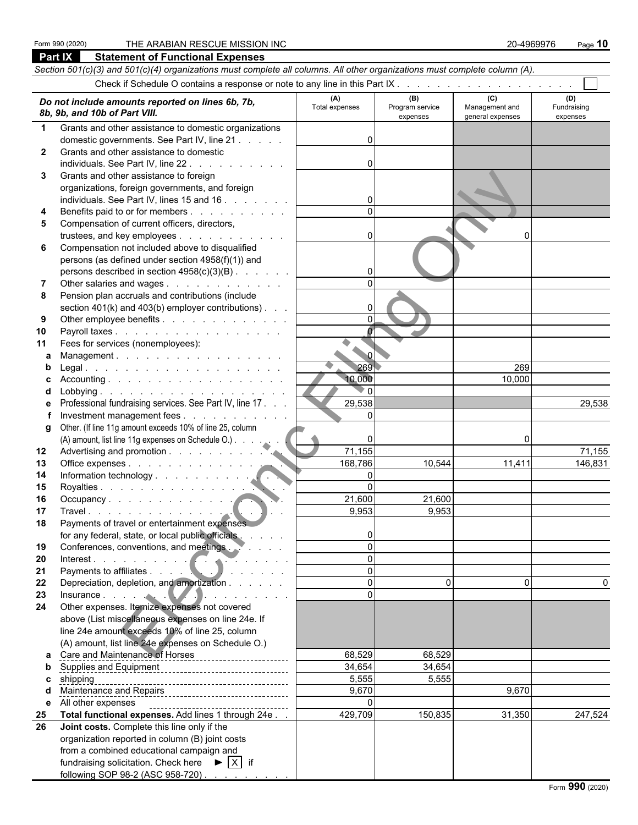following SOP 98-2 (ASC 958-720)

|              | Part IX<br><b>Statement of Functional Expenses</b>                                                                                                                                                                                 |                      |                 |                                    |             |
|--------------|------------------------------------------------------------------------------------------------------------------------------------------------------------------------------------------------------------------------------------|----------------------|-----------------|------------------------------------|-------------|
|              | Section 501(c)(3) and 501(c)(4) organizations must complete all columns. All other organizations must complete column (A).                                                                                                         |                      |                 |                                    |             |
|              |                                                                                                                                                                                                                                    |                      |                 |                                    |             |
|              | Do not include amounts reported on lines 6b, 7b,                                                                                                                                                                                   | (A)                  | (B)             | (C)                                | (D)         |
|              | 8b, 9b, and 10b of Part VIII.                                                                                                                                                                                                      | Total expenses       | Program service | Management and<br>general expenses | Fundraising |
| $\mathbf 1$  | Grants and other assistance to domestic organizations                                                                                                                                                                              |                      | expenses        |                                    | expenses    |
|              | domestic governments. See Part IV, line 21                                                                                                                                                                                         | 0                    |                 |                                    |             |
| $\mathbf{2}$ | Grants and other assistance to domestic                                                                                                                                                                                            |                      |                 |                                    |             |
|              | individuals. See Part IV, line 22.<br>and the contract of the contract of                                                                                                                                                          | <sup>0</sup>         |                 |                                    |             |
| 3            | Grants and other assistance to foreign                                                                                                                                                                                             |                      |                 |                                    |             |
|              | organizations, foreign governments, and foreign                                                                                                                                                                                    |                      |                 |                                    |             |
|              | individuals. See Part IV, lines 15 and 16                                                                                                                                                                                          |                      |                 |                                    |             |
| 4            | Benefits paid to or for members                                                                                                                                                                                                    |                      |                 |                                    |             |
| 5            | Compensation of current officers, directors,                                                                                                                                                                                       |                      |                 |                                    |             |
|              | trustees, and key employees                                                                                                                                                                                                        | $\Omega$             |                 | ŋ                                  |             |
| 6            | Compensation not included above to disqualified                                                                                                                                                                                    |                      |                 |                                    |             |
|              | persons (as defined under section 4958(f)(1)) and                                                                                                                                                                                  |                      |                 |                                    |             |
|              | persons described in section 4958(c)(3)(B)                                                                                                                                                                                         | 0                    |                 |                                    |             |
| 7            | Other salaries and wages                                                                                                                                                                                                           | $\Omega$             |                 |                                    |             |
| 8            | Pension plan accruals and contributions (include                                                                                                                                                                                   |                      |                 |                                    |             |
|              | section 401(k) and 403(b) employer contributions)                                                                                                                                                                                  | 0                    |                 |                                    |             |
| 9            | Other employee benefits                                                                                                                                                                                                            | $\Omega$             |                 |                                    |             |
| 10           | Payroll taxes                                                                                                                                                                                                                      | $\overline{0}$       |                 |                                    |             |
| 11           | Fees for services (nonemployees):                                                                                                                                                                                                  | ۰<br>$\sim$ $\sigma$ |                 |                                    |             |
| a            | Management.                                                                                                                                                                                                                        | 269                  |                 |                                    |             |
| b            |                                                                                                                                                                                                                                    | 10,000               |                 | 269<br>10,000                      |             |
|              |                                                                                                                                                                                                                                    | $\Omega$             |                 |                                    |             |
|              | Professional fundraising services. See Part IV, line 17.                                                                                                                                                                           | 29,538               |                 |                                    | 29,538      |
|              | Investment management fees                                                                                                                                                                                                         | $\Omega$             |                 |                                    |             |
| g            | Other. (If line 11g amount exceeds 10% of line 25, column                                                                                                                                                                          |                      |                 |                                    |             |
|              | (A) amount, list line 11g expenses on Schedule O.)                                                                                                                                                                                 |                      |                 | O                                  |             |
| $12 \,$      |                                                                                                                                                                                                                                    | 71,155               |                 |                                    | 71,155      |
| 13           | Office expenses                                                                                                                                                                                                                    | 168,786              | 10,544          | 11,411                             | 146,831     |
| 14           |                                                                                                                                                                                                                                    | $\overline{0}$       |                 |                                    |             |
| 15           | Royalties                                                                                                                                                                                                                          | $\Omega$             |                 |                                    |             |
| 16           | Occupancy                                                                                                                                                                                                                          | 21,600               | 21,600          |                                    |             |
| 17           |                                                                                                                                                                                                                                    | 9,953                | 9,953           |                                    |             |
| 18           | Payments of travel or entertainment expenses                                                                                                                                                                                       |                      |                 |                                    |             |
|              | for any federal, state, or local public officials                                                                                                                                                                                  | 0                    |                 |                                    |             |
| 19           | Conferences, conventions, and meetings.                                                                                                                                                                                            | $\Omega$             |                 |                                    |             |
| 20           | Interest<br>Payments to affiliates<br>expansion of the set of the set of the set of the set of the set of the set of the set of the set of the set of the set of the set of the set of the set of the set of the set of the set of | $\Omega$<br>$\Omega$ |                 |                                    |             |
| 21           |                                                                                                                                                                                                                                    | $\Omega$             | $\Omega$        | $\Omega$                           |             |
| 22<br>23     | Depreciation, depletion, and amortization                                                                                                                                                                                          | $\Omega$             |                 |                                    |             |
| 24           | Insurance<br>Other expenses. Itemize expenses not covered                                                                                                                                                                          |                      |                 |                                    |             |
|              | above (List miscellaneous expenses on line 24e. If                                                                                                                                                                                 |                      |                 |                                    |             |
|              | line 24e amount exceeds 10% of line 25, column                                                                                                                                                                                     |                      |                 |                                    |             |
|              | (A) amount, list line 24e expenses on Schedule O.)                                                                                                                                                                                 |                      |                 |                                    |             |
| a            | Care and Maintenance of Horses                                                                                                                                                                                                     | 68,529               | 68,529          |                                    |             |
| b            |                                                                                                                                                                                                                                    | 34,654               | 34,654          |                                    |             |
| c            |                                                                                                                                                                                                                                    | 5,555                | 5,555           |                                    |             |
|              | Maintenance and Repairs<br>Maintenance and Repairs                                                                                                                                                                                 | 9,670                |                 | 9,670                              |             |
| е            | All other expenses                                                                                                                                                                                                                 | $\Omega$             |                 |                                    |             |
| 25           | Total functional expenses. Add lines 1 through 24e                                                                                                                                                                                 | 429,709              | 150,835         | 31,350                             | 247,524     |
| 26           | Joint costs. Complete this line only if the                                                                                                                                                                                        |                      |                 |                                    |             |
|              | organization reported in column (B) joint costs                                                                                                                                                                                    |                      |                 |                                    |             |
|              | from a combined educational campaign and                                                                                                                                                                                           |                      |                 |                                    |             |
|              | fundraising solicitation. Check here $\mathbf{P}   X  $ if                                                                                                                                                                         |                      |                 |                                    |             |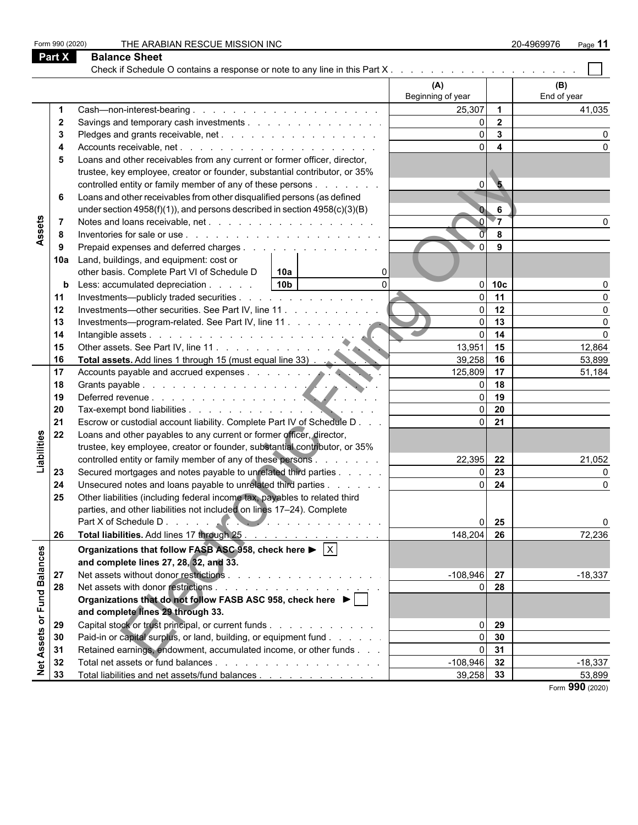|  |                                                                                                                                                                                                                                                                     | THE ARABIAN RESCUE MISSION INC                                                                |                   |                 | 20-4969976<br>Page 11 |
|--|---------------------------------------------------------------------------------------------------------------------------------------------------------------------------------------------------------------------------------------------------------------------|-----------------------------------------------------------------------------------------------|-------------------|-----------------|-----------------------|
|  |                                                                                                                                                                                                                                                                     | <b>Balance Sheet</b>                                                                          |                   |                 |                       |
|  |                                                                                                                                                                                                                                                                     |                                                                                               |                   |                 |                       |
|  |                                                                                                                                                                                                                                                                     |                                                                                               | (A)               |                 | (B)                   |
|  |                                                                                                                                                                                                                                                                     |                                                                                               | Beginning of year |                 | End of year           |
|  |                                                                                                                                                                                                                                                                     |                                                                                               | 25,307            | $\overline{1}$  | 41,035                |
|  | $\mathbf{2}$                                                                                                                                                                                                                                                        | Savings and temporary cash investments                                                        | $\Omega$          | $\overline{2}$  |                       |
|  | 3                                                                                                                                                                                                                                                                   |                                                                                               | $\Omega$          | $\mathbf{3}$    |                       |
|  | 4                                                                                                                                                                                                                                                                   |                                                                                               |                   | $\overline{4}$  |                       |
|  | 5                                                                                                                                                                                                                                                                   | Loans and other receivables from any current or former officer, director,                     |                   |                 |                       |
|  |                                                                                                                                                                                                                                                                     | trustee, key employee, creator or founder, substantial contributor, or 35%                    |                   |                 |                       |
|  |                                                                                                                                                                                                                                                                     | controlled entity or family member of any of these persons                                    | $\overline{0}$    | $\overline{5}$  |                       |
|  | Form 990 (2020)<br><b>Part X</b><br>6<br>Assets<br>-7<br>8<br>9<br>10a<br>b<br>11<br>12<br>13<br>14<br>15<br>16<br>17<br>18<br>19<br>20<br>21<br>Liabilities<br>22<br>23<br>24<br>25<br>26<br>Net Assets or Fund Balances<br>27<br>28<br>29<br>30<br>31<br>32<br>33 | Loans and other receivables from other disqualified persons (as defined                       |                   |                 |                       |
|  |                                                                                                                                                                                                                                                                     | under section $4958(f)(1)$ , and persons described in section $4958(c)(3)(B)$                 |                   | 6               |                       |
|  |                                                                                                                                                                                                                                                                     |                                                                                               |                   | $\overline{\ }$ |                       |
|  |                                                                                                                                                                                                                                                                     |                                                                                               |                   | 8               |                       |
|  |                                                                                                                                                                                                                                                                     | Prepaid expenses and deferred charges                                                         | $\Omega$          | 9               |                       |
|  |                                                                                                                                                                                                                                                                     | Land, buildings, and equipment: cost or                                                       |                   |                 |                       |
|  |                                                                                                                                                                                                                                                                     | other basis. Complete Part VI of Schedule D<br>10a<br>0                                       |                   |                 |                       |
|  |                                                                                                                                                                                                                                                                     | 10 <sub>b</sub><br>Less: accumulated depreciation<br>$\Omega$                                 | $\Omega$          | 10 <sub>c</sub> |                       |
|  |                                                                                                                                                                                                                                                                     | Investments—publicly traded securities                                                        | $\Omega$          | 11              |                       |
|  |                                                                                                                                                                                                                                                                     | Investments—other securities. See Part IV, line 11.                                           | $\Omega$          | 12              |                       |
|  |                                                                                                                                                                                                                                                                     | Investments-program-related. See Part IV, line 11                                             | $\overline{0}$    | 13              | U                     |
|  |                                                                                                                                                                                                                                                                     |                                                                                               | $\Omega$          | 14              | U                     |
|  |                                                                                                                                                                                                                                                                     |                                                                                               | 13,951            | 15              | 12,864                |
|  |                                                                                                                                                                                                                                                                     |                                                                                               | 39,258 16         |                 | 53,899                |
|  |                                                                                                                                                                                                                                                                     |                                                                                               | 125,809 17        |                 | 51,184                |
|  |                                                                                                                                                                                                                                                                     |                                                                                               |                   | 18              |                       |
|  |                                                                                                                                                                                                                                                                     |                                                                                               | $\Omega$          | 19              |                       |
|  |                                                                                                                                                                                                                                                                     |                                                                                               |                   | 20              |                       |
|  |                                                                                                                                                                                                                                                                     | Escrow or custodial account liability. Complete Part IV of Schedule D                         | $\Omega$          | 21              |                       |
|  |                                                                                                                                                                                                                                                                     | Loans and other payables to any current or former officer, director,                          |                   |                 |                       |
|  |                                                                                                                                                                                                                                                                     | trustee, key employee, creator or founder, substantial contributor, or 35%                    |                   |                 |                       |
|  |                                                                                                                                                                                                                                                                     | controlled entity or family member of any of these persons                                    | 22,395 22         |                 | 21,052                |
|  |                                                                                                                                                                                                                                                                     | Secured mortgages and notes payable to unrelated third parties                                |                   | 23              | O                     |
|  |                                                                                                                                                                                                                                                                     | Unsecured notes and loans payable to unrelated third parties                                  |                   | 24              | 0                     |
|  |                                                                                                                                                                                                                                                                     | Other liabilities (including federal income tax, payables to related third                    |                   |                 |                       |
|  |                                                                                                                                                                                                                                                                     | parties, and other liabilities not included on lines 17-24). Complete                         |                   |                 |                       |
|  |                                                                                                                                                                                                                                                                     |                                                                                               |                   | 25              | O                     |
|  |                                                                                                                                                                                                                                                                     | Total liabilities. Add lines 17 through 25                                                    | 148,204 26        |                 | 72,236                |
|  |                                                                                                                                                                                                                                                                     |                                                                                               |                   |                 |                       |
|  |                                                                                                                                                                                                                                                                     | Organizations that follow FASB ASC 958, check here $\blacktriangleright \lceil \times \rceil$ |                   |                 |                       |
|  |                                                                                                                                                                                                                                                                     | and complete lines 27, 28, 32, and 33.                                                        |                   |                 |                       |
|  |                                                                                                                                                                                                                                                                     |                                                                                               | $-108,946$ 27     |                 | $-18,337$             |
|  |                                                                                                                                                                                                                                                                     |                                                                                               |                   | 28              |                       |
|  |                                                                                                                                                                                                                                                                     | Organizations that do not follow FASB ASC 958, check here ▶                                   |                   |                 |                       |
|  |                                                                                                                                                                                                                                                                     | and complete lines 29 through 33.                                                             |                   |                 |                       |
|  |                                                                                                                                                                                                                                                                     | Capital stock or trust principal, or current funds                                            | $\Omega$          | 29              |                       |
|  |                                                                                                                                                                                                                                                                     | Paid-in or capital surplus, or land, building, or equipment fund                              | $\Omega$          | 30              |                       |
|  |                                                                                                                                                                                                                                                                     | Retained earnings, endowment, accumulated income, or other funds                              | 0                 | 31              |                       |
|  |                                                                                                                                                                                                                                                                     |                                                                                               | $-108,946$ 32     |                 | $-18,337$             |
|  |                                                                                                                                                                                                                                                                     | Total liabilities and net assets/fund balances                                                | $39,258$ 33       |                 | 53,899                |
|  |                                                                                                                                                                                                                                                                     |                                                                                               |                   |                 | Form 990 (2020)       |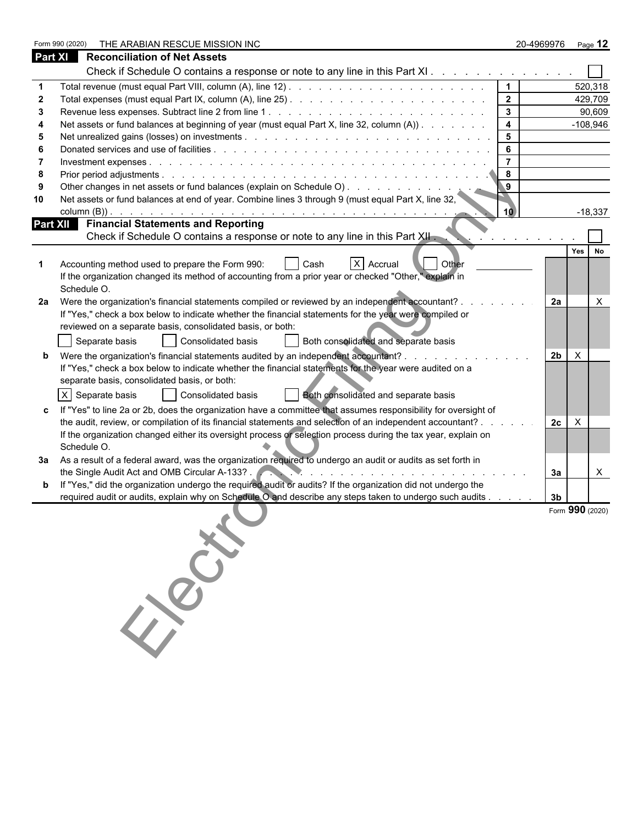|                | Form 990 (2020)<br>THE ARABIAN RESCUE MISSION INC                                                                                                                                             | 20-4969976     | Page 12                   |
|----------------|-----------------------------------------------------------------------------------------------------------------------------------------------------------------------------------------------|----------------|---------------------------|
| <b>Part XI</b> | <b>Reconciliation of Net Assets</b>                                                                                                                                                           |                |                           |
|                | Check if Schedule O contains a response or note to any line in this Part XI                                                                                                                   |                |                           |
|                | $\mathbf 1$                                                                                                                                                                                   |                | 520,318                   |
|                | $\overline{2}$                                                                                                                                                                                |                | 429,709                   |
| 3              | $\mathbf{3}$                                                                                                                                                                                  |                | 90,609                    |
|                | Net assets or fund balances at beginning of year (must equal Part X, line 32, column (A))<br>4                                                                                                |                | $-108,946$                |
| -5             | 5                                                                                                                                                                                             |                |                           |
|                | 6                                                                                                                                                                                             |                |                           |
|                | $\overline{7}$                                                                                                                                                                                |                |                           |
| 8              | 8                                                                                                                                                                                             |                |                           |
|                |                                                                                                                                                                                               |                |                           |
| 10             | Net assets or fund balances at end of year. Combine lines 3 through 9 (must equal Part X, line 32,<br>10)                                                                                     |                | $-18,337$                 |
|                | <b>Part XII</b> Financial Statements and Reporting<br>Check if Schedule O contains a response or note to any line in this Part XII.                                                           |                |                           |
|                |                                                                                                                                                                                               |                |                           |
|                |                                                                                                                                                                                               |                | Yes<br>No                 |
|                | X Accrual<br><b>Other</b><br>Accounting method used to prepare the Form 990:<br>Cash<br>If the organization changed its method of accounting from a prior year or checked "Other," explain in |                |                           |
|                | Schedule O.                                                                                                                                                                                   |                |                           |
| 2a             | Were the organization's financial statements compiled or reviewed by an independent accountant? .                                                                                             | 2a             | $\times$                  |
|                | If "Yes," check a box below to indicate whether the financial statements for the year were compiled or                                                                                        |                |                           |
|                | reviewed on a separate basis, consolidated basis, or both:                                                                                                                                    |                |                           |
|                | Separate basis<br>Consolidated basis<br>Both consolidated and separate basis                                                                                                                  |                |                           |
|                |                                                                                                                                                                                               |                |                           |
|                | Were the organization's financial statements audited by an independent accountant? .                                                                                                          | 2 <sub>b</sub> | $\times$                  |
|                | If "Yes," check a box below to indicate whether the financial statements for the year were audited on a                                                                                       |                |                           |
|                | separate basis, consolidated basis, or both:                                                                                                                                                  |                |                           |
|                | X Separate basis<br><b>Consolidated basis</b><br>Both consolidated and separate basis                                                                                                         |                |                           |
|                | If "Yes" to line 2a or 2b, does the organization have a committee that assumes responsibility for oversight of                                                                                |                |                           |
|                | the audit, review, or compilation of its financial statements and selection of an independent accountant?                                                                                     | 2c             | $\boldsymbol{\mathsf{X}}$ |
|                | If the organization changed either its oversight process or selection process during the tax year, explain on                                                                                 |                |                           |
|                | Schedule O.                                                                                                                                                                                   |                |                           |
|                | 3a  As a result of a federal award, was the organization required to undergo an audit or audits as set forth in                                                                               |                |                           |
|                | the Single Audit Act and OMB Circular A-133?.                                                                                                                                                 | За             | X                         |
|                | If "Yes," did the organization undergo the required audit or audits? If the organization did not undergo the                                                                                  |                |                           |
|                | required audit or audits, explain why on Schedule O and describe any steps taken to undergo such audits                                                                                       | 3 <sub>b</sub> |                           |
|                |                                                                                                                                                                                               |                | Form 990 (2020)           |
|                |                                                                                                                                                                                               |                |                           |
|                |                                                                                                                                                                                               |                |                           |
|                |                                                                                                                                                                                               |                |                           |
|                |                                                                                                                                                                                               |                |                           |
|                | 150                                                                                                                                                                                           |                |                           |
|                |                                                                                                                                                                                               |                |                           |
|                |                                                                                                                                                                                               |                |                           |
|                |                                                                                                                                                                                               |                |                           |
|                |                                                                                                                                                                                               |                |                           |
|                |                                                                                                                                                                                               |                |                           |
|                |                                                                                                                                                                                               |                |                           |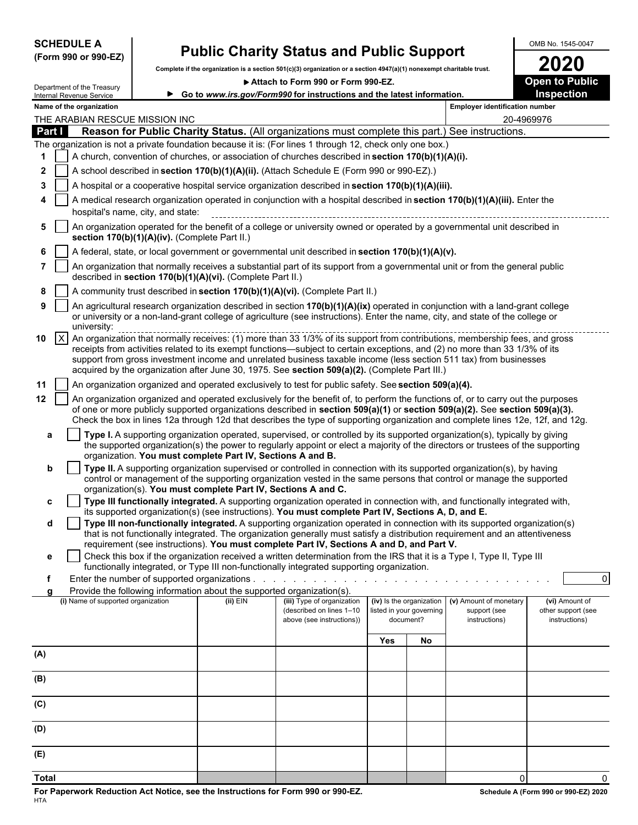| <b>SCHEDULE A</b> |  |                      |
|-------------------|--|----------------------|
|                   |  | (Form 990 or 990-EZ) |

# **Public Charity Status and Public Support** <br> **COLUTE A 2020**

**Complete if the organization is a section 501(c)(3) organization or a section 4947(a)(1) nonexempt charitable trust. 2020**

▶ Attach to Form 990 or Form 990-EZ.

|              |                                                                                                                                                                                                                                                                                | Department of the Treasury<br>Internal Revenue Service |                                               |                                                                                                                           | Go to www.irs.gov/Form990 for instructions and the latest information.                                                                                                                                                                                                                                                                                                                                                                                                           |                                                                   |    |                                                         | Inspection                                            |  |  |  |  |
|--------------|--------------------------------------------------------------------------------------------------------------------------------------------------------------------------------------------------------------------------------------------------------------------------------|--------------------------------------------------------|-----------------------------------------------|---------------------------------------------------------------------------------------------------------------------------|----------------------------------------------------------------------------------------------------------------------------------------------------------------------------------------------------------------------------------------------------------------------------------------------------------------------------------------------------------------------------------------------------------------------------------------------------------------------------------|-------------------------------------------------------------------|----|---------------------------------------------------------|-------------------------------------------------------|--|--|--|--|
|              |                                                                                                                                                                                                                                                                                | Name of the organization                               |                                               |                                                                                                                           |                                                                                                                                                                                                                                                                                                                                                                                                                                                                                  |                                                                   |    | <b>Employer identification number</b>                   |                                                       |  |  |  |  |
|              |                                                                                                                                                                                                                                                                                |                                                        | THE ARABIAN RESCUE MISSION INC                |                                                                                                                           |                                                                                                                                                                                                                                                                                                                                                                                                                                                                                  |                                                                   |    | 20-4969976                                              |                                                       |  |  |  |  |
|              | Part I                                                                                                                                                                                                                                                                         |                                                        |                                               |                                                                                                                           | Reason for Public Charity Status. (All organizations must complete this part.) See instructions.<br>The organization is not a private foundation because it is: (For lines 1 through 12, check only one box.)                                                                                                                                                                                                                                                                    |                                                                   |    |                                                         |                                                       |  |  |  |  |
| 1            |                                                                                                                                                                                                                                                                                |                                                        |                                               |                                                                                                                           | A church, convention of churches, or association of churches described in section 170(b)(1)(A)(i).                                                                                                                                                                                                                                                                                                                                                                               |                                                                   |    |                                                         |                                                       |  |  |  |  |
| $\mathbf{2}$ |                                                                                                                                                                                                                                                                                |                                                        |                                               | A school described in section 170(b)(1)(A)(ii). (Attach Schedule E (Form 990 or 990-EZ).)                                 |                                                                                                                                                                                                                                                                                                                                                                                                                                                                                  |                                                                   |    |                                                         |                                                       |  |  |  |  |
| 3            |                                                                                                                                                                                                                                                                                |                                                        |                                               | A hospital or a cooperative hospital service organization described in section $170(b)(1)(A)(iii)$ .                      |                                                                                                                                                                                                                                                                                                                                                                                                                                                                                  |                                                                   |    |                                                         |                                                       |  |  |  |  |
|              |                                                                                                                                                                                                                                                                                |                                                        |                                               |                                                                                                                           | A medical research organization operated in conjunction with a hospital described in section 170(b)(1)(A)(iii). Enter the                                                                                                                                                                                                                                                                                                                                                        |                                                                   |    |                                                         |                                                       |  |  |  |  |
|              |                                                                                                                                                                                                                                                                                |                                                        | hospital's name, city, and state:             |                                                                                                                           |                                                                                                                                                                                                                                                                                                                                                                                                                                                                                  |                                                                   |    |                                                         |                                                       |  |  |  |  |
| 5            |                                                                                                                                                                                                                                                                                |                                                        | section 170(b)(1)(A)(iv). (Complete Part II.) | An organization operated for the benefit of a college or university owned or operated by a governmental unit described in |                                                                                                                                                                                                                                                                                                                                                                                                                                                                                  |                                                                   |    |                                                         |                                                       |  |  |  |  |
| 6            |                                                                                                                                                                                                                                                                                |                                                        |                                               |                                                                                                                           | A federal, state, or local government or governmental unit described in section 170(b)(1)(A)(v).                                                                                                                                                                                                                                                                                                                                                                                 |                                                                   |    |                                                         |                                                       |  |  |  |  |
|              |                                                                                                                                                                                                                                                                                |                                                        |                                               | described in section 170(b)(1)(A)(vi). (Complete Part II.)                                                                | An organization that normally receives a substantial part of its support from a governmental unit or from the general public                                                                                                                                                                                                                                                                                                                                                     |                                                                   |    |                                                         |                                                       |  |  |  |  |
| 8            |                                                                                                                                                                                                                                                                                |                                                        |                                               |                                                                                                                           | A community trust described in section 170(b)(1)(A)(vi). (Complete Part II.)                                                                                                                                                                                                                                                                                                                                                                                                     |                                                                   |    |                                                         |                                                       |  |  |  |  |
| 9            | An agricultural research organization described in section 170(b)(1)(A)(ix) operated in conjunction with a land-grant college<br>or university or a non-land-grant college of agriculture (see instructions). Enter the name, city, and state of the college or<br>university: |                                                        |                                               |                                                                                                                           |                                                                                                                                                                                                                                                                                                                                                                                                                                                                                  |                                                                   |    |                                                         |                                                       |  |  |  |  |
| 10           | $\vert x \vert$                                                                                                                                                                                                                                                                |                                                        |                                               |                                                                                                                           | An organization that normally receives: (1) more than 33 1/3% of its support from contributions, membership fees, and gross<br>receipts from activities related to its exempt functions—subject to certain exceptions, and (2) no more than 33 1/3% of its<br>support from gross investment income and unrelated business taxable income (less section 511 tax) from businesses<br>acquired by the organization after June 30, 1975. See section 509(a)(2). (Complete Part III.) |                                                                   |    |                                                         |                                                       |  |  |  |  |
| 11           |                                                                                                                                                                                                                                                                                |                                                        |                                               |                                                                                                                           | An organization organized and operated exclusively to test for public safety. See section 509(a)(4).                                                                                                                                                                                                                                                                                                                                                                             |                                                                   |    |                                                         |                                                       |  |  |  |  |
| 12           |                                                                                                                                                                                                                                                                                |                                                        |                                               |                                                                                                                           | An organization organized and operated exclusively for the benefit of, to perform the functions of, or to carry out the purposes<br>of one or more publicly supported organizations described in section 509(a)(1) or section 509(a)(2). See section 509(a)(3).<br>Check the box in lines 12a through 12d that describes the type of supporting organization and complete lines 12e, 12f, and 12g.                                                                               |                                                                   |    |                                                         |                                                       |  |  |  |  |
| a            |                                                                                                                                                                                                                                                                                |                                                        |                                               | organization. You must complete Part IV, Sections A and B.                                                                | Type I. A supporting organization operated, supervised, or controlled by its supported organization(s), typically by giving<br>the supported organization(s) the power to regularly appoint or elect a majority of the directors or trustees of the supporting                                                                                                                                                                                                                   |                                                                   |    |                                                         |                                                       |  |  |  |  |
| b            |                                                                                                                                                                                                                                                                                |                                                        |                                               |                                                                                                                           | Type II. A supporting organization supervised or controlled in connection with its supported organization(s), by having                                                                                                                                                                                                                                                                                                                                                          |                                                                   |    |                                                         |                                                       |  |  |  |  |
|              |                                                                                                                                                                                                                                                                                |                                                        |                                               | organization(s). You must complete Part IV, Sections A and C.                                                             | control or management of the supporting organization vested in the same persons that control or manage the supported                                                                                                                                                                                                                                                                                                                                                             |                                                                   |    |                                                         |                                                       |  |  |  |  |
| c            |                                                                                                                                                                                                                                                                                |                                                        |                                               |                                                                                                                           | Type III functionally integrated. A supporting organization operated in connection with, and functionally integrated with,                                                                                                                                                                                                                                                                                                                                                       |                                                                   |    |                                                         |                                                       |  |  |  |  |
|              |                                                                                                                                                                                                                                                                                |                                                        |                                               |                                                                                                                           | its supported organization(s) (see instructions). You must complete Part IV, Sections A, D, and E.                                                                                                                                                                                                                                                                                                                                                                               |                                                                   |    |                                                         |                                                       |  |  |  |  |
| d            |                                                                                                                                                                                                                                                                                |                                                        |                                               |                                                                                                                           | Type III non-functionally integrated. A supporting organization operated in connection with its supported organization(s)<br>that is not functionally integrated. The organization generally must satisfy a distribution requirement and an attentiveness<br>requirement (see instructions). You must complete Part IV, Sections A and D, and Part V.                                                                                                                            |                                                                   |    |                                                         |                                                       |  |  |  |  |
| е            |                                                                                                                                                                                                                                                                                |                                                        |                                               |                                                                                                                           | Check this box if the organization received a written determination from the IRS that it is a Type I, Type II, Type III                                                                                                                                                                                                                                                                                                                                                          |                                                                   |    |                                                         |                                                       |  |  |  |  |
|              |                                                                                                                                                                                                                                                                                |                                                        |                                               |                                                                                                                           | functionally integrated, or Type III non-functionally integrated supporting organization.                                                                                                                                                                                                                                                                                                                                                                                        |                                                                   |    |                                                         |                                                       |  |  |  |  |
| f            |                                                                                                                                                                                                                                                                                |                                                        |                                               | Provide the following information about the supported organization(s).                                                    |                                                                                                                                                                                                                                                                                                                                                                                                                                                                                  |                                                                   |    |                                                         | $\overline{0}$                                        |  |  |  |  |
|              |                                                                                                                                                                                                                                                                                | (i) Name of supported organization                     |                                               | $(ii)$ EIN                                                                                                                | (iii) Type of organization<br>(described on lines 1-10<br>above (see instructions))                                                                                                                                                                                                                                                                                                                                                                                              | (iv) Is the organization<br>listed in your governing<br>document? |    | (v) Amount of monetary<br>support (see<br>instructions) | (vi) Amount of<br>other support (see<br>instructions) |  |  |  |  |
|              |                                                                                                                                                                                                                                                                                |                                                        |                                               |                                                                                                                           |                                                                                                                                                                                                                                                                                                                                                                                                                                                                                  |                                                                   |    |                                                         |                                                       |  |  |  |  |
|              |                                                                                                                                                                                                                                                                                |                                                        |                                               |                                                                                                                           |                                                                                                                                                                                                                                                                                                                                                                                                                                                                                  | Yes                                                               | No |                                                         |                                                       |  |  |  |  |
| (A)          |                                                                                                                                                                                                                                                                                |                                                        |                                               |                                                                                                                           |                                                                                                                                                                                                                                                                                                                                                                                                                                                                                  |                                                                   |    |                                                         |                                                       |  |  |  |  |
| (B)          |                                                                                                                                                                                                                                                                                |                                                        |                                               |                                                                                                                           |                                                                                                                                                                                                                                                                                                                                                                                                                                                                                  |                                                                   |    |                                                         |                                                       |  |  |  |  |
| (C)          |                                                                                                                                                                                                                                                                                |                                                        |                                               |                                                                                                                           |                                                                                                                                                                                                                                                                                                                                                                                                                                                                                  |                                                                   |    |                                                         |                                                       |  |  |  |  |
| (D)          |                                                                                                                                                                                                                                                                                |                                                        |                                               |                                                                                                                           |                                                                                                                                                                                                                                                                                                                                                                                                                                                                                  |                                                                   |    |                                                         |                                                       |  |  |  |  |
| (E)          |                                                                                                                                                                                                                                                                                |                                                        |                                               |                                                                                                                           |                                                                                                                                                                                                                                                                                                                                                                                                                                                                                  |                                                                   |    |                                                         |                                                       |  |  |  |  |
|              |                                                                                                                                                                                                                                                                                |                                                        |                                               |                                                                                                                           |                                                                                                                                                                                                                                                                                                                                                                                                                                                                                  |                                                                   |    |                                                         |                                                       |  |  |  |  |

**Total** 0 0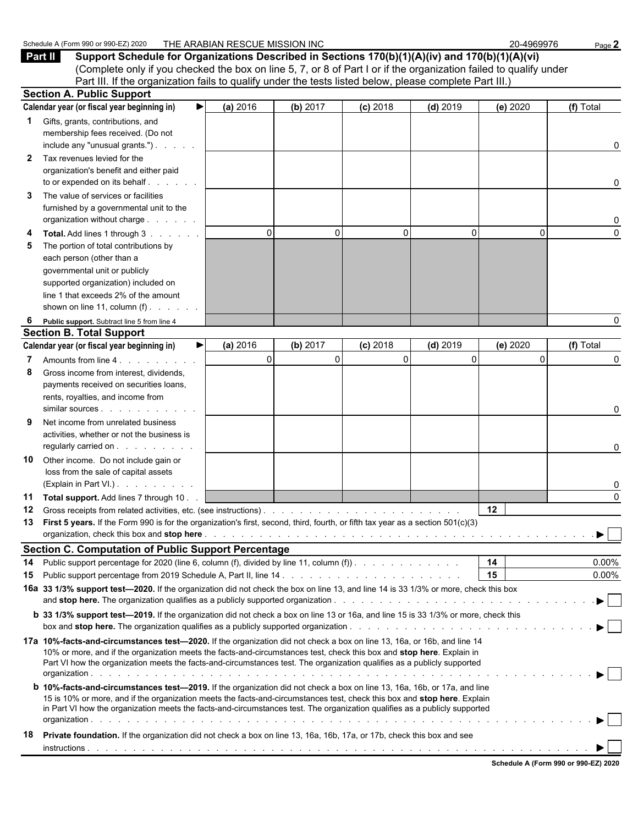|              | Schedule A (Form 990 or 990-EZ) 2020                                                                                                                                                                                                                                                                                                                                                     | THE ARABIAN RESCUE MISSION INC |          |             |             | 20-4969976       | Page 2        |
|--------------|------------------------------------------------------------------------------------------------------------------------------------------------------------------------------------------------------------------------------------------------------------------------------------------------------------------------------------------------------------------------------------------|--------------------------------|----------|-------------|-------------|------------------|---------------|
|              | Support Schedule for Organizations Described in Sections 170(b)(1)(A)(iv) and 170(b)(1)(A)(vi)<br>Part II<br>(Complete only if you checked the box on line 5, 7, or 8 of Part I or if the organization failed to qualify under<br>Part III. If the organization fails to qualify under the tests listed below, please complete Part III.)                                                |                                |          |             |             |                  |               |
|              | <b>Section A. Public Support</b>                                                                                                                                                                                                                                                                                                                                                         |                                |          |             |             |                  |               |
|              | Calendar year (or fiscal year beginning in)<br>▶                                                                                                                                                                                                                                                                                                                                         | (a) 2016                       | (b) 2017 | $(c)$ 2018  | $(d)$ 2019  | (e) 2020         | (f) Total     |
| 1.           | Gifts, grants, contributions, and<br>membership fees received. (Do not<br>include any "unusual grants.")                                                                                                                                                                                                                                                                                 |                                |          |             |             |                  | 0             |
| $\mathbf{2}$ | Tax revenues levied for the<br>organization's benefit and either paid<br>to or expended on its behalf                                                                                                                                                                                                                                                                                    |                                |          |             |             |                  | 0             |
| 3            | The value of services or facilities<br>furnished by a governmental unit to the<br>organization without charge                                                                                                                                                                                                                                                                            |                                |          |             |             |                  | 0             |
| 5            | Total. Add lines 1 through 3<br>The portion of total contributions by<br>each person (other than a<br>governmental unit or publicly<br>supported organization) included on<br>line 1 that exceeds 2% of the amount<br>shown on line 11, column $(f)$ .                                                                                                                                   | $\Omega$                       | 0        | 0           | 0           | $\Omega$         | $\Omega$      |
| 6            | Public support. Subtract line 5 from line 4                                                                                                                                                                                                                                                                                                                                              |                                |          |             |             |                  | 0             |
|              | <b>Section B. Total Support</b>                                                                                                                                                                                                                                                                                                                                                          |                                |          |             |             |                  |               |
|              | Calendar year (or fiscal year beginning in)<br>▶                                                                                                                                                                                                                                                                                                                                         | (a) 2016                       | (b) 2017 | $(c)$ 2018  | $(d)$ 2019  | (e) 2020         | (f) Total     |
| 7<br>8       | Gross income from interest, dividends,<br>payments received on securities loans,<br>rents, royalties, and income from                                                                                                                                                                                                                                                                    | $\mathbf 0$                    | $\Omega$ | $\mathbf 0$ | $\mathbf 0$ | $\Omega$         | 0<br>0        |
| 9            | Net income from unrelated business<br>activities, whether or not the business is<br>regularly carried on                                                                                                                                                                                                                                                                                 |                                |          |             |             |                  | 0             |
| 10           | Other income. Do not include gain or<br>loss from the sale of capital assets<br>(Explain in Part VI.).                                                                                                                                                                                                                                                                                   |                                |          |             |             |                  | 0             |
| 12           | 11 Total support. Add lines 7 through 10<br>13 First 5 years. If the Form 990 is for the organization's first, second, third, fourth, or fifth tax year as a section 501(c)(3)                                                                                                                                                                                                           |                                |          |             |             | 12 <sup>12</sup> | $\Omega$<br>▶ |
|              | <b>Section C. Computation of Public Support Percentage</b>                                                                                                                                                                                                                                                                                                                               |                                |          |             |             |                  |               |
| 14           | Public support percentage for 2020 (line 6, column (f), divided by line 11, column (f)).                                                                                                                                                                                                                                                                                                 |                                |          |             |             | 14               | 0.00%         |
| 15           |                                                                                                                                                                                                                                                                                                                                                                                          |                                |          |             |             | 15               | $0.00\%$      |
|              | 16a 33 1/3% support test-2020. If the organization did not check the box on line 13, and line 14 is 33 1/3% or more, check this box                                                                                                                                                                                                                                                      |                                |          |             |             |                  |               |
|              | <b>b</b> 33 1/3% support test-2019. If the organization did not check a box on line 13 or 16a, and line 15 is 33 1/3% or more, check this                                                                                                                                                                                                                                                |                                |          |             |             |                  |               |
|              | 17a 10%-facts-and-circumstances test-2020. If the organization did not check a box on line 13, 16a, or 16b, and line 14<br>10% or more, and if the organization meets the facts-and-circumstances test, check this box and stop here. Explain in<br>Part VI how the organization meets the facts-and-circumstances test. The organization qualifies as a publicly supported              |                                |          |             |             |                  |               |
|              | <b>b</b> 10%-facts-and-circumstances test-2019. If the organization did not check a box on line 13, 16a, 16b, or 17a, and line<br>15 is 10% or more, and if the organization meets the facts-and-circumstances test, check this box and stop here. Explain<br>in Part VI how the organization meets the facts-and-circumstances test. The organization qualifies as a publicly supported |                                |          |             |             |                  |               |
| 18           | Private foundation. If the organization did not check a box on line 13, 16a, 16b, 17a, or 17b, check this box and see                                                                                                                                                                                                                                                                    |                                |          |             |             |                  |               |
|              |                                                                                                                                                                                                                                                                                                                                                                                          |                                |          |             |             |                  |               |

|  | Schedule A (Form 990 or 990-EZ) 2020 |  |
|--|--------------------------------------|--|
|  |                                      |  |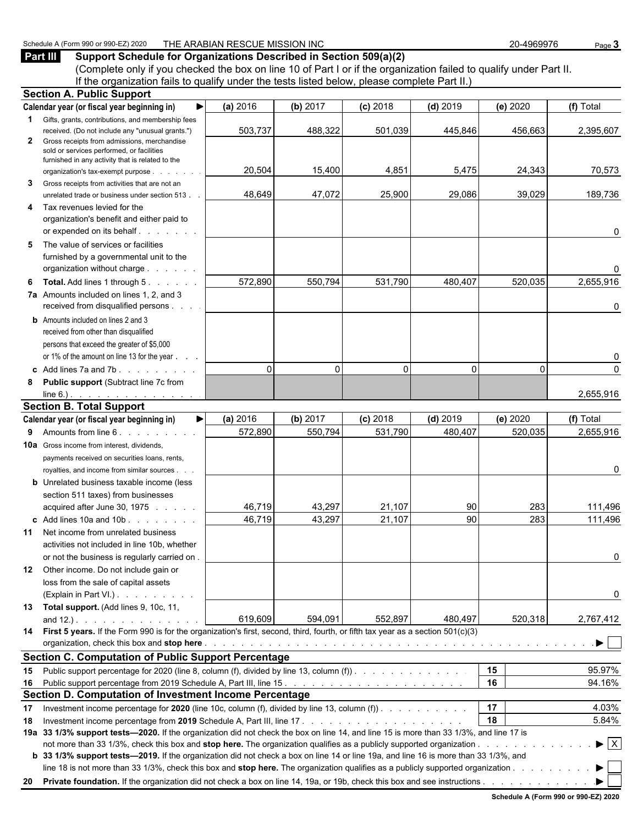#### Schedule A (Form 990 or 990-EZ) 2020 THE ARABIAN RESCUE MISSION INC 20-4969976 Page 3

### **Part III Support Schedule for Organizations Described in Section 509(a)(2)**

(Complete only if you checked the box on line 10 of Part I or if the organization failed to qualify under Part II. If the organization fails to qualify under the tests listed below, please complete Part II.)

|          | <b>Section A. Public Support</b>                                                                                                       |          |          |            |            |          |                                |
|----------|----------------------------------------------------------------------------------------------------------------------------------------|----------|----------|------------|------------|----------|--------------------------------|
|          | Calendar year (or fiscal year beginning in)                                                                                            | (a) 2016 | (b) 2017 | $(c)$ 2018 | $(d)$ 2019 | (e) 2020 | (f) Total                      |
|          | <b>1</b> Gifts, grants, contributions, and membership fees                                                                             |          |          |            |            |          |                                |
|          | received. (Do not include any "unusual grants.")<br>Gross receipts from admissions, merchandise                                        | 503,737  | 488,322  | 501,039    | 445,846    | 456,663  | 2,395,607                      |
| 2        | sold or services performed, or facilities                                                                                              |          |          |            |            |          |                                |
|          | furnished in any activity that is related to the                                                                                       |          |          |            |            |          |                                |
|          | organization's tax-exempt purpose                                                                                                      | 20,504   | 15,400   | 4,851      | 5,475      | 24,343   | 70,573                         |
| 3        | Gross receipts from activities that are not an                                                                                         | 48,649   | 47,072   | 25,900     |            | 39,029   |                                |
|          | unrelated trade or business under section 513                                                                                          |          |          |            | 29,086     |          | 189,736                        |
| 4        | Tax revenues levied for the<br>organization's benefit and either paid to                                                               |          |          |            |            |          |                                |
|          | or expended on its behalf expension or expended on its behalf                                                                          |          |          |            |            |          | 0                              |
| 5        | The value of services or facilities                                                                                                    |          |          |            |            |          |                                |
|          | furnished by a governmental unit to the                                                                                                |          |          |            |            |          |                                |
|          | organization without charge                                                                                                            |          |          |            |            |          | 0                              |
| 6        | <b>Total.</b> Add lines 1 through 5.                                                                                                   | 572,890  | 550,794  | 531,790    | 480,407    | 520,035  | 2,655,916                      |
|          | 7a Amounts included on lines 1, 2, and 3                                                                                               |          |          |            |            |          |                                |
|          | received from disqualified persons                                                                                                     |          |          |            |            |          | 0                              |
|          | <b>b</b> Amounts included on lines 2 and 3                                                                                             |          |          |            |            |          |                                |
|          | received from other than disqualified                                                                                                  |          |          |            |            |          |                                |
|          | persons that exceed the greater of \$5,000                                                                                             |          |          |            |            |          |                                |
|          | or 1% of the amount on line 13 for the year                                                                                            | $\Omega$ | $\Omega$ | $\Omega$   | $\Omega$   | 0        | 0<br>$\Omega$                  |
|          | c Add lines $7a$ and $7b$ .                                                                                                            |          |          |            |            |          |                                |
| 8        | <b>Public support (Subtract line 7c from</b><br>line 6.). <u>.</u>                                                                     |          |          |            |            |          | 2,655,916                      |
|          | <b>Section B. Total Support</b>                                                                                                        |          |          |            |            |          |                                |
|          | Calendar year (or fiscal year beginning in)<br>▶                                                                                       | (a) 2016 | (b) 2017 | $(c)$ 2018 | $(d)$ 2019 | (e) 2020 | (f) Total                      |
| 9        | Amounts from line 6.                                                                                                                   | 572,890  | 550,794  | 531,790    | 480,407    | 520,035  | 2,655,916                      |
|          | <b>10a</b> Gross income from interest, dividends,                                                                                      |          |          |            |            |          |                                |
|          | payments received on securities loans, rents,                                                                                          |          |          |            |            |          |                                |
|          | royalties, and income from similar sources.                                                                                            |          |          |            |            |          | 0                              |
|          | <b>b</b> Unrelated business taxable income (less                                                                                       |          |          |            |            |          |                                |
|          | section 511 taxes) from businesses                                                                                                     |          |          |            |            |          |                                |
|          | acquired after June 30, 1975                                                                                                           | 46,719   | 43,297   | 21,107     | 90         | 283      | 111,496                        |
|          | c Add lines 10a and 10b. $\ldots$ $\ldots$                                                                                             | 46,719   | 43,297   | 21,107     | 90         | 283      | 111,496                        |
| 11       | Net income from unrelated business<br>activities not included in line 10b, whether                                                     |          |          |            |            |          |                                |
|          | or not the business is regularly carried on.                                                                                           |          |          |            |            |          | 0                              |
|          | 12 Other income. Do not include gain or                                                                                                |          |          |            |            |          |                                |
|          | loss from the sale of capital assets                                                                                                   |          |          |            |            |          |                                |
|          | (Explain in Part VI.).                                                                                                                 |          |          |            |            |          | 0                              |
|          | 13 Total support. (Add lines 9, 10c, 11,                                                                                               |          |          |            |            |          |                                |
|          | and $12.$ ). $\ldots$ $\ldots$ $\ldots$ $\ldots$                                                                                       | 619,609  | 594,091  | 552,897    | 480,497    | 520,318  | 2,767,412                      |
|          | 14 First 5 years. If the Form 990 is for the organization's first, second, third, fourth, or fifth tax year as a section 501(c)(3)     |          |          |            |            |          |                                |
|          |                                                                                                                                        |          |          |            |            |          | $\blacktriangleright$ $\vdash$ |
|          | <b>Section C. Computation of Public Support Percentage</b>                                                                             |          |          |            |            |          |                                |
| 15       | Public support percentage for 2020 (line 8, column (f), divided by line 13, column (f)).                                               |          |          |            |            | 15       | 95.97%                         |
| 16       |                                                                                                                                        |          |          |            |            | 16       | 94.16%                         |
|          | Section D. Computation of Investment Income Percentage                                                                                 |          |          |            |            | 17       | 4.03%                          |
| 17<br>18 | Investment income percentage for 2020 (line 10c, column (f), divided by line 13, column (f)).                                          |          |          |            |            | 18       | 5.84%                          |
|          | 19a 33 1/3% support tests-2020. If the organization did not check the box on line 14, and line 15 is more than 33 1/3%, and line 17 is |          |          |            |            |          |                                |
|          |                                                                                                                                        |          |          |            |            |          | $\blacktriangleright$ $\mid$ X |
|          | b 33 1/3% support tests—2019. If the organization did not check a box on line 14 or line 19a, and line 16 is more than 33 1/3%, and    |          |          |            |            |          |                                |
|          | line 18 is not more than 33 1/3%, check this box and stop here. The organization qualifies as a publicly supported organization        |          |          |            |            |          | ▶                              |
|          |                                                                                                                                        |          |          |            |            |          |                                |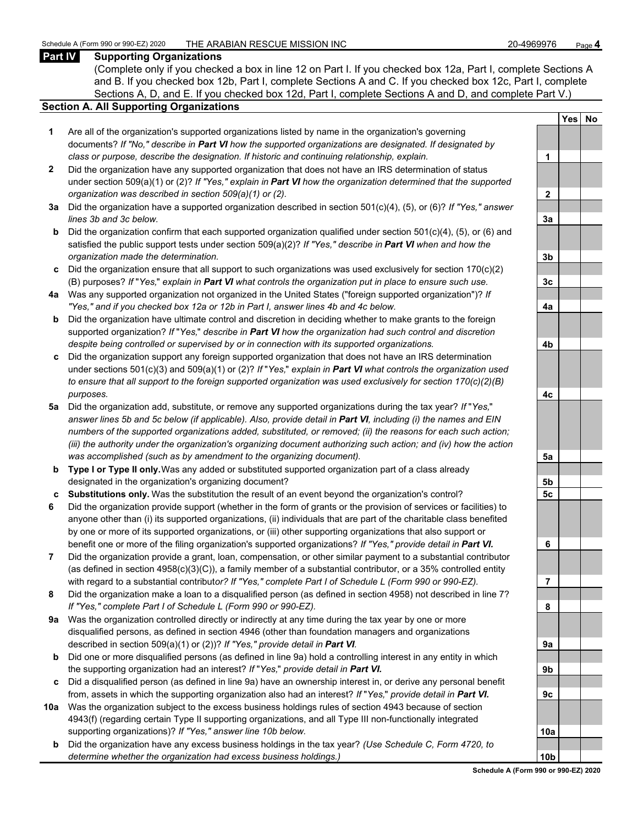#### **Part IV Supporting Organizations**

(Complete only if you checked a box in line 12 on Part I. If you checked box 12a, Part I, complete Sections A and B. If you checked box 12b, Part I, complete Sections A and C. If you checked box 12c, Part I, complete Sections A, D, and E. If you checked box 12d, Part I, complete Sections A and D, and complete Part V.)

#### **Section A. All Supporting Organizations**

- **1** Are all of the organization's supported organizations listed by name in the organization's governing documents? *If "No," describe in Part VI how the supported organizations are designated. If designated by class or purpose, describe the designation. If historic and continuing relationship, explain.* **1**
- **2** Did the organization have any supported organization that does not have an IRS determination of status under section 509(a)(1) or (2)? *If "Yes," explain in Part VI how the organization determined that the supported organization was described in section 509(a)(1) or (2).*
- **3a** Did the organization have a supported organization described in section 501(c)(4), (5), or (6)? *If "Yes," answer*  $lines$  3b and 3c below.
- **b** Did the organization confirm that each supported organization qualified under section 501(c)(4), (5), or (6) and satisfied the public support tests under section 509(a)(2)? *If "Yes," describe in Part VI when and how the organization made the determination.* **3b**
- **c** Did the organization ensure that all support to such organizations was used exclusively for section 170(c)(2) (B) purposes? *If* "*Yes,*" *explain in Part VI what controls the organization put in place to ensure such use.* **3c**
- **4a** Was any supported organization not organized in the United States ("foreign supported organization")? *If "Yes," and if you checked box 12a or 12b in Part I, answer lines 4b and 4c below.* **4a**
- **b** Did the organization have ultimate control and discretion in deciding whether to make grants to the foreign supported organization? *If* "*Yes,*" *describe in Part VI how the organization had such control and discretion despite being controlled or supervised by or in connection with its supported organizations.* **4b**
- **c** Did the organization support any foreign supported organization that does not have an IRS determination under sections 501(c)(3) and 509(a)(1) or (2)? *If* "*Yes,*" *explain in Part VI what controls the organization used to ensure that all support to the foreign supported organization was used exclusively for section 170(c)(2)(B) purposes.* **4c**
- **5a** Did the organization add, substitute, or remove any supported organizations during the tax year? *If* "*Yes,*" *answer lines 5b and 5c below (if applicable). Also, provide detail in Part VI, including (i) the names and EIN numbers of the supported organizations added, substituted, or removed; (ii) the reasons for each such action; (iii) the authority under the organization's organizing document authorizing such action; and (iv) how the action was accomplished (such as by amendment to the organizing document).* **5a**
- **b Type I or Type II only.** Was any added or substituted supported organization part of a class already designated in the organization's organizing document? **5b**
- **c Substitutions only.** Was the substitution the result of an event beyond the organization's control? **5c**
- **6** Did the organization provide support (whether in the form of grants or the provision of services or facilities) to anyone other than (i) its supported organizations, (ii) individuals that are part of the charitable class benefited by one or more of its supported organizations, or (iii) other supporting organizations that also support or benefit one or more of the filing organization's supported organizations? *If "Yes," provide detail in Part VI.* **6**
- **7** Did the organization provide a grant, loan, compensation, or other similar payment to a substantial contributor (as defined in section 4958(c)(3)(C)), a family member of a substantial contributor, or a 35% controlled entity with regard to a substantial contribut*or? If "Yes," complete Part I of Schedule L (Form 990 or 990-EZ).* **7**
- **8** Did the organization make a loan to a disqualified person (as defined in section 4958) not described in line 7? *If "Yes," complete Part I of Schedule L (Form 990 or 990-EZ).* **8**
- **9a** Was the organization controlled directly or indirectly at any time during the tax year by one or more disqualified persons, as defined in section 4946 (other than foundation managers and organizations described in section 509(a)(1) or (2))? If "Yes," provide detail in Part VI.
- **b** Did one or more disqualified persons (as defined in line 9a) hold a controlling interest in any entity in which the supporting organization had an interest? *If* "*Yes,*" *provide detail in Part VI.* **9b**
- **c** Did a disqualified person (as defined in line 9a) have an ownership interest in, or derive any personal benefit from, assets in which the supporting organization also had an interest? *If* "*Yes,*" *provide detail in Part VI.* **9c**
- **10a** Was the organization subject to the excess business holdings rules of section 4943 because of section 4943(f) (regarding certain Type II supporting organizations, and all Type III non-functionally integrated supporting organizations)? If "Yes," answer line 10b below.
	- **b** Did the organization have any excess business holdings in the tax year? *(Use Schedule C, Form 4720, to determine whether the organization had excess business holdings.)*

|           | <u>Yes</u> | <u>No</u> |
|-----------|------------|-----------|
|           |            |           |
| 1         |            |           |
|           |            |           |
| <u>2</u>  |            |           |
|           |            |           |
| <u>3a</u> |            |           |
|           |            |           |
| <u>3b</u> |            |           |
| <u>3c</u> |            |           |
| <u>4a</u> |            |           |
|           |            |           |
| <u>4b</u> |            |           |
|           |            |           |
| <u>4c</u> |            |           |
|           |            |           |
| <u>5a</u> |            |           |
| <u>5b</u> |            |           |
| 5c        |            |           |
|           |            |           |
| 6         |            |           |
|           |            |           |
| ľ<br>I    |            |           |
| 8         |            |           |
|           |            |           |
| į<br>Jа   |            |           |
|           |            |           |
| J         |            |           |
| ι         |            |           |
|           |            |           |
| 0a        |            |           |
|           |            |           |
| Ωł        |            |           |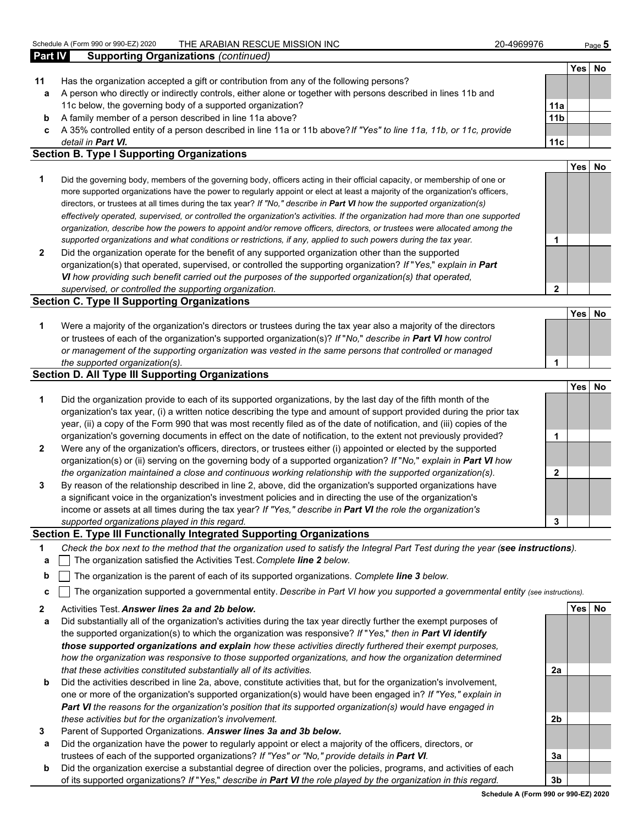|         |                                                                                                                         |                 |            | $1$ ago $\bullet$ |
|---------|-------------------------------------------------------------------------------------------------------------------------|-----------------|------------|-------------------|
| Part IV | <b>Supporting Organizations (continued)</b>                                                                             |                 |            |                   |
|         |                                                                                                                         |                 | <b>Yes</b> | No                |
| 11      | Has the organization accepted a gift or contribution from any of the following persons?                                 |                 |            |                   |
| а       | A person who directly or indirectly controls, either alone or together with persons described in lines 11b and          |                 |            |                   |
|         | 11c below, the governing body of a supported organization?                                                              | 11a             |            |                   |
| b       | A family member of a person described in line 11a above?                                                                | 11 <sub>b</sub> |            |                   |
| c.      | A 35% controlled entity of a person described in line 11a or 11b above? If "Yes" to line 11a, 11b, or 11c, provide      |                 |            |                   |
|         | detail in <b>Part VI.</b>                                                                                               | 11c             |            |                   |
|         | <b>Section B. Type I Supporting Organizations</b>                                                                       |                 |            |                   |
|         |                                                                                                                         |                 | Yes        | No                |
|         | Did the governing hody members of the governing hody officers esting in their official conseity or membership of ano or |                 |            |                   |

- **1** Did the governing body, members of the governing body, officers acting in their official capacity, or membership of one or more supported organizations have the power to regularly appoint or elect at least a majority of the organization's officers, directors, or trustees at all times during the tax year? *If "No," describe in Part VI how the supported organization(s) effectively operated, supervised, or controlled the organization's activities. If the organization had more than one supported organization, describe how the powers to appoint and/or remove officers, directors, or trustees were allocated among the supported organizations and what conditions or restrictions, if any, applied to such powers during the tax year.* **1**
- **2** Did the organization operate for the benefit of any supported organization other than the supported organization(s) that operated, supervised, or controlled the supporting organization? *If* "*Yes,*" *explain in Part VI how providing such benefit carried out the purposes of the supported organization(s) that operated, supervised, or controlled the supporting organization.* **2**

#### **Section C. Type II Supporting Organizations**

| Were a majority of the organization's directors or trustees during the tax year also a majority of the directors     |  |
|----------------------------------------------------------------------------------------------------------------------|--|
| or trustees of each of the organization's supported organization(s)? If "No," describe in <b>Part VI</b> how control |  |
| or management of the supporting organization was vested in the same persons that controlled or managed               |  |
| the supported organization(s).                                                                                       |  |

#### **Section D. All Type III Supporting Organizations**

|                |                                                                                                                        |   | <b>Yes</b> | No |
|----------------|------------------------------------------------------------------------------------------------------------------------|---|------------|----|
| 1              | Did the organization provide to each of its supported organizations, by the last day of the fifth month of the         |   |            |    |
|                | organization's tax year, (i) a written notice describing the type and amount of support provided during the prior tax  |   |            |    |
|                | year, (ii) a copy of the Form 990 that was most recently filed as of the date of notification, and (iii) copies of the |   |            |    |
|                | organization's governing documents in effect on the date of notification, to the extent not previously provided?       |   |            |    |
| $\overline{2}$ | Were any of the organization's officers, directors, or trustees either (i) appointed or elected by the supported       |   |            |    |
|                | organization(s) or (ii) serving on the governing body of a supported organization? If "No," explain in Part VI how     |   |            |    |
|                | the organization maintained a close and continuous working relationship with the supported organization(s).            | 2 |            |    |
| 3              | By reason of the relationship described in line 2, above, did the organization's supported organizations have          |   |            |    |
|                | a significant voice in the organization's investment policies and in directing the use of the organization's           |   |            |    |
|                | income or assets at all times during the tax year? If "Yes," describe in Part VI the role the organization's           |   |            |    |
|                | supported organizations played in this regard.                                                                         |   |            |    |

#### **Section E. Type III Functionally Integrated Supporting Organizations**

- **1** *Check the box next to the method that the organization used to satisfy the Integral Part Test during the year (see instructions).*
- **a** The organization satisfied the Activities Test. *Complete line 2 below.*
- **b** The organization is the parent of each of its supported organizations. *Complete line 3 below.*
- **c** The organization supported a governmental entity. *Describe in Part VI how you supported a governmental entity (see instructions).*
- **2** Activities Test. *Answer lines 2a and 2b below.* **Yes No**
- **a** Did substantially all of the organization's activities during the tax year directly further the exempt purposes of the supported organization(s) to which the organization was responsive? *If* "*Yes,*" *then in Part VI identify those supported organizations and explain how these activities directly furthered their exempt purposes, how the organization was responsive to those supported organizations, and how the organization determined that these activities constituted substantially all of its activities.* **2a**
- **b** Did the activities described in line 2a, above, constitute activities that, but for the organization's involvement, one or more of the organization's supported organization(s) would have been engaged in? *If "Yes," explain in Part VI the reasons for the organization's position that its supported organization(s) would have engaged in these activities but for the organization's involvement.* **2b**
- **3** Parent of Supported Organizations. *Answer lines 3a and 3b below.*
- **a** Did the organization have the power to regularly appoint or elect a majority of the officers, directors, or trustees of each of the supported organizations? *If "Yes" or "No," provide details in Part VI.* **3a**
- **b** Did the organization exercise a substantial degree of direction over the policies, programs, and activities of each of its supported organizations? *If* "*Yes,*" *describe in Part VI the role played by the organization in this regard.* **3b**

**Schedule A (Form 990 or 990-EZ) 2020**

**Yes No**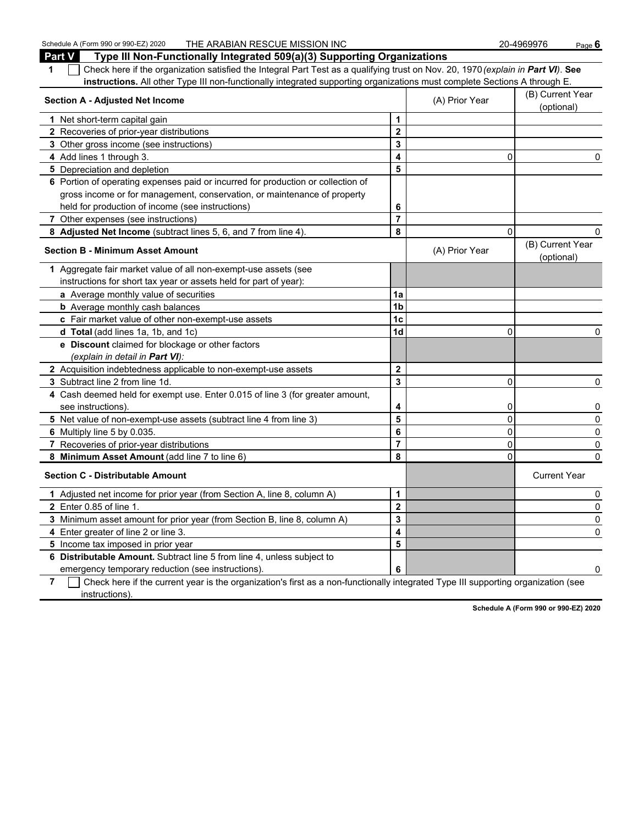Schedule A (Form 990 or 990-EZ) 2020 THE ARABIAN RESCUE MISSION INC 20-4969976 Page 6

| <b>Part V</b><br>Type III Non-Functionally Integrated 509(a)(3) Supporting Organizations                                              |                         |                                |                                |  |
|---------------------------------------------------------------------------------------------------------------------------------------|-------------------------|--------------------------------|--------------------------------|--|
| Check here if the organization satisfied the Integral Part Test as a qualifying trust on Nov. 20, 1970 (explain in Part VI). See<br>1 |                         |                                |                                |  |
| instructions. All other Type III non-functionally integrated supporting organizations must complete Sections A through E.             |                         |                                |                                |  |
| <b>Section A - Adjusted Net Income</b>                                                                                                | (A) Prior Year          | (B) Current Year<br>(optional) |                                |  |
| 1 Net short-term capital gain                                                                                                         | $\mathbf 1$             |                                |                                |  |
| 2 Recoveries of prior-year distributions                                                                                              | $\mathbf 2$             |                                |                                |  |
| 3 Other gross income (see instructions)                                                                                               | 3                       |                                |                                |  |
| 4 Add lines 1 through 3.                                                                                                              | $\overline{\mathbf{A}}$ | 0                              | 0                              |  |
| 5 Depreciation and depletion                                                                                                          | 5                       |                                |                                |  |
| 6 Portion of operating expenses paid or incurred for production or collection of                                                      |                         |                                |                                |  |
| gross income or for management, conservation, or maintenance of property                                                              |                         |                                |                                |  |
| held for production of income (see instructions)                                                                                      | 6                       |                                |                                |  |
| 7 Other expenses (see instructions)                                                                                                   | $\overline{7}$          |                                |                                |  |
| 8 Adjusted Net Income (subtract lines 5, 6, and 7 from line 4).                                                                       | 8                       | $\mathbf{0}$                   | 0                              |  |
| <b>Section B - Minimum Asset Amount</b>                                                                                               |                         | (A) Prior Year                 | (B) Current Year<br>(optional) |  |
| 1 Aggregate fair market value of all non-exempt-use assets (see                                                                       |                         |                                |                                |  |
| instructions for short tax year or assets held for part of year):                                                                     |                         |                                |                                |  |
| a Average monthly value of securities                                                                                                 | 1a                      |                                |                                |  |
| <b>b</b> Average monthly cash balances                                                                                                | 1 <sub>b</sub>          |                                |                                |  |
| c Fair market value of other non-exempt-use assets                                                                                    | 1 <sub>c</sub>          |                                |                                |  |
| <b>d Total</b> (add lines 1a, 1b, and 1c)                                                                                             | 1 <sub>d</sub>          | 0                              | 0                              |  |
| e Discount claimed for blockage or other factors                                                                                      |                         |                                |                                |  |
| (explain in detail in Part VI):                                                                                                       |                         |                                |                                |  |
| 2 Acquisition indebtedness applicable to non-exempt-use assets                                                                        | $\overline{2}$          |                                |                                |  |
| 3 Subtract line 2 from line 1d.                                                                                                       | $\overline{\mathbf{3}}$ | 0                              | 0                              |  |
| 4 Cash deemed held for exempt use. Enter 0.015 of line 3 (for greater amount,                                                         |                         |                                |                                |  |
| see instructions).                                                                                                                    | 4                       | 0                              | 0                              |  |
| 5 Net value of non-exempt-use assets (subtract line 4 from line 3)                                                                    | 5                       | $\Omega$                       | 0                              |  |
| 6 Multiply line 5 by 0.035.                                                                                                           | 6                       | 0                              | 0                              |  |
| 7 Recoveries of prior-year distributions                                                                                              | $\overline{7}$          | 0                              | 0                              |  |
| 8 Minimum Asset Amount (add line 7 to line 6)                                                                                         | 8                       | 0                              | 0                              |  |
| <b>Section C - Distributable Amount</b>                                                                                               |                         |                                | <b>Current Year</b>            |  |
| 1 Adjusted net income for prior year (from Section A, line 8, column A)                                                               | $\mathbf{1}$            |                                | 0                              |  |
| 2 Enter 0.85 of line 1.                                                                                                               | $\overline{2}$          |                                | 0                              |  |
| 3 Minimum asset amount for prior year (from Section B, line 8, column A)                                                              | 3                       |                                | 0                              |  |
| 4 Enter greater of line 2 or line 3.                                                                                                  | 4                       |                                | $\Omega$                       |  |
| 5 Income tax imposed in prior year                                                                                                    | 5                       |                                |                                |  |
| 6 Distributable Amount. Subtract line 5 from line 4, unless subject to                                                                |                         |                                |                                |  |
| emergency temporary reduction (see instructions).                                                                                     | 6                       |                                | 0                              |  |
|                                                                                                                                       |                         |                                |                                |  |

**7** Check here if the current year is the organization's first as a non-functionally integrated Type III supporting organization (see instructions).

**Schedule A (Form 990 or 990-EZ) 2020**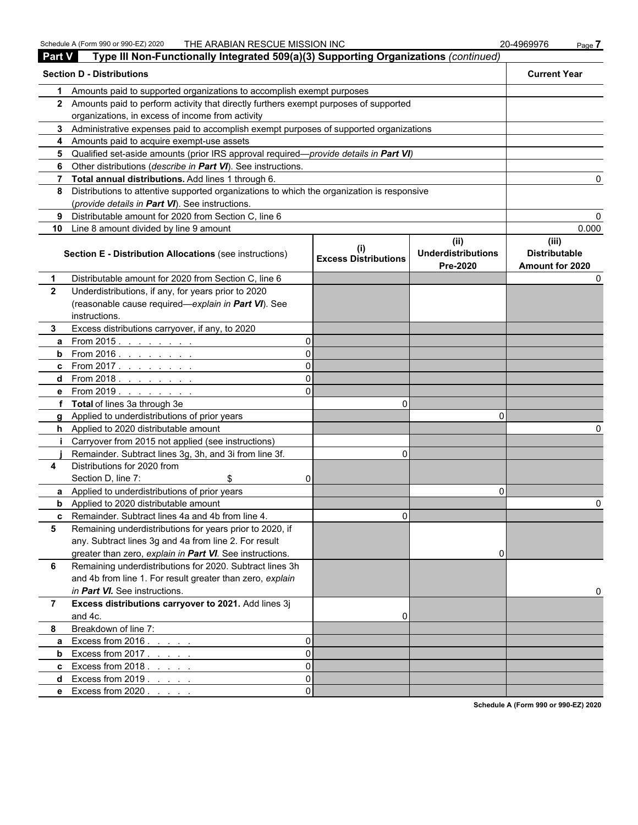| <b>Part V</b>  | Type III Non-Functionally Integrated 509(a)(3) Supporting Organizations (continued)          |          |                                             |                                               |                                                  |
|----------------|----------------------------------------------------------------------------------------------|----------|---------------------------------------------|-----------------------------------------------|--------------------------------------------------|
|                | <b>Section D - Distributions</b>                                                             |          |                                             |                                               | <b>Current Year</b>                              |
| 1              | Amounts paid to supported organizations to accomplish exempt purposes                        |          |                                             |                                               |                                                  |
|                | 2 Amounts paid to perform activity that directly furthers exempt purposes of supported       |          |                                             |                                               |                                                  |
|                | organizations, in excess of income from activity                                             |          |                                             |                                               |                                                  |
|                | 3 Administrative expenses paid to accomplish exempt purposes of supported organizations      |          |                                             |                                               |                                                  |
|                | 4 Amounts paid to acquire exempt-use assets                                                  |          |                                             |                                               |                                                  |
| 5.             | Qualified set-aside amounts (prior IRS approval required-provide details in Part VI)         |          |                                             |                                               |                                                  |
| 6              | Other distributions (describe in Part VI). See instructions.                                 |          |                                             |                                               |                                                  |
|                | 7 Total annual distributions. Add lines 1 through 6.                                         |          |                                             |                                               |                                                  |
|                | 8 Distributions to attentive supported organizations to which the organization is responsive |          |                                             |                                               |                                                  |
|                | (provide details in Part VI). See instructions.                                              |          |                                             |                                               |                                                  |
| 9              | Distributable amount for 2020 from Section C, line 6                                         |          |                                             |                                               |                                                  |
| 10             | Line 8 amount divided by line 9 amount                                                       |          |                                             |                                               | 0.000                                            |
|                | <b>Section E - Distribution Allocations (see instructions)</b>                               |          | $\sf ^{(l)}$<br><b>Excess Distributions</b> | (ii)<br><b>Underdistributions</b><br>Pre-2020 | (iii)<br><b>Distributable</b><br>Amount for 2020 |
| $\mathbf 1$    | Distributable amount for 2020 from Section C, line 6                                         |          |                                             |                                               |                                                  |
| $\mathbf{2}$   | Underdistributions, if any, for years prior to 2020                                          |          |                                             |                                               |                                                  |
|                | (reasonable cause required-explain in Part VI). See                                          |          |                                             |                                               |                                                  |
|                | instructions.                                                                                |          |                                             |                                               |                                                  |
| 3.             | Excess distributions carryover, if any, to 2020                                              |          |                                             |                                               |                                                  |
| a              | From 2015. $\ldots$                                                                          | 0        |                                             |                                               |                                                  |
|                | <b>b</b> From 2016. $\frac{1}{1}$                                                            | $\Omega$ |                                             |                                               |                                                  |
|                | <b>c</b> From 2017.                                                                          | 0        |                                             |                                               |                                                  |
|                | d From 2018.                                                                                 | 0        |                                             |                                               |                                                  |
|                | <b>e</b> From 2019.                                                                          | ΩI       |                                             |                                               |                                                  |
|                | f Total of lines 3a through 3e                                                               |          | 0                                           |                                               |                                                  |
|                | g Applied to underdistributions of prior years                                               |          |                                             | n                                             |                                                  |
|                | h Applied to 2020 distributable amount                                                       |          |                                             |                                               |                                                  |
| Ť.             | Carryover from 2015 not applied (see instructions)                                           |          |                                             |                                               |                                                  |
|                | Remainder. Subtract lines 3g, 3h, and 3i from line 3f.                                       |          | $\Omega$                                    |                                               |                                                  |
| 4              | Distributions for 2020 from                                                                  |          |                                             |                                               |                                                  |
|                | Section D, line 7:<br>\$                                                                     | 0        |                                             |                                               |                                                  |
|                | a Applied to underdistributions of prior years                                               |          |                                             | 0                                             |                                                  |
|                | <b>b</b> Applied to 2020 distributable amount                                                |          |                                             |                                               |                                                  |
|                | <b>c</b> Remainder. Subtract lines 4a and 4b from line 4.                                    |          | U.                                          |                                               |                                                  |
| 5              | Remaining underdistributions for years prior to 2020, if                                     |          |                                             |                                               |                                                  |
|                | any. Subtract lines 3g and 4a from line 2. For result                                        |          |                                             |                                               |                                                  |
|                | greater than zero, explain in Part VI. See instructions.                                     |          |                                             | 0                                             |                                                  |
| 6              | Remaining underdistributions for 2020. Subtract lines 3h                                     |          |                                             |                                               |                                                  |
|                | and 4b from line 1. For result greater than zero, explain                                    |          |                                             |                                               |                                                  |
|                | in Part VI. See instructions.                                                                |          |                                             |                                               |                                                  |
| $\overline{7}$ | Excess distributions carryover to 2021. Add lines 3j                                         |          |                                             |                                               |                                                  |
|                | and 4c.                                                                                      |          | 0                                           |                                               |                                                  |
| 8              | Breakdown of line 7:                                                                         |          |                                             |                                               |                                                  |
| a              | Excess from $2016. \ldots$ .                                                                 | 0        |                                             |                                               |                                                  |
| $\mathbf b$    | Excess from $2017.7.7.7.7.7$                                                                 | $\Omega$ |                                             |                                               |                                                  |
|                | <b>c</b> Excess from $2018$ .                                                                | $\Omega$ |                                             |                                               |                                                  |
|                | d Excess from $2019$ .                                                                       | $\Omega$ |                                             |                                               |                                                  |
|                | <b>e</b> Excess from $2020$ .                                                                | 0        |                                             |                                               |                                                  |

**Schedule A (Form 990 or 990-EZ) 2020**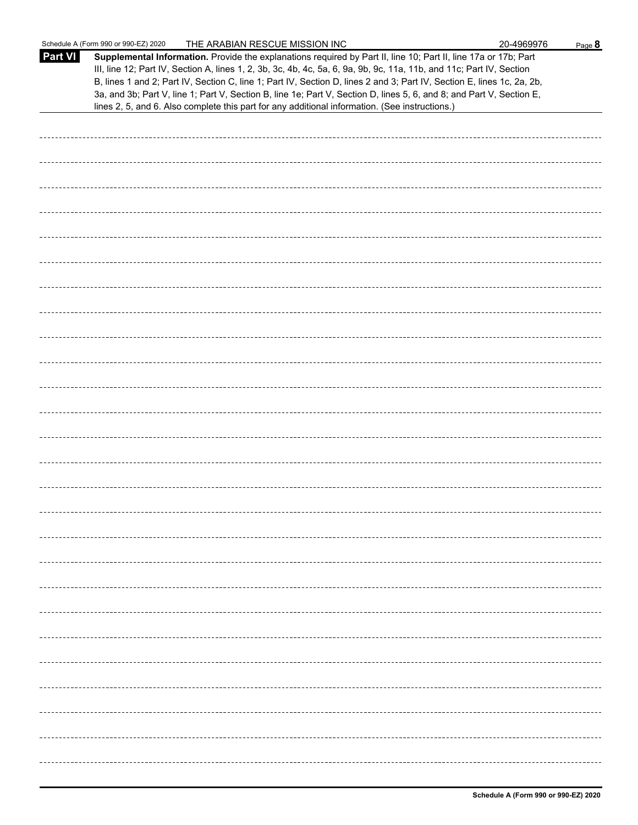|         | Schedule A (Form 990 or 990-EZ) 2020<br>THE ARABIAN RESCUE MISSION INC                                                                                                                                                                                                                                                                                                                                                                                                                                                                                                                      | 20-4969976 | Page 8 |
|---------|---------------------------------------------------------------------------------------------------------------------------------------------------------------------------------------------------------------------------------------------------------------------------------------------------------------------------------------------------------------------------------------------------------------------------------------------------------------------------------------------------------------------------------------------------------------------------------------------|------------|--------|
| Part VI | Supplemental Information. Provide the explanations required by Part II, line 10; Part II, line 17a or 17b; Part<br>III, line 12; Part IV, Section A, lines 1, 2, 3b, 3c, 4b, 4c, 5a, 6, 9a, 9b, 9c, 11a, 11b, and 11c; Part IV, Section<br>B, lines 1 and 2; Part IV, Section C, line 1; Part IV, Section D, lines 2 and 3; Part IV, Section E, lines 1c, 2a, 2b,<br>3a, and 3b; Part V, line 1; Part V, Section B, line 1e; Part V, Section D, lines 5, 6, and 8; and Part V, Section E,<br>lines 2, 5, and 6. Also complete this part for any additional information. (See instructions.) |            |        |
|         |                                                                                                                                                                                                                                                                                                                                                                                                                                                                                                                                                                                             |            |        |
|         |                                                                                                                                                                                                                                                                                                                                                                                                                                                                                                                                                                                             |            |        |
|         |                                                                                                                                                                                                                                                                                                                                                                                                                                                                                                                                                                                             |            |        |
|         |                                                                                                                                                                                                                                                                                                                                                                                                                                                                                                                                                                                             |            |        |
|         |                                                                                                                                                                                                                                                                                                                                                                                                                                                                                                                                                                                             |            |        |
|         |                                                                                                                                                                                                                                                                                                                                                                                                                                                                                                                                                                                             |            |        |
|         |                                                                                                                                                                                                                                                                                                                                                                                                                                                                                                                                                                                             |            |        |
|         |                                                                                                                                                                                                                                                                                                                                                                                                                                                                                                                                                                                             |            |        |
|         |                                                                                                                                                                                                                                                                                                                                                                                                                                                                                                                                                                                             |            |        |
|         |                                                                                                                                                                                                                                                                                                                                                                                                                                                                                                                                                                                             |            |        |
|         |                                                                                                                                                                                                                                                                                                                                                                                                                                                                                                                                                                                             |            |        |
|         |                                                                                                                                                                                                                                                                                                                                                                                                                                                                                                                                                                                             |            |        |
|         |                                                                                                                                                                                                                                                                                                                                                                                                                                                                                                                                                                                             |            |        |
|         |                                                                                                                                                                                                                                                                                                                                                                                                                                                                                                                                                                                             |            |        |
|         |                                                                                                                                                                                                                                                                                                                                                                                                                                                                                                                                                                                             |            |        |
|         |                                                                                                                                                                                                                                                                                                                                                                                                                                                                                                                                                                                             |            |        |
|         |                                                                                                                                                                                                                                                                                                                                                                                                                                                                                                                                                                                             |            |        |
|         |                                                                                                                                                                                                                                                                                                                                                                                                                                                                                                                                                                                             |            |        |
|         |                                                                                                                                                                                                                                                                                                                                                                                                                                                                                                                                                                                             |            |        |
|         |                                                                                                                                                                                                                                                                                                                                                                                                                                                                                                                                                                                             |            |        |
|         |                                                                                                                                                                                                                                                                                                                                                                                                                                                                                                                                                                                             |            |        |
|         |                                                                                                                                                                                                                                                                                                                                                                                                                                                                                                                                                                                             |            |        |
|         |                                                                                                                                                                                                                                                                                                                                                                                                                                                                                                                                                                                             |            |        |
|         |                                                                                                                                                                                                                                                                                                                                                                                                                                                                                                                                                                                             |            |        |
|         |                                                                                                                                                                                                                                                                                                                                                                                                                                                                                                                                                                                             |            |        |
|         |                                                                                                                                                                                                                                                                                                                                                                                                                                                                                                                                                                                             |            |        |
|         |                                                                                                                                                                                                                                                                                                                                                                                                                                                                                                                                                                                             |            |        |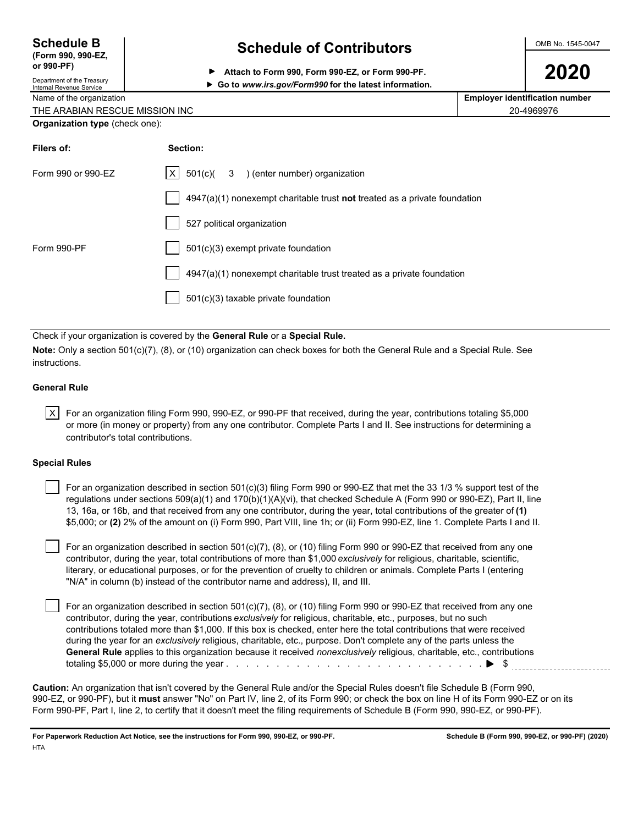| <b>Schedule B</b>  |  |
|--------------------|--|
| (Form 990, 990-EZ, |  |

Department of the Treasury

## **Schedule of Contributors**  $\frac{\text{OMB No. 1545-0047}}{}$

**2020 PP** Attach to Form 990, Form 990-EZ, or Form 990-PF.<br>Department of the Treasury

### Internal Revenue Service **Go to** *www.irs.gov/Form990* **for the latest information.**

| Name of the organization              | <b>Employer identification number</b> |
|---------------------------------------|---------------------------------------|
| THE ARABIAN RESCUE MISSION INC        | 20-4969976                            |
| <b>Organization type</b> (check one): |                                       |

| Filers of:         | Section:                                                                    |
|--------------------|-----------------------------------------------------------------------------|
| Form 990 or 990-EZ | $ X $ 501(c)( 3 ) (enter number) organization                               |
|                    | $4947(a)(1)$ nonexempt charitable trust not treated as a private foundation |
|                    | 527 political organization                                                  |
| Form 990-PF        | 501(c)(3) exempt private foundation                                         |
|                    | 4947(a)(1) nonexempt charitable trust treated as a private foundation       |
|                    | 501(c)(3) taxable private foundation                                        |
|                    |                                                                             |

Check if your organization is covered by the **General Rule** or a **Special Rule.**

**Note:** Only a section 501(c)(7), (8), or (10) organization can check boxes for both the General Rule and a Special Rule. See instructions.

#### **General Rule**

 $|X|$  For an organization filing Form 990, 990-EZ, or 990-PF that received, during the year, contributions totaling \$5,000 or more (in money or property) from any one contributor. Complete Parts I and II. See instructions for determining a contributor's total contributions.

#### **Special Rules**

 For an organization described in section 501(c)(3) filing Form 990 or 990-EZ that met the 33 1/3 % support test of the regulations under sections 509(a)(1) and 170(b)(1)(A)(vi), that checked Schedule A (Form 990 or 990-EZ), Part II, line 13, 16a, or 16b, and that received from any one contributor, during the year, total contributions of the greater of **(1)** \$5,000; or **(2)** 2% of the amount on (i) Form 990, Part VIII, line 1h; or (ii) Form 990-EZ, line 1. Complete Parts I and II.

 For an organization described in section 501(c)(7), (8), or (10) filing Form 990 or 990-EZ that received from any one contributor, during the year, total contributions of more than \$1,000 *exclusively* for religious, charitable, scientific, literary, or educational purposes, or for the prevention of cruelty to children or animals. Complete Parts I (entering "N/A" in column (b) instead of the contributor name and address), II, and III.

 For an organization described in section 501(c)(7), (8), or (10) filing Form 990 or 990-EZ that received from any one contributor, during the year, contributions *exclusively* for religious, charitable, etc., purposes, but no such contributions totaled more than \$1,000. If this box is checked, enter here the total contributions that were received during the year for an *exclusively* religious, charitable, etc., purpose. Don't complete any of the parts unless the **General Rule** applies to this organization because it received *nonexclusively* religious, charitable, etc., contributions totaling \$5,000 or more during the year . . . . . . . . . . . . . . . . . . . . . . . . . . . . . . . . . . . . . . . . . . . . . . . . . . . \$

**Caution:** An organization that isn't covered by the General Rule and/or the Special Rules doesn't file Schedule B (Form 990, 990-EZ, or 990-PF), but it **must** answer "No" on Part IV, line 2, of its Form 990; or check the box on line H of its Form 990-EZ or on its Form 990-PF, Part I, line 2, to certify that it doesn't meet the filing requirements of Schedule B (Form 990, 990-EZ, or 990-PF).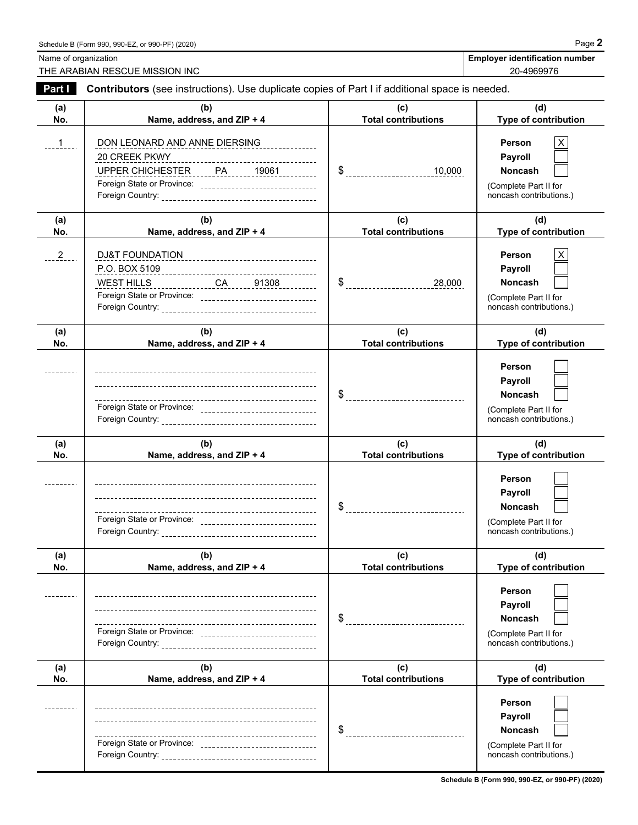Name of organization **Employer identification number** Name of organization **number** THE ARABIAN RESCUE MISSION INC 20-4969976

| Part I     | Contributors (see instructions). Use duplicate copies of Part I if additional space is needed.                                             |                                       |                                                                                                |  |  |
|------------|--------------------------------------------------------------------------------------------------------------------------------------------|---------------------------------------|------------------------------------------------------------------------------------------------|--|--|
| (a)<br>No. | (b)<br>Name, address, and ZIP + 4                                                                                                          | (c)<br><b>Total contributions</b>     | (d)<br>Type of contribution                                                                    |  |  |
| 1          | DON LEONARD AND ANNE DIERSING<br>20 CREEK PKWY<br>UPPER CHICHESTER PA 19061<br>Foreign State or Province: ________________________________ | $\$\$ 10,000                          | Person<br>X<br>Payroll<br><b>Noncash</b><br>(Complete Part II for<br>noncash contributions.)   |  |  |
| (a)<br>No. | (b)<br>Name, address, and ZIP + 4                                                                                                          | (c)<br><b>Total contributions</b>     | (d)<br>Type of contribution                                                                    |  |  |
| $^{2}$     | <u>WEST HILLS ______________CA_____91308 _________</u><br>Foreign State or Province: __________________________________                    | \$                                    | X<br>Person<br>Payroll<br><b>Noncash</b><br>(Complete Part II for<br>noncash contributions.)   |  |  |
| (a)<br>No. | (b)<br>Name, address, and ZIP + 4                                                                                                          | (c)<br><b>Total contributions</b>     | (d)<br>Type of contribution                                                                    |  |  |
|            | Foreign State or Province: ________________________________                                                                                | \$<br>------------------------------- | Person<br>Payroll<br>Noncash<br>(Complete Part II for<br>noncash contributions.)               |  |  |
| (a)<br>No. | (b)<br>Name, address, and ZIP + 4                                                                                                          | (c)<br><b>Total contributions</b>     | (d)<br>Type of contribution                                                                    |  |  |
|            | Foreign State or Province: ________________________________                                                                                |                                       | Person<br>Payroll<br><b>Noncash</b><br>(Complete Part II for<br>noncash contributions.)        |  |  |
| (a)<br>No. | (b)<br>Name, address, and ZIP + 4                                                                                                          | (c)<br><b>Total contributions</b>     | (d)<br>Type of contribution                                                                    |  |  |
|            | ---<br>Foreign State or Province: _______________________________                                                                          | \$                                    | Person<br><b>Payroll</b><br><b>Noncash</b><br>(Complete Part II for<br>noncash contributions.) |  |  |
| (a)<br>No. | (b)<br>Name, address, and ZIP + 4                                                                                                          | (c)<br><b>Total contributions</b>     | (d)<br>Type of contribution                                                                    |  |  |
|            | ----------------------------------<br>---<br>Foreign State or Province: _______________________________                                    |                                       | Person<br>Payroll<br><b>Noncash</b><br>(Complete Part II for<br>noncash contributions.)        |  |  |

**Schedule B (Form 990, 990-EZ, or 990-PF) (2020)**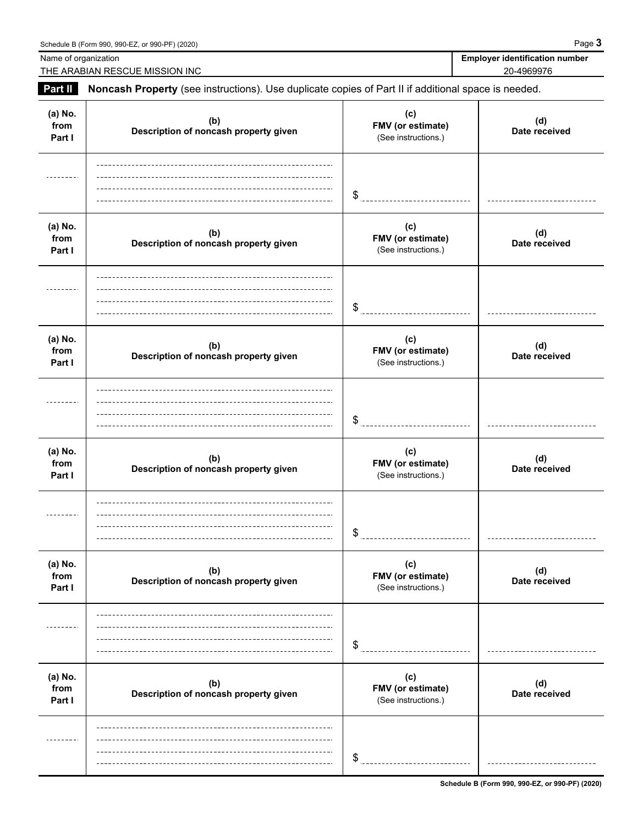THE ARABIAN RESCUE MISSION INC

**Name of organization** 

| <b>Employer identification number</b> |  |
|---------------------------------------|--|
| 20-4969976                            |  |

| Part II                   | Noncash Property (see instructions). Use duplicate copies of Part II if additional space is needed. |                                                 |                      |  |  |
|---------------------------|-----------------------------------------------------------------------------------------------------|-------------------------------------------------|----------------------|--|--|
| (a) No.<br>from<br>Part I | (b)<br>Description of noncash property given                                                        | (c)<br>FMV (or estimate)<br>(See instructions.) | (d)<br>Date received |  |  |
|                           |                                                                                                     | \$                                              |                      |  |  |
| (a) No.<br>from<br>Part I | (b)<br>Description of noncash property given                                                        | (c)<br>FMV (or estimate)<br>(See instructions.) | (d)<br>Date received |  |  |
|                           |                                                                                                     | \$                                              |                      |  |  |
| (a) No.<br>from<br>Part I | (b)<br>Description of noncash property given                                                        | (c)<br>FMV (or estimate)<br>(See instructions.) | (d)<br>Date received |  |  |
|                           |                                                                                                     | \$                                              |                      |  |  |
| (a) No.<br>from<br>Part I | (b)<br>Description of noncash property given                                                        | (c)<br>FMV (or estimate)<br>(See instructions.) | (d)<br>Date received |  |  |
|                           |                                                                                                     | \$                                              |                      |  |  |
| (a) No.<br>from<br>Part I | (b)<br>Description of noncash property given                                                        | (c)<br>FMV (or estimate)<br>(See instructions.) | (d)<br>Date received |  |  |
|                           |                                                                                                     | \$                                              |                      |  |  |
| (a) No.<br>from<br>Part I | (b)<br>Description of noncash property given                                                        | (c)<br>FMV (or estimate)<br>(See instructions.) | (d)<br>Date received |  |  |
|                           |                                                                                                     | \$                                              |                      |  |  |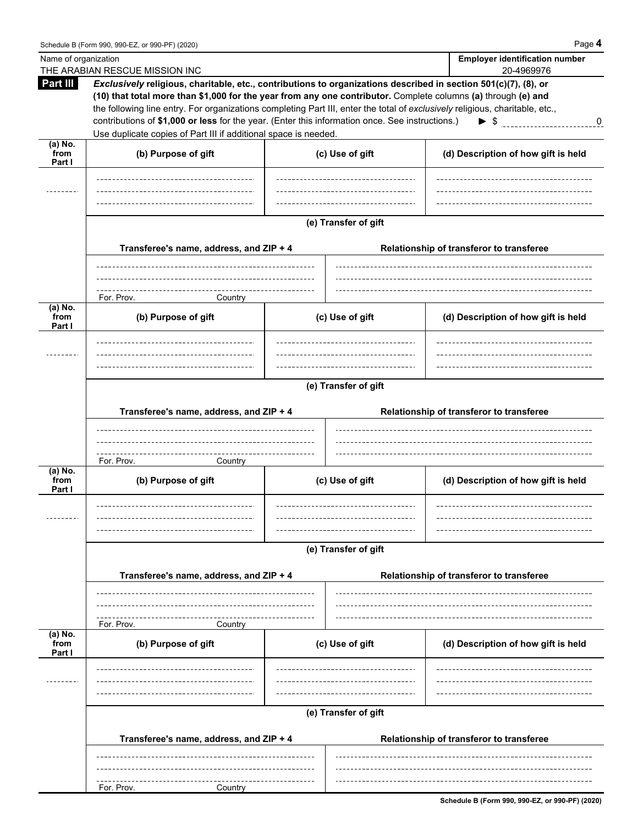| Name of organization         |                                                                                                                                                                                                                                  |                      | <b>Employer identification number</b>    |
|------------------------------|----------------------------------------------------------------------------------------------------------------------------------------------------------------------------------------------------------------------------------|----------------------|------------------------------------------|
|                              | THE ARABIAN RESCUE MISSION INC                                                                                                                                                                                                   |                      | 20-4969976                               |
| Part III                     | Exclusively religious, charitable, etc., contributions to organizations described in section 501(c)(7), (8), or<br>(10) that total more than \$1,000 for the year from any one contributor. Complete columns (a) through (e) and |                      |                                          |
|                              | the following line entry. For organizations completing Part III, enter the total of exclusively religious, charitable, etc.,                                                                                                     |                      |                                          |
|                              | contributions of \$1,000 or less for the year. (Enter this information once. See instructions.)                                                                                                                                  |                      | $\triangleright$ \$<br>$\mathbf 0$       |
|                              | Use duplicate copies of Part III if additional space is needed.                                                                                                                                                                  |                      |                                          |
| (a) $\overline{\text{No}}$ . |                                                                                                                                                                                                                                  |                      |                                          |
| from<br>Part I               | (b) Purpose of gift                                                                                                                                                                                                              | (c) Use of gift      | (d) Description of how gift is held      |
|                              |                                                                                                                                                                                                                                  |                      |                                          |
|                              |                                                                                                                                                                                                                                  |                      |                                          |
|                              |                                                                                                                                                                                                                                  |                      |                                          |
|                              |                                                                                                                                                                                                                                  |                      |                                          |
|                              |                                                                                                                                                                                                                                  | (e) Transfer of gift |                                          |
|                              | Transferee's name, address, and ZIP + 4                                                                                                                                                                                          |                      | Relationship of transferor to transferee |
|                              |                                                                                                                                                                                                                                  |                      |                                          |
|                              |                                                                                                                                                                                                                                  |                      |                                          |
|                              | -------------------------------                                                                                                                                                                                                  |                      |                                          |
| (a) No.                      | For. Prov.<br>Country                                                                                                                                                                                                            |                      |                                          |
| from                         | (b) Purpose of gift                                                                                                                                                                                                              | (c) Use of gift      | (d) Description of how gift is held      |
| Part I                       |                                                                                                                                                                                                                                  |                      |                                          |
|                              |                                                                                                                                                                                                                                  |                      |                                          |
|                              |                                                                                                                                                                                                                                  |                      |                                          |
|                              |                                                                                                                                                                                                                                  |                      |                                          |
|                              |                                                                                                                                                                                                                                  | (e) Transfer of gift |                                          |
|                              |                                                                                                                                                                                                                                  |                      |                                          |
|                              | Transferee's name, address, and ZIP + 4                                                                                                                                                                                          |                      | Relationship of transferor to transferee |
|                              |                                                                                                                                                                                                                                  |                      |                                          |
|                              |                                                                                                                                                                                                                                  |                      |                                          |
|                              | For. Prov.<br>Country                                                                                                                                                                                                            |                      |                                          |
| $(a)$ No.                    |                                                                                                                                                                                                                                  |                      |                                          |
| from<br>Part I               | (b) Purpose of gift                                                                                                                                                                                                              | (c) Use of gift      | (d) Description of how gift is held      |
|                              |                                                                                                                                                                                                                                  |                      |                                          |
|                              |                                                                                                                                                                                                                                  |                      |                                          |
|                              |                                                                                                                                                                                                                                  |                      |                                          |
|                              |                                                                                                                                                                                                                                  | (e) Transfer of gift |                                          |
|                              |                                                                                                                                                                                                                                  |                      |                                          |
|                              | Transferee's name, address, and ZIP + 4                                                                                                                                                                                          |                      | Relationship of transferor to transferee |
|                              |                                                                                                                                                                                                                                  |                      |                                          |
|                              |                                                                                                                                                                                                                                  |                      |                                          |
|                              |                                                                                                                                                                                                                                  |                      |                                          |
| (a) No.                      | For. Prov.<br>Country                                                                                                                                                                                                            |                      |                                          |
| from                         | (b) Purpose of gift                                                                                                                                                                                                              | (c) Use of gift      | (d) Description of how gift is held      |
| Part I                       |                                                                                                                                                                                                                                  |                      |                                          |
|                              |                                                                                                                                                                                                                                  |                      |                                          |
|                              |                                                                                                                                                                                                                                  |                      |                                          |
|                              |                                                                                                                                                                                                                                  |                      |                                          |
|                              |                                                                                                                                                                                                                                  | (e) Transfer of gift |                                          |
|                              |                                                                                                                                                                                                                                  |                      |                                          |
|                              | Transferee's name, address, and ZIP + 4                                                                                                                                                                                          |                      | Relationship of transferor to transferee |
|                              |                                                                                                                                                                                                                                  |                      |                                          |
|                              |                                                                                                                                                                                                                                  |                      |                                          |
|                              | For. Prov.<br>Country                                                                                                                                                                                                            |                      |                                          |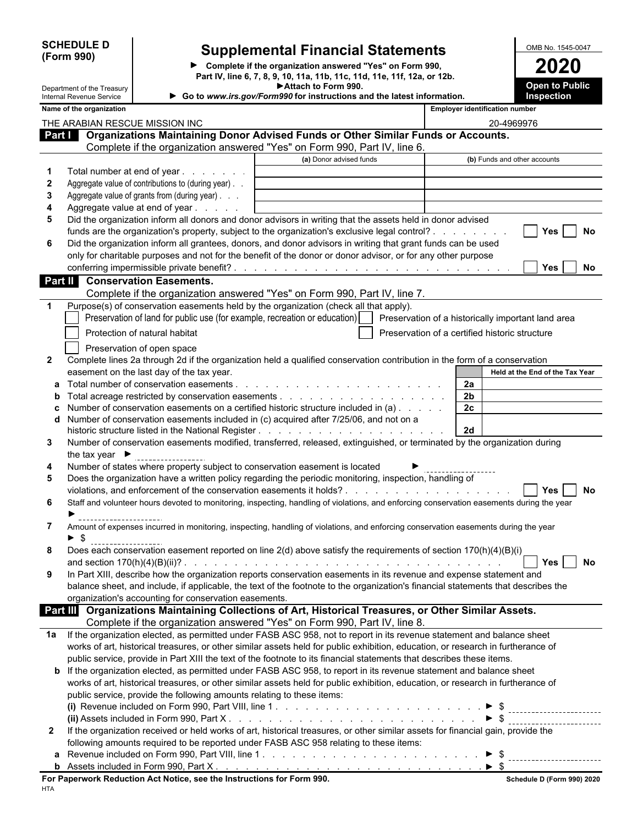**(Form 990)**

 $\overline{a}$ 

# **SCHEDULE D Supplemental Financial Statements DETA** OMB No. 1545-0047

**Complete if the organization answered "Yes" on Form 990, 2020 Part IV, line 6, 7, 8, 9, 10, 11a, 11b, 11c, 11d, 11e, 11f, 12a, or 12b. Attach to Form 990.**

| Department of the Treasury<br>Internal Revenue Service |                                                                                                                                                                                                                                                      | Attach to Form 990.<br>Go to www.irs.gov/Form990 for instructions and the latest information. |                | <b>Open to Public</b><br>Inspection            |     |
|--------------------------------------------------------|------------------------------------------------------------------------------------------------------------------------------------------------------------------------------------------------------------------------------------------------------|-----------------------------------------------------------------------------------------------|----------------|------------------------------------------------|-----|
| Name of the organization                               |                                                                                                                                                                                                                                                      |                                                                                               |                | <b>Employer identification number</b>          |     |
|                                                        | THE ARABIAN RESCUE MISSION INC                                                                                                                                                                                                                       |                                                                                               |                | 20-4969976                                     |     |
|                                                        | Part   Organizations Maintaining Donor Advised Funds or Other Similar Funds or Accounts.                                                                                                                                                             |                                                                                               |                |                                                |     |
|                                                        | Complete if the organization answered "Yes" on Form 990, Part IV, line 6.                                                                                                                                                                            |                                                                                               |                |                                                |     |
|                                                        |                                                                                                                                                                                                                                                      | (a) Donor advised funds                                                                       |                | (b) Funds and other accounts                   |     |
| 1                                                      | Total number at end of year                                                                                                                                                                                                                          |                                                                                               |                |                                                |     |
| $\mathbf{2}$                                           | Aggregate value of contributions to (during year).                                                                                                                                                                                                   |                                                                                               |                |                                                |     |
| 3                                                      | Aggregate value of grants from (during year)                                                                                                                                                                                                         |                                                                                               |                |                                                |     |
| 4                                                      | Aggregate value at end of year                                                                                                                                                                                                                       |                                                                                               |                |                                                |     |
| 5                                                      | Did the organization inform all donors and donor advisors in writing that the assets held in donor advised                                                                                                                                           |                                                                                               |                |                                                |     |
|                                                        | funds are the organization's property, subject to the organization's exclusive legal control?                                                                                                                                                        |                                                                                               |                | <b>Yes</b>                                     | No  |
| 6                                                      | Did the organization inform all grantees, donors, and donor advisors in writing that grant funds can be used<br>only for charitable purposes and not for the benefit of the donor or donor advisor, or for any other purpose                         |                                                                                               |                |                                                |     |
|                                                        |                                                                                                                                                                                                                                                      |                                                                                               |                | <b>Yes</b>                                     | No. |
| <b>Part II</b>                                         | <b>Conservation Easements.</b>                                                                                                                                                                                                                       |                                                                                               |                |                                                |     |
|                                                        | Complete if the organization answered "Yes" on Form 990, Part IV, line 7.                                                                                                                                                                            |                                                                                               |                |                                                |     |
|                                                        | Purpose(s) of conservation easements held by the organization (check all that apply).                                                                                                                                                                |                                                                                               |                |                                                |     |
|                                                        | Preservation of land for public use (for example, recreation or education)     Preservation of a historically important land area                                                                                                                    |                                                                                               |                |                                                |     |
|                                                        | Protection of natural habitat                                                                                                                                                                                                                        |                                                                                               |                | Preservation of a certified historic structure |     |
|                                                        |                                                                                                                                                                                                                                                      |                                                                                               |                |                                                |     |
|                                                        | Preservation of open space<br>Complete lines 2a through 2d if the organization held a qualified conservation contribution in the form of a conservation                                                                                              |                                                                                               |                |                                                |     |
| $\mathbf{2}$                                           | easement on the last day of the tax year.                                                                                                                                                                                                            |                                                                                               |                | Held at the End of the Tax Year                |     |
|                                                        | Total number of conservation easements.                                                                                                                                                                                                              | and a straightful and a straightful and a straight                                            | 2a             |                                                |     |
|                                                        |                                                                                                                                                                                                                                                      |                                                                                               | 2 <sub>b</sub> |                                                |     |
|                                                        | Number of conservation easements on a certified historic structure included in (a)                                                                                                                                                                   |                                                                                               | 2c             |                                                |     |
|                                                        | Number of conservation easements included in (c) acquired after 7/25/06, and not on a                                                                                                                                                                |                                                                                               |                |                                                |     |
|                                                        |                                                                                                                                                                                                                                                      |                                                                                               | 2d             |                                                |     |
| 3                                                      | Number of conservation easements modified, transferred, released, extinguished, or terminated by the organization during                                                                                                                             |                                                                                               |                |                                                |     |
| the tax year $\blacktriangleright$                     |                                                                                                                                                                                                                                                      |                                                                                               |                |                                                |     |
| 4                                                      | Number of states where property subject to conservation easement is located                                                                                                                                                                          |                                                                                               |                |                                                |     |
| 5                                                      | Does the organization have a written policy regarding the periodic monitoring, inspection, handling of                                                                                                                                               |                                                                                               |                |                                                |     |
| 6                                                      |                                                                                                                                                                                                                                                      |                                                                                               |                | Yes                                            | No  |
|                                                        | Staff and volunteer hours devoted to monitoring, inspecting, handling of violations, and enforcing conservation easements during the year                                                                                                            |                                                                                               |                |                                                |     |
| 7                                                      | Amount of expenses incurred in monitoring, inspecting, handling of violations, and enforcing conservation easements during the year                                                                                                                  |                                                                                               |                |                                                |     |
| \$                                                     |                                                                                                                                                                                                                                                      |                                                                                               |                |                                                |     |
|                                                        | -------------------<br>Does each conservation easement reported on line 2(d) above satisfy the requirements of section 170(h)(4)(B)(i)                                                                                                               |                                                                                               |                |                                                |     |
|                                                        | and section $170(h)(4)(B)(ii)?$ .                                                                                                                                                                                                                    |                                                                                               |                | Yes                                            | No  |
| 9                                                      | In Part XIII, describe how the organization reports conservation easements in its revenue and expense statement and                                                                                                                                  |                                                                                               |                |                                                |     |
|                                                        | balance sheet, and include, if applicable, the text of the footnote to the organization's financial statements that describes the                                                                                                                    |                                                                                               |                |                                                |     |
|                                                        | organization's accounting for conservation easements.                                                                                                                                                                                                |                                                                                               |                |                                                |     |
|                                                        | Part III Organizations Maintaining Collections of Art, Historical Treasures, or Other Similar Assets.                                                                                                                                                |                                                                                               |                |                                                |     |
|                                                        | Complete if the organization answered "Yes" on Form 990, Part IV, line 8.                                                                                                                                                                            |                                                                                               |                |                                                |     |
| 1a                                                     | If the organization elected, as permitted under FASB ASC 958, not to report in its revenue statement and balance sheet                                                                                                                               |                                                                                               |                |                                                |     |
|                                                        | works of art, historical treasures, or other similar assets held for public exhibition, education, or research in furtherance of                                                                                                                     |                                                                                               |                |                                                |     |
|                                                        | public service, provide in Part XIII the text of the footnote to its financial statements that describes these items.<br><b>b</b> If the organization elected, as permitted under FASB ASC 958, to report in its revenue statement and balance sheet |                                                                                               |                |                                                |     |
|                                                        | works of art, historical treasures, or other similar assets held for public exhibition, education, or research in furtherance of                                                                                                                     |                                                                                               |                |                                                |     |
|                                                        | public service, provide the following amounts relating to these items:                                                                                                                                                                               |                                                                                               |                |                                                |     |
|                                                        |                                                                                                                                                                                                                                                      |                                                                                               |                |                                                |     |
|                                                        |                                                                                                                                                                                                                                                      |                                                                                               |                | $\triangleright$ s                             |     |
| $\mathbf{2}$                                           | If the organization received or held works of art, historical treasures, or other similar assets for financial gain, provide the                                                                                                                     |                                                                                               |                |                                                |     |
|                                                        | following amounts required to be reported under FASB ASC 958 relating to these items:                                                                                                                                                                |                                                                                               |                |                                                |     |
| a                                                      |                                                                                                                                                                                                                                                      |                                                                                               |                |                                                |     |
|                                                        |                                                                                                                                                                                                                                                      |                                                                                               |                |                                                |     |

HTA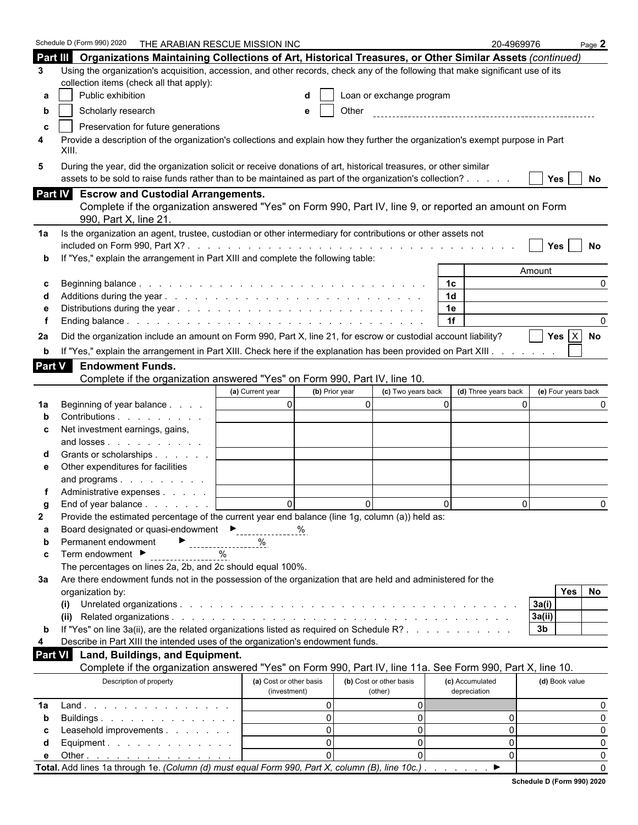|               | Schedule D (Form 990) 2020<br>THE ARABIAN RESCUE MISSION INC                                                                            |                                         |                                    | 20-4969976                      | Page $2$             |
|---------------|-----------------------------------------------------------------------------------------------------------------------------------------|-----------------------------------------|------------------------------------|---------------------------------|----------------------|
|               | Part III Organizations Maintaining Collections of Art, Historical Treasures, or Other Similar Assets (continued)                        |                                         |                                    |                                 |                      |
| 3             | Using the organization's acquisition, accession, and other records, check any of the following that make significant use of its         |                                         |                                    |                                 |                      |
|               | collection items (check all that apply):                                                                                                |                                         |                                    |                                 |                      |
| а             | Public exhibition                                                                                                                       |                                         | Loan or exchange program           |                                 |                      |
| b             | Scholarly research                                                                                                                      | e                                       | Other                              |                                 |                      |
| c             | Preservation for future generations                                                                                                     |                                         |                                    |                                 |                      |
| 4             | Provide a description of the organization's collections and explain how they further the organization's exempt purpose in Part<br>XIII. |                                         |                                    |                                 |                      |
| 5             | During the year, did the organization solicit or receive donations of art, historical treasures, or other similar                       |                                         |                                    |                                 |                      |
|               | assets to be sold to raise funds rather than to be maintained as part of the organization's collection?                                 |                                         |                                    |                                 | Yes  <br>No          |
|               | Part IV Escrow and Custodial Arrangements.                                                                                              |                                         |                                    |                                 |                      |
|               | Complete if the organization answered "Yes" on Form 990, Part IV, line 9, or reported an amount on Form                                 |                                         |                                    |                                 |                      |
|               | 990, Part X, line 21.                                                                                                                   |                                         |                                    |                                 |                      |
| 1a            | Is the organization an agent, trustee, custodian or other intermediary for contributions or other assets not                            |                                         |                                    |                                 |                      |
|               |                                                                                                                                         |                                         |                                    |                                 | Yes<br>No            |
|               | If "Yes," explain the arrangement in Part XIII and complete the following table:                                                        |                                         |                                    |                                 |                      |
|               |                                                                                                                                         |                                         |                                    |                                 | Amount               |
| С             |                                                                                                                                         |                                         |                                    | 1 <sup>c</sup>                  | $\Omega$             |
|               |                                                                                                                                         |                                         |                                    | 1 <sub>d</sub>                  |                      |
|               |                                                                                                                                         |                                         |                                    | 1e                              |                      |
|               |                                                                                                                                         |                                         |                                    | 1f                              |                      |
| 2a            | Did the organization include an amount on Form 990, Part X, line 21, for escrow or custodial account liability?                         |                                         |                                    |                                 | Yes $X$ No           |
| b             | If "Yes," explain the arrangement in Part XIII. Check here if the explanation has been provided on Part XIII.                           |                                         |                                    |                                 |                      |
| <b>Part V</b> | <b>Endowment Funds.</b>                                                                                                                 |                                         |                                    |                                 |                      |
|               | Complete if the organization answered "Yes" on Form 990, Part IV, line 10.                                                              |                                         |                                    |                                 |                      |
|               |                                                                                                                                         | (a) Current year<br>(b) Prior year      | (c) Two years back                 | (d) Three years back            | (e) Four years back  |
| 1a            | Beginning of year balance                                                                                                               | $\overline{0}$                          | $\overline{0}$                     | $\Omega$                        | $\Omega$             |
|               | Contributions                                                                                                                           |                                         |                                    |                                 |                      |
| С             | Net investment earnings, gains,                                                                                                         |                                         |                                    |                                 |                      |
|               | and losses                                                                                                                              |                                         |                                    |                                 |                      |
|               | Grants or scholarships                                                                                                                  |                                         |                                    |                                 |                      |
| е             | Other expenditures for facilities                                                                                                       |                                         |                                    |                                 |                      |
|               | and programs                                                                                                                            |                                         |                                    |                                 |                      |
|               | Administrative expenses                                                                                                                 |                                         |                                    |                                 |                      |
|               | End of year balance                                                                                                                     | $\Omega$                                | $\Omega$                           | $\Omega$                        | $\Omega$<br>$\Omega$ |
| 2             | Provide the estimated percentage of the current year end balance (line 1g, column (a)) held as:                                         |                                         |                                    |                                 |                      |
| а             | Board designated or quasi-endowment<br>---------------                                                                                  | %                                       |                                    |                                 |                      |
| b             | Permanent endowment<br>------------------                                                                                               | %                                       |                                    |                                 |                      |
| c             | Term endowment ▶                                                                                                                        |                                         |                                    |                                 |                      |
|               | The percentages on lines 2a, 2b, and 2c should equal 100%.                                                                              |                                         |                                    |                                 |                      |
| За            | Are there endowment funds not in the possession of the organization that are held and administered for the                              |                                         |                                    |                                 |                      |
|               | organization by:                                                                                                                        |                                         |                                    |                                 | No<br><b>Yes</b>     |
|               | (i)                                                                                                                                     |                                         |                                    |                                 | 3a(i)                |
|               |                                                                                                                                         |                                         |                                    |                                 | 3a(ii)               |
| b             | If "Yes" on line 3a(ii), are the related organizations listed as required on Schedule R?                                                |                                         |                                    |                                 | 3 <sub>b</sub>       |
| 4             | Describe in Part XIII the intended uses of the organization's endowment funds.                                                          |                                         |                                    |                                 |                      |
| Part VI       | Land, Buildings, and Equipment.                                                                                                         |                                         |                                    |                                 |                      |
|               | Complete if the organization answered "Yes" on Form 990, Part IV, line 11a. See Form 990, Part X, line 10.                              |                                         |                                    |                                 |                      |
|               | Description of property                                                                                                                 | (a) Cost or other basis<br>(investment) | (b) Cost or other basis<br>(other) | (c) Accumulated<br>depreciation | (d) Book value       |
| 1a            |                                                                                                                                         | $\Omega$                                | 0                                  |                                 | 0                    |
| b             | Buildings                                                                                                                               | $\Omega$                                | $\overline{0}$                     | 0                               | $\Omega$             |
| С             | Leasehold improvements                                                                                                                  | $\Omega$                                | $\overline{0}$                     | 0                               | 0                    |
| d             | Equipment.                                                                                                                              | $\Omega$                                | $\overline{0}$                     | 0                               | 0                    |
| е             | Other $\ldots$ $\ldots$ $\ldots$ $\ldots$ $\ldots$ $\ldots$                                                                             | $\Omega$                                | $\Omega$                           | 0                               | 0                    |
|               | Total. Add lines 1a through 1e. (Column (d) must equal Form 990, Part X, column (B), line 10c.).                                        |                                         |                                    | $\blacktriangleright$           | $\Omega$             |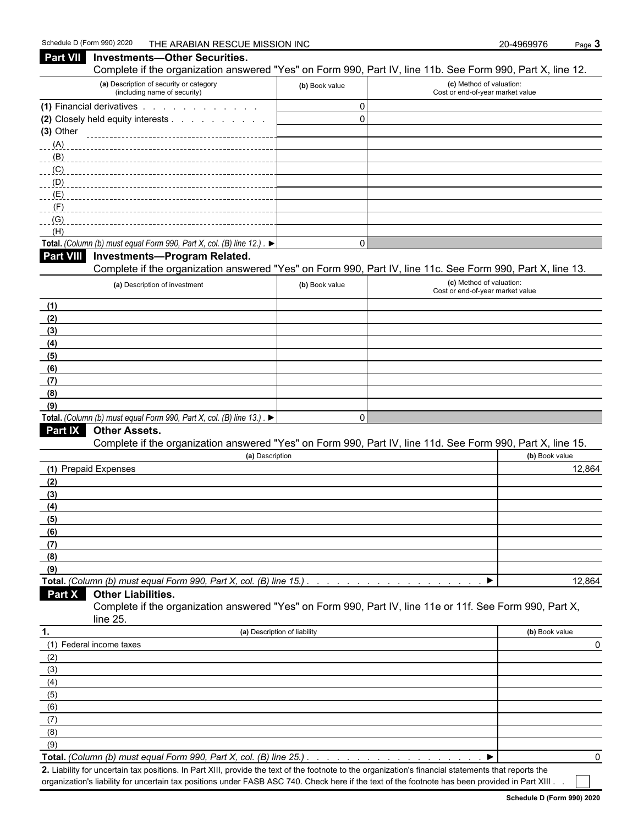#### **Part VII** Investments—Other Securities. Complete if the organization answered "Yes" on Form 990, Part IV, line 11b. See Form 990, Part X, line 12. **(a)** Description of security or category (including name of security) **(b)** Book value **(c)** Method of valuation: Cost or end-of-year market value **(1)** Financial derivatives . . . . . . . . . . . . . . . . . 0 **(2)** Closely held equity interests . . . . . . . . . . . . . . . . . . . . . . . . . . . . . . . . . . . . . . . . . . . . . . . . . . . . . . 0 **(3)** Other (A) (B) \_\_\_\_\_\_\_\_\_  $(C)$ (D) (E) (F) (G) (H) **Total.** *(Column (b) must equal Form 990, Part X, col.* (B) line  $12.$ ) .  $\blacktriangleright$ **Part VIII Investments—Program Related.**  Complete if the organization answered "Yes" on Form 990, Part IV, line 11c. See Form 990, Part X, line 13. **(a)** Description of investment **(b)** Book value **(c)** Method of valuation: Cost or end-of-year market value **(1) (2) (3) (4) (5) (6) (7) (8) (9) Total.** *(Column (b) must equal Form 990, Part X, col. (B) line 13.)*  $\blacktriangleright$ **Part IX Other Assets.** Complete if the organization answered "Yes" on Form 990, Part IV, line 11d. See Form 990, Part X, line 15. **(a)** Description **(b)** Book value **(1)** Prepaid Expenses 12,864 **(2) (3) (4) (5) (6) (7) (8) (9) Total.** *(Column (b) must equal Form 990, Part X, col. (B) line 15.) . . . . . . . . . . . . . . . . . . . . . . . . . . . . . . . . . . . . . . . . . . . .* 12,864 **Part X Other Liabilities.** Complete if the organization answered "Yes" on Form 990, Part IV, line 11e or 11f. See Form 990, Part X, line 25. **1. (a)** Description of liability **(b)** Book value (1) Federal income taxes 0 (2) (3) (4) (5) (6) (7) (8) (9)

**Total.** *(Column (b) must equal Form 990, Part X, col. (B) line 25.) . . . . . . . . . . . . . . . . . . . . . . . . . . . . . . . . . . . . . . . . . . . . .* 0

**2.** Liability for uncertain tax positions. In Part XIII, provide the text of the footnote to the organization's financial statements that reports the organization's liability for uncertain tax positions under FASB ASC 740. Check here if the text of the footnote has been provided in Part XIII.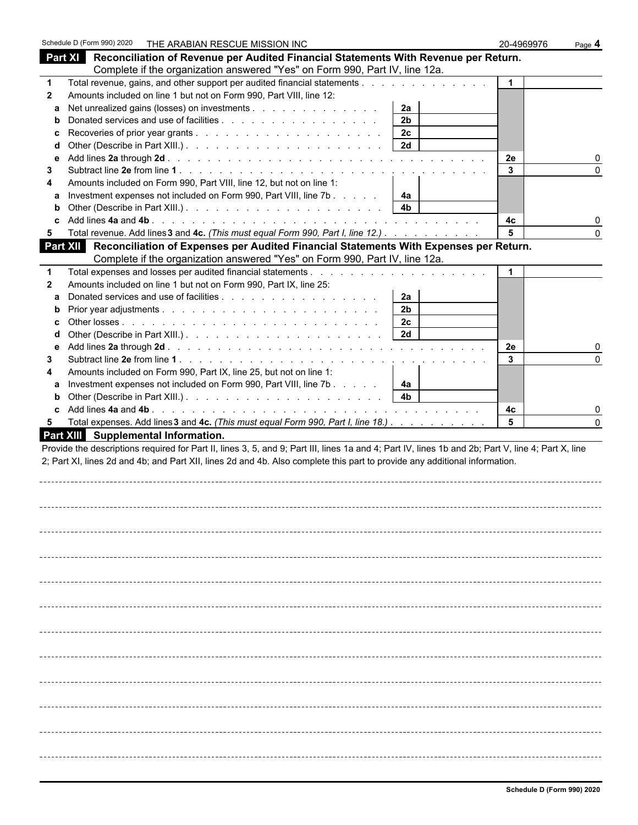|              | Schedule D (Form 990) 2020<br>THE ARABIAN RESCUE MISSION INC                                                                                       |                      | 20-4969976  | Page 4       |
|--------------|----------------------------------------------------------------------------------------------------------------------------------------------------|----------------------|-------------|--------------|
|              | Part XI Reconciliation of Revenue per Audited Financial Statements With Revenue per Return.                                                        |                      |             |              |
|              | Complete if the organization answered "Yes" on Form 990, Part IV, line 12a.                                                                        |                      |             |              |
|              | Total revenue, gains, and other support per audited financial statements                                                                           |                      | $\mathbf 1$ |              |
| $\mathbf{2}$ | Amounts included on line 1 but not on Form 990, Part VIII, line 12:                                                                                |                      |             |              |
| a            | Net unrealized gains (losses) on investments                                                                                                       | 2a                   |             |              |
| b            |                                                                                                                                                    | 2 <sub>b</sub>       |             |              |
|              |                                                                                                                                                    | 2c                   |             |              |
| d            |                                                                                                                                                    | 2d                   |             |              |
| е            |                                                                                                                                                    |                      | 2e          |              |
| 3            |                                                                                                                                                    |                      | 3           | <sup>0</sup> |
| 4            | Amounts included on Form 990, Part VIII, line 12, but not on line 1:                                                                               |                      |             |              |
|              | Investment expenses not included on Form 990, Part VIII, line 7b                                                                                   | 4a                   |             |              |
| b            |                                                                                                                                                    | 4 <sub>b</sub>       |             |              |
|              |                                                                                                                                                    |                      | 4c          |              |
| 5            | Total revenue. Add lines 3 and 4c. (This must equal Form 990, Part I, line 12.)                                                                    |                      | 5           | $\Omega$     |
|              | Part XII Reconciliation of Expenses per Audited Financial Statements With Expenses per Return.                                                     |                      |             |              |
|              | Complete if the organization answered "Yes" on Form 990, Part IV, line 12a.                                                                        |                      |             |              |
|              |                                                                                                                                                    |                      | $\mathbf 1$ |              |
| $\mathbf{2}$ | Amounts included on line 1 but not on Form 990, Part IX, line 25:                                                                                  |                      |             |              |
|              |                                                                                                                                                    | 2a<br>2 <sub>b</sub> |             |              |
|              |                                                                                                                                                    | 2c                   |             |              |
|              |                                                                                                                                                    | 2d                   |             |              |
| е            |                                                                                                                                                    |                      | 2e          |              |
| 3            |                                                                                                                                                    |                      | 3           |              |
|              | Amounts included on Form 990, Part IX, line 25, but not on line 1:                                                                                 |                      |             |              |
|              | Investment expenses not included on Form 990, Part VIII, line 7b                                                                                   | 4a                   |             |              |
| b            |                                                                                                                                                    | 4 <sub>b</sub>       |             |              |
|              |                                                                                                                                                    |                      | 4с          |              |
| 5            | Total expenses. Add lines 3 and 4c. (This must equal Form 990, Part I, line 18.)                                                                   |                      | 5           |              |
|              | <b>Part XIII</b> Supplemental Information.                                                                                                         |                      |             |              |
|              | Provide the descriptions required for Part II, lines 3, 5, and 9; Part III, lines 1a and 4; Part IV, lines 1b and 2b; Part V, line 4; Part X, line |                      |             |              |
|              | 2; Part XI, lines 2d and 4b; and Part XII, lines 2d and 4b. Also complete this part to provide any additional information.                         |                      |             |              |
|              |                                                                                                                                                    |                      |             |              |
|              |                                                                                                                                                    |                      |             |              |
|              |                                                                                                                                                    |                      |             |              |
|              |                                                                                                                                                    |                      |             |              |
|              |                                                                                                                                                    |                      |             |              |
|              |                                                                                                                                                    |                      |             |              |
|              |                                                                                                                                                    |                      |             |              |
|              |                                                                                                                                                    |                      |             |              |
|              |                                                                                                                                                    |                      |             |              |
|              |                                                                                                                                                    |                      |             |              |
|              |                                                                                                                                                    |                      |             |              |
|              |                                                                                                                                                    |                      |             |              |
|              |                                                                                                                                                    |                      |             |              |
|              |                                                                                                                                                    |                      |             |              |
|              |                                                                                                                                                    |                      |             |              |
|              |                                                                                                                                                    |                      |             |              |
|              |                                                                                                                                                    |                      |             |              |
|              |                                                                                                                                                    |                      |             |              |
|              |                                                                                                                                                    |                      |             |              |
|              |                                                                                                                                                    |                      |             |              |
|              |                                                                                                                                                    |                      |             |              |
|              |                                                                                                                                                    |                      |             |              |
|              |                                                                                                                                                    |                      |             |              |
|              |                                                                                                                                                    |                      |             |              |
|              |                                                                                                                                                    |                      |             |              |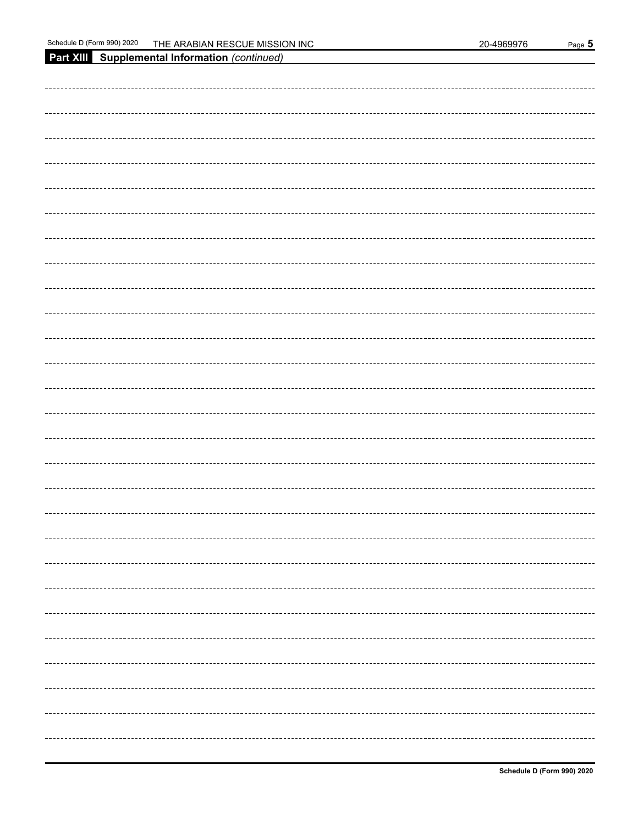| Part XIII Supplemental Information (continued) |
|------------------------------------------------|
|                                                |
|                                                |
|                                                |
|                                                |
|                                                |
|                                                |
|                                                |
|                                                |
|                                                |
|                                                |
|                                                |
|                                                |
|                                                |
|                                                |
|                                                |
|                                                |
|                                                |
|                                                |
|                                                |
|                                                |
|                                                |
|                                                |
|                                                |
|                                                |
|                                                |
|                                                |
|                                                |
|                                                |
|                                                |
|                                                |
|                                                |
|                                                |
|                                                |
|                                                |
|                                                |
|                                                |
|                                                |
|                                                |
|                                                |
|                                                |
|                                                |
|                                                |
|                                                |
|                                                |
|                                                |
|                                                |
|                                                |
|                                                |
|                                                |
|                                                |
|                                                |
|                                                |
|                                                |
|                                                |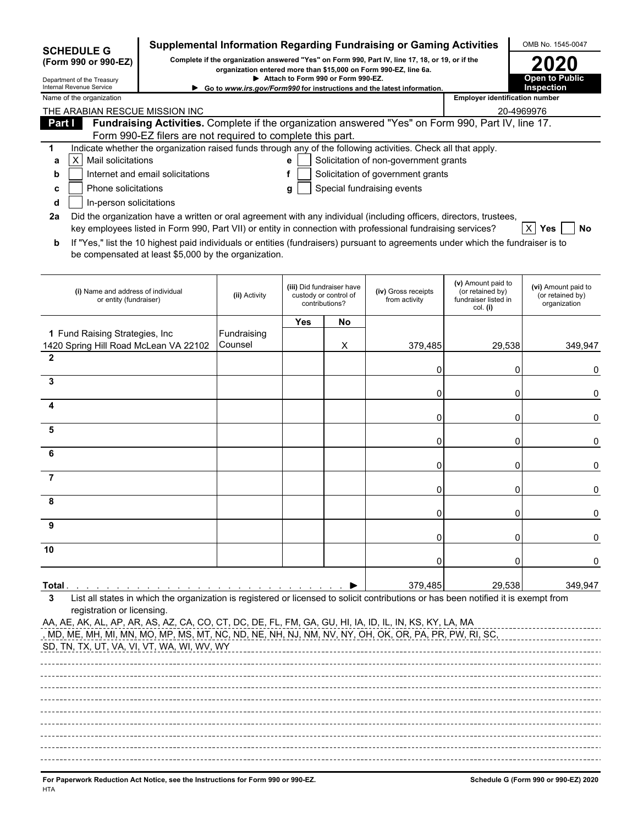| <b>SCHEDULE G</b><br>(Form 990 or 990-EZ)                                                                                                                                                                                                                                                               |                                                            |               |            |                                                                      | Supplemental Information Regarding Fundraising or Gaming Activities<br>Complete if the organization answered "Yes" on Form 990, Part IV, line 17, 18, or 19, or if the<br>organization entered more than \$15,000 on Form 990-EZ, line 6a.      |                                                                            | OMB No. 1545-0047                                       |
|---------------------------------------------------------------------------------------------------------------------------------------------------------------------------------------------------------------------------------------------------------------------------------------------------------|------------------------------------------------------------|---------------|------------|----------------------------------------------------------------------|-------------------------------------------------------------------------------------------------------------------------------------------------------------------------------------------------------------------------------------------------|----------------------------------------------------------------------------|---------------------------------------------------------|
| Department of the Treasury                                                                                                                                                                                                                                                                              |                                                            |               |            | Attach to Form 990 or Form 990-EZ.                                   |                                                                                                                                                                                                                                                 |                                                                            | <b>Open to Public</b>                                   |
| Internal Revenue Service<br>Name of the organization                                                                                                                                                                                                                                                    |                                                            |               |            |                                                                      | Go to www.irs.gov/Form990 for instructions and the latest information.                                                                                                                                                                          | <b>Employer identification number</b>                                      | <b>Inspection</b>                                       |
| THE ARABIAN RESCUE MISSION INC<br>20-4969976                                                                                                                                                                                                                                                            |                                                            |               |            |                                                                      |                                                                                                                                                                                                                                                 |                                                                            |                                                         |
| Part I                                                                                                                                                                                                                                                                                                  |                                                            |               |            |                                                                      | Fundraising Activities. Complete if the organization answered "Yes" on Form 990, Part IV, line 17.                                                                                                                                              |                                                                            |                                                         |
|                                                                                                                                                                                                                                                                                                         | Form 990-EZ filers are not required to complete this part. |               |            |                                                                      |                                                                                                                                                                                                                                                 |                                                                            |                                                         |
| 1                                                                                                                                                                                                                                                                                                       |                                                            |               |            |                                                                      | Indicate whether the organization raised funds through any of the following activities. Check all that apply.                                                                                                                                   |                                                                            |                                                         |
| Mail solicitations<br>$\vert$ X<br>а                                                                                                                                                                                                                                                                    |                                                            |               | е          |                                                                      | Solicitation of non-government grants                                                                                                                                                                                                           |                                                                            |                                                         |
| b                                                                                                                                                                                                                                                                                                       | Internet and email solicitations                           |               | f          |                                                                      | Solicitation of government grants                                                                                                                                                                                                               |                                                                            |                                                         |
| Phone solicitations<br>c                                                                                                                                                                                                                                                                                |                                                            |               | g          |                                                                      | Special fundraising events                                                                                                                                                                                                                      |                                                                            |                                                         |
| In-person solicitations<br>d                                                                                                                                                                                                                                                                            |                                                            |               |            |                                                                      |                                                                                                                                                                                                                                                 |                                                                            |                                                         |
| 2a                                                                                                                                                                                                                                                                                                      |                                                            |               |            |                                                                      | Did the organization have a written or oral agreement with any individual (including officers, directors, trustees,                                                                                                                             |                                                                            |                                                         |
| b                                                                                                                                                                                                                                                                                                       | be compensated at least \$5,000 by the organization.       |               |            |                                                                      | key employees listed in Form 990, Part VII) or entity in connection with professional fundraising services?<br>If "Yes," list the 10 highest paid individuals or entities (fundraisers) pursuant to agreements under which the fundraiser is to |                                                                            | $ X $ Yes<br>No                                         |
| (i) Name and address of individual<br>or entity (fundraiser)                                                                                                                                                                                                                                            |                                                            | (ii) Activity |            | (iii) Did fundraiser have<br>custody or control of<br>contributions? | (iv) Gross receipts<br>from activity                                                                                                                                                                                                            | (v) Amount paid to<br>(or retained by)<br>fundraiser listed in<br>col. (i) | (vi) Amount paid to<br>(or retained by)<br>organization |
|                                                                                                                                                                                                                                                                                                         |                                                            |               | <b>Yes</b> | No                                                                   |                                                                                                                                                                                                                                                 |                                                                            |                                                         |
| 1 Fund Raising Strategies, Inc.                                                                                                                                                                                                                                                                         |                                                            | Fundraising   |            |                                                                      |                                                                                                                                                                                                                                                 |                                                                            |                                                         |
| 1420 Spring Hill Road McLean VA 22102                                                                                                                                                                                                                                                                   |                                                            | Counsel       |            | X                                                                    | 379,485                                                                                                                                                                                                                                         | 29,538                                                                     | 349,947                                                 |
| $\mathbf{2}$                                                                                                                                                                                                                                                                                            |                                                            |               |            |                                                                      | 0                                                                                                                                                                                                                                               | 0                                                                          | 0                                                       |
| 3                                                                                                                                                                                                                                                                                                       |                                                            |               |            |                                                                      | 0                                                                                                                                                                                                                                               | 0                                                                          | 0                                                       |
| 4                                                                                                                                                                                                                                                                                                       |                                                            |               |            |                                                                      |                                                                                                                                                                                                                                                 | 0                                                                          |                                                         |
| 5                                                                                                                                                                                                                                                                                                       |                                                            |               |            |                                                                      | 0                                                                                                                                                                                                                                               |                                                                            | 0                                                       |
| 6                                                                                                                                                                                                                                                                                                       |                                                            |               |            |                                                                      | 0                                                                                                                                                                                                                                               | 0                                                                          | 0                                                       |
| 7                                                                                                                                                                                                                                                                                                       |                                                            |               |            |                                                                      | 0                                                                                                                                                                                                                                               | 0                                                                          | 0                                                       |
|                                                                                                                                                                                                                                                                                                         |                                                            |               |            |                                                                      | 0                                                                                                                                                                                                                                               | 0                                                                          | 0                                                       |
|                                                                                                                                                                                                                                                                                                         |                                                            |               |            |                                                                      | 0                                                                                                                                                                                                                                               | 0                                                                          | 0                                                       |
| 9                                                                                                                                                                                                                                                                                                       |                                                            |               |            |                                                                      | 0                                                                                                                                                                                                                                               | Ω                                                                          | 0                                                       |
| 10                                                                                                                                                                                                                                                                                                      |                                                            |               |            |                                                                      | 0                                                                                                                                                                                                                                               | Ω                                                                          | 0                                                       |
| Total .                                                                                                                                                                                                                                                                                                 |                                                            |               |            |                                                                      | 379,485                                                                                                                                                                                                                                         | 29,538                                                                     | 349,947                                                 |
| 3<br>registration or licensing.<br>AA, AE, AK, AL, AP, AR, AS, AZ, CA, CO, CT, DC, DE, FL, FM, GA, GU, HI, IA, ID, IL, IN, KS, KY, LA, MA<br><u>, MD, ME, MH, MI, MN, MO, MP, MS, MT, NC, ND, NE, NH, NJ, NM, NV, NY, OH, OK, OR, PA,</u> PR, PW, RI, SC,<br>SD, TN, TX, UT, VA, VI, VT, WA, WI, WV, WY |                                                            |               |            |                                                                      | List all states in which the organization is registered or licensed to solicit contributions or has been notified it is exempt from                                                                                                             |                                                                            |                                                         |
| For Paperwork Reduction Act Notice, see the Instructions for Form 990 or 990-EZ.                                                                                                                                                                                                                        |                                                            |               |            |                                                                      |                                                                                                                                                                                                                                                 |                                                                            | Schedule G (Form 990 or 990-EZ) 2020                    |

HTA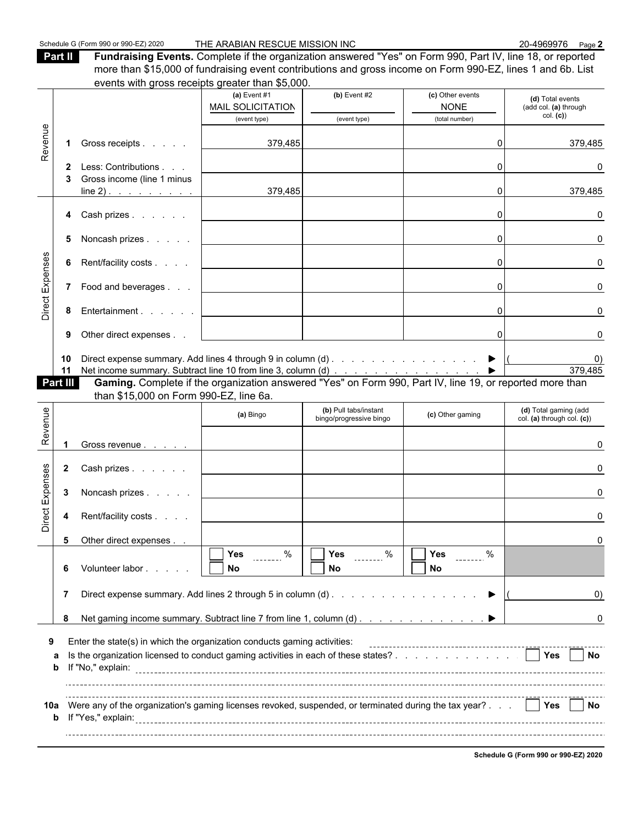**Part II Fundraising Events.** Complete if the organization answered "Yes" on Form 990, Part IV, line 18, or reported more than \$15,000 of fundraising event contributions and gross income on Form 990-EZ, lines 1 and 6b. List events with gross receipts greater than \$5,000.

|                 |                      |                                                                                                                                                                                                                                                                                                      | events with gross receipts greater than \$0,000. |                                                  |                                 |                                                     |
|-----------------|----------------------|------------------------------------------------------------------------------------------------------------------------------------------------------------------------------------------------------------------------------------------------------------------------------------------------------|--------------------------------------------------|--------------------------------------------------|---------------------------------|-----------------------------------------------------|
|                 |                      |                                                                                                                                                                                                                                                                                                      | (a) Event $#1$<br><b>MAIL SOLICITATION</b>       | (b) Event $#2$                                   | (c) Other events<br><b>NONE</b> | (d) Total events<br>(add col. (a) through           |
|                 |                      |                                                                                                                                                                                                                                                                                                      | (event type)                                     | (event type)                                     | (total number)                  | col. (c)                                            |
| Revenue         | 1                    | Gross receipts                                                                                                                                                                                                                                                                                       | 379,485                                          |                                                  | $\Omega$                        | 379,485                                             |
|                 | $\mathbf{2}$         | Less: Contributions                                                                                                                                                                                                                                                                                  |                                                  |                                                  | $\Omega$                        | O                                                   |
|                 |                      | Gross income (line 1 minus<br>$line 2)$ .                                                                                                                                                                                                                                                            | 379,485                                          |                                                  | $\Omega$                        | 379,485                                             |
|                 |                      | 4 Cash prizes                                                                                                                                                                                                                                                                                        |                                                  |                                                  | $\Omega$                        | O                                                   |
|                 | 5                    | Noncash prizes                                                                                                                                                                                                                                                                                       |                                                  |                                                  | $\Omega$                        |                                                     |
|                 | 6                    | Rent/facility costs                                                                                                                                                                                                                                                                                  |                                                  |                                                  | $\Omega$                        | n                                                   |
| Direct Expenses |                      | 7 Food and beverages                                                                                                                                                                                                                                                                                 |                                                  |                                                  | 0                               |                                                     |
|                 | 8                    | Entertainment                                                                                                                                                                                                                                                                                        |                                                  |                                                  | $\Omega$                        |                                                     |
|                 | 9                    | Other direct expenses                                                                                                                                                                                                                                                                                |                                                  |                                                  | $\Omega$                        |                                                     |
|                 | 10<br>11<br>Part III | Direct expense summary. Add lines 4 through 9 in column (d) ▶<br>Net income summary. Subtract line 10 from line 3, column (d) ▶   379,4<br><b>Gaming.</b> Complete if the organization answered "Yes" on Form 990, Part IV, line 19, or reported more than<br>than \$15,000 on Form 990-EZ, line 6a. |                                                  |                                                  |                                 | $\mathbf{0}$<br>379,485                             |
| Revenue         |                      |                                                                                                                                                                                                                                                                                                      | (a) Bingo                                        | (b) Pull tabs/instant<br>bingo/progressive bingo | (c) Other gaming                | (d) Total gaming (add<br>col. (a) through col. (c)) |
|                 |                      | Gross revenue                                                                                                                                                                                                                                                                                        |                                                  |                                                  |                                 |                                                     |
|                 | $\mathbf{2}$         | Cash prizes                                                                                                                                                                                                                                                                                          |                                                  |                                                  |                                 |                                                     |
|                 | 3                    | Noncash prizes                                                                                                                                                                                                                                                                                       |                                                  |                                                  |                                 |                                                     |
| Direct Expenses | 4                    | Rent/facility costs                                                                                                                                                                                                                                                                                  |                                                  |                                                  |                                 |                                                     |
|                 | 5                    | Other direct expenses                                                                                                                                                                                                                                                                                |                                                  | ĒĒ.                                              | $\overline{\phantom{a}}$        |                                                     |
|                 | 6                    | Volunteer labor                                                                                                                                                                                                                                                                                      | $\sqrt{1 + \gamma_{\text{es}}}$ %<br>No          | %<br>Yes<br>No                                   | Yes<br>No                       |                                                     |
|                 | 7                    |                                                                                                                                                                                                                                                                                                      |                                                  |                                                  |                                 | $\left( 0\right)$                                   |
|                 | 8                    | Net gaming income summary. Subtract line 7 from line 1, column (d)                                                                                                                                                                                                                                   |                                                  |                                                  |                                 | 0                                                   |
| 9               |                      | Enter the state(s) in which the organization conducts gaming activities:                                                                                                                                                                                                                             |                                                  |                                                  |                                 |                                                     |
| а               | b                    | Is the organization licensed to conduct gaming activities in each of these states?                                                                                                                                                                                                                   |                                                  |                                                  |                                 | <b>The Yes</b><br>l INo                             |
| 10a             |                      | Were any of the organization's gaming licenses revoked, suspended, or terminated during the tax year? $\therefore$     Yes     No                                                                                                                                                                    |                                                  |                                                  |                                 |                                                     |

**Schedule G (Form 990 or 990-EZ) 2020**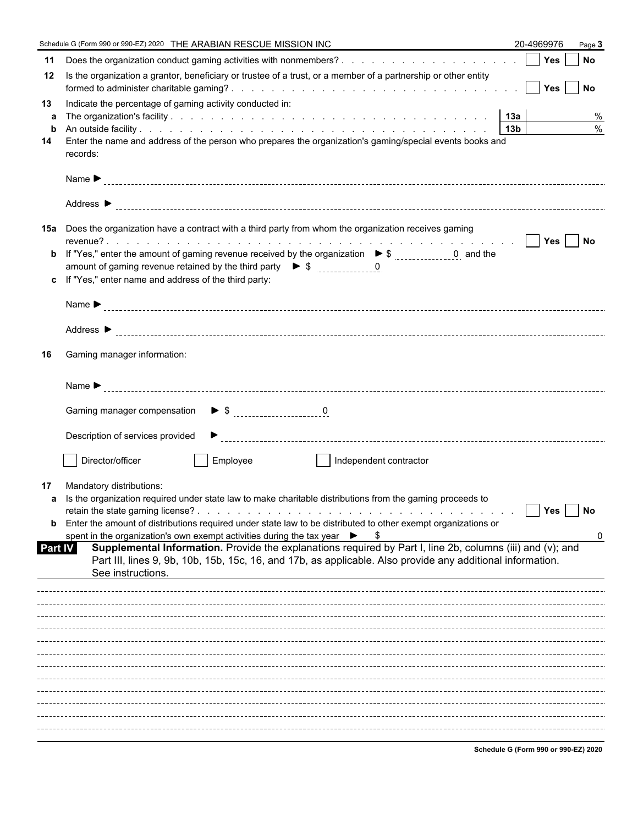|         | Schedule G (Form 990 or 990-EZ) 2020 THE ARABIAN RESCUE MISSION INC                                                                                                                                                       | 20-4969976                           | Page 3    |
|---------|---------------------------------------------------------------------------------------------------------------------------------------------------------------------------------------------------------------------------|--------------------------------------|-----------|
| 11      |                                                                                                                                                                                                                           |                                      |           |
| 12      | Is the organization a grantor, beneficiary or trustee of a trust, or a member of a partnership or other entity                                                                                                            |                                      |           |
| 13      | Indicate the percentage of gaming activity conducted in:                                                                                                                                                                  |                                      |           |
| a       |                                                                                                                                                                                                                           |                                      | %<br>$\%$ |
| b<br>14 | Enter the name and address of the person who prepares the organization's gaming/special events books and                                                                                                                  |                                      |           |
|         | records:                                                                                                                                                                                                                  |                                      |           |
|         |                                                                                                                                                                                                                           |                                      |           |
|         |                                                                                                                                                                                                                           |                                      |           |
|         | 15a Does the organization have a contract with a third party from whom the organization receives gaming                                                                                                                   |                                      |           |
|         |                                                                                                                                                                                                                           |                                      |           |
| b       | If "Yes," enter the amount of gaming revenue received by the organization $\triangleright$ \$ _______________0 and the<br>amount of gaming revenue retained by the third party $\bullet$ \$ $\frac{1}{2}$ = $\frac{0}{2}$ |                                      |           |
| c.      | If "Yes," enter name and address of the third party:                                                                                                                                                                      |                                      |           |
|         |                                                                                                                                                                                                                           |                                      |           |
|         |                                                                                                                                                                                                                           |                                      |           |
|         |                                                                                                                                                                                                                           |                                      |           |
| 16      | Gaming manager information:                                                                                                                                                                                               |                                      |           |
|         |                                                                                                                                                                                                                           |                                      |           |
|         |                                                                                                                                                                                                                           |                                      |           |
|         | Description of services provided                                                                                                                                                                                          |                                      |           |
|         |                                                                                                                                                                                                                           |                                      |           |
|         | Director/officer<br>Employee<br>Independent contractor                                                                                                                                                                    |                                      |           |
| 17      | Mandatory distributions:                                                                                                                                                                                                  |                                      |           |
|         | a Is the organization required under state law to make charitable distributions from the gaming proceeds to                                                                                                               |                                      |           |
| b       | Enter the amount of distributions required under state law to be distributed to other exempt organizations or                                                                                                             | Yes                                  | No        |
|         | spent in the organization's own exempt activities during the tax year $\triangleright$ \$                                                                                                                                 |                                      | 0         |
| Part IV | Supplemental Information. Provide the explanations required by Part I, line 2b, columns (iii) and (v); and<br>Part III, lines 9, 9b, 10b, 15b, 15c, 16, and 17b, as applicable. Also provide any additional information.  |                                      |           |
|         | See instructions.                                                                                                                                                                                                         |                                      |           |
|         |                                                                                                                                                                                                                           |                                      |           |
|         |                                                                                                                                                                                                                           |                                      |           |
|         |                                                                                                                                                                                                                           |                                      |           |
|         |                                                                                                                                                                                                                           |                                      |           |
|         |                                                                                                                                                                                                                           |                                      |           |
|         |                                                                                                                                                                                                                           |                                      |           |
|         |                                                                                                                                                                                                                           |                                      |           |
|         |                                                                                                                                                                                                                           |                                      |           |
|         |                                                                                                                                                                                                                           |                                      |           |
|         |                                                                                                                                                                                                                           |                                      |           |
|         |                                                                                                                                                                                                                           | Schodule C (Form 000 or 000 EZ) 2020 |           |

**Schedule G (Form 990 or 990-EZ) 2020**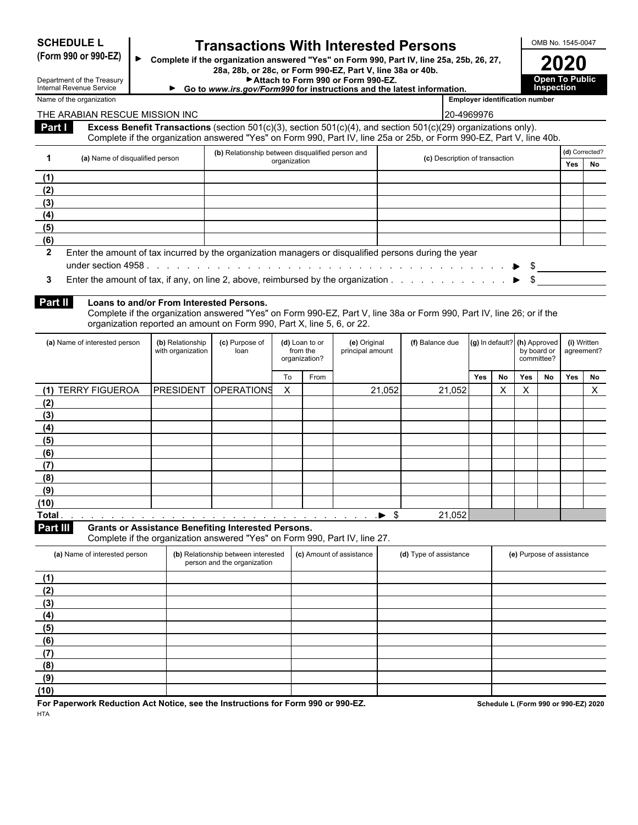# **SCHEDULE L Transactions With Interested Persons**<br>(Form 990 or 990-EZ) **►** Complete if the organization answered "Yes" on Form 990, Part IV, line 25a, 25b, 26, 27

**(Form 990 or 990-EZ) 2020 Complete if the organization answered "Yes" on Form 990, Part IV, line 25a, 25b, 26, 27, 28a, 28b, or 28c, or Form 990-EZ, Part V, line 38a or 40b.**

| Attach to Form 990 or Form 990-EZ.                                 | <b>Open To Public</b> |
|--------------------------------------------------------------------|-----------------------|
| ia unuu ira say/Farm000 farisatrustiana and tha lataat information | Inenaction            |

**Go to** *www.irs.gov/Form990* **for instructions and the latest information. Employer identification number** 

| 2020                                 |
|--------------------------------------|
| <b>Open To Public<br/>Inspection</b> |

| Department of the Treasury<br>Internal Revenue Service |
|--------------------------------------------------------|
| Name of the organization                               |

#### THE ARABIAN RESCUE MISSION INC 20-4969976 **Part I Excess Benefit Transactions** (section 501(c)(3), section 501(c)(4), and section 501(c)(29) organizations only). Complete if the organization answered "Yes" on Form 990, Part IV, line 25a or 25b, or Form 990-EZ, Part V, line 40b. **1 (a)** Name of disqualified person **(b) (b) Consumer transference** transaction organization **(b)** Relationship between disqualified person and **(d)** Corrected? **c**) Description of transaction<br> **Yes No (1) (2) (3) (4) (5)**

### **2** Enter the amount of tax incurred by the organization managers or disqualified persons during the year under section 4958 . . . . . . . . . . . . . . . . . . . . . . . . . . . . . . . . . . . . . . . . . . . . . . . . . . . . . . . . . \$

**3** Enter the amount of tax, if any, on line 2, above, reimbursed by the organization . . . . . . . . . . . . . . . . . . . . . . . . . . . . . . . . . . . . . . . . . \$

#### **Part II Loans to and/or From Interested Persons.**

Complete if the organization answered "Yes" on Form 990-EZ, Part V, line 38a or Form 990, Part IV, line 26; or if the organization reported an amount on Form 990, Part X, line 5, 6, or 22.

| (a) Name of interested person                                                                                                                                                                                                                  | (b) Relationship<br>with organization | (c) Purpose of<br>(d) Loan to or<br>from the<br>loan<br>organization? |    |      | (e) Original<br>principal amount | (f) Balance due | (g) In default? (h) Approved |           | by board or<br>committee? |    | (i) Written<br>agreement? |    |
|------------------------------------------------------------------------------------------------------------------------------------------------------------------------------------------------------------------------------------------------|---------------------------------------|-----------------------------------------------------------------------|----|------|----------------------------------|-----------------|------------------------------|-----------|---------------------------|----|---------------------------|----|
|                                                                                                                                                                                                                                                |                                       |                                                                       | To | From |                                  |                 | <b>Yes</b>                   | <b>No</b> | <b>Yes</b>                | No | Yes                       | No |
| <b>TERRY FIGUEROA</b><br>(1)                                                                                                                                                                                                                   | PRESIDENT                             | <b>OPERATIONS</b>                                                     | X  |      | 21,052                           | 21,052          |                              | X         | ⋏                         |    |                           | X  |
| (2)                                                                                                                                                                                                                                            |                                       |                                                                       |    |      |                                  |                 |                              |           |                           |    |                           |    |
| (3)                                                                                                                                                                                                                                            |                                       |                                                                       |    |      |                                  |                 |                              |           |                           |    |                           |    |
| (4)                                                                                                                                                                                                                                            |                                       |                                                                       |    |      |                                  |                 |                              |           |                           |    |                           |    |
| (5)                                                                                                                                                                                                                                            |                                       |                                                                       |    |      |                                  |                 |                              |           |                           |    |                           |    |
| (6)                                                                                                                                                                                                                                            |                                       |                                                                       |    |      |                                  |                 |                              |           |                           |    |                           |    |
| (7)                                                                                                                                                                                                                                            |                                       |                                                                       |    |      |                                  |                 |                              |           |                           |    |                           |    |
| (8)                                                                                                                                                                                                                                            |                                       |                                                                       |    |      |                                  |                 |                              |           |                           |    |                           |    |
| (9)                                                                                                                                                                                                                                            |                                       |                                                                       |    |      |                                  |                 |                              |           |                           |    |                           |    |
| (10)                                                                                                                                                                                                                                           |                                       |                                                                       |    |      |                                  |                 |                              |           |                           |    |                           |    |
| Total<br>$\blacklozenge$ . The contract of the contract of the contract of the contract of the contract of the contract of the contract of the contract of the contract of the contract of the contract of the contract of the contract of the |                                       |                                                                       |    |      | - \$                             | 21,052          |                              |           |                           |    |                           |    |

**Part III Grants or Assistance Benefiting Interested Persons.**

Complete if the organization answered "Yes" on Form 990, Part IV, line 27.

| (a) Name of interested person | (b) Relationship between interested<br>person and the organization | (c) Amount of assistance | (d) Type of assistance | (e) Purpose of assistance |
|-------------------------------|--------------------------------------------------------------------|--------------------------|------------------------|---------------------------|
| (1)                           |                                                                    |                          |                        |                           |
| (2)                           |                                                                    |                          |                        |                           |
| (3)                           |                                                                    |                          |                        |                           |
| (4)                           |                                                                    |                          |                        |                           |
| (5)                           |                                                                    |                          |                        |                           |
| (6)                           |                                                                    |                          |                        |                           |
| (7)                           |                                                                    |                          |                        |                           |
| (8)                           |                                                                    |                          |                        |                           |
| (9)                           |                                                                    |                          |                        |                           |
| (10)                          |                                                                    |                          |                        |                           |

For Paperwork Reduction Act Notice, see the Instructions for Form 990 or 990-EZ. Schedule L (Form 990 or 990-EZ) 2020 **HTA**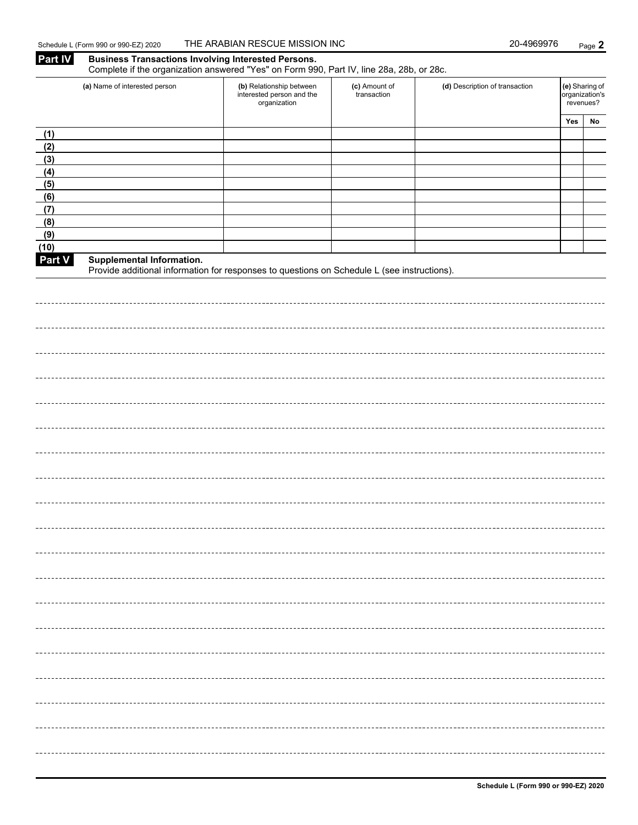**Part IV Business Transactions Involving Interested Persons.** 

|            | Complete if the organization answered "Yes" on Form 990, Part IV, line 28a, 28b, or 28c.    |                                                                       |                              |                                |                                               |    |
|------------|---------------------------------------------------------------------------------------------|-----------------------------------------------------------------------|------------------------------|--------------------------------|-----------------------------------------------|----|
|            | (a) Name of interested person                                                               | (b) Relationship between<br>interested person and the<br>organization | (c) Amount of<br>transaction | (d) Description of transaction | (e) Sharing of<br>organization's<br>revenues? |    |
|            |                                                                                             |                                                                       |                              |                                | Yes                                           | No |
| (1)        |                                                                                             |                                                                       |                              |                                |                                               |    |
| (2)        |                                                                                             |                                                                       |                              |                                |                                               |    |
| (3)        |                                                                                             |                                                                       |                              |                                |                                               |    |
| (4)        |                                                                                             |                                                                       |                              |                                |                                               |    |
| (5)        |                                                                                             |                                                                       |                              |                                |                                               |    |
| (6)<br>(7) |                                                                                             |                                                                       |                              |                                |                                               |    |
| (8)        |                                                                                             |                                                                       |                              |                                |                                               |    |
| (9)        |                                                                                             |                                                                       |                              |                                |                                               |    |
| (10)       |                                                                                             |                                                                       |                              |                                |                                               |    |
| Part V     | Supplemental Information.                                                                   |                                                                       |                              |                                |                                               |    |
|            | Provide additional information for responses to questions on Schedule L (see instructions). |                                                                       |                              |                                |                                               |    |
|            |                                                                                             |                                                                       |                              |                                |                                               |    |
|            |                                                                                             |                                                                       |                              |                                |                                               |    |
|            |                                                                                             |                                                                       |                              |                                |                                               |    |
|            |                                                                                             |                                                                       |                              |                                |                                               |    |
|            |                                                                                             |                                                                       |                              |                                |                                               |    |
|            |                                                                                             |                                                                       |                              |                                |                                               |    |
|            |                                                                                             |                                                                       |                              |                                |                                               |    |
|            |                                                                                             |                                                                       |                              |                                |                                               |    |
|            |                                                                                             |                                                                       |                              |                                |                                               |    |
|            |                                                                                             |                                                                       |                              |                                |                                               |    |
|            |                                                                                             |                                                                       |                              |                                |                                               |    |
|            |                                                                                             |                                                                       |                              |                                |                                               |    |
|            |                                                                                             |                                                                       |                              |                                |                                               |    |
|            |                                                                                             |                                                                       |                              |                                |                                               |    |
|            |                                                                                             |                                                                       |                              |                                |                                               |    |
|            |                                                                                             |                                                                       |                              |                                |                                               |    |
|            |                                                                                             |                                                                       |                              |                                |                                               |    |
|            |                                                                                             |                                                                       |                              |                                |                                               |    |
|            |                                                                                             |                                                                       |                              |                                |                                               |    |
|            |                                                                                             |                                                                       |                              |                                |                                               |    |
|            |                                                                                             |                                                                       |                              |                                |                                               |    |
|            |                                                                                             |                                                                       |                              |                                |                                               |    |
|            |                                                                                             |                                                                       |                              |                                |                                               |    |
|            |                                                                                             |                                                                       |                              |                                |                                               |    |
|            |                                                                                             |                                                                       |                              |                                |                                               |    |
|            |                                                                                             |                                                                       |                              |                                |                                               |    |
|            |                                                                                             |                                                                       |                              |                                |                                               |    |
|            |                                                                                             |                                                                       |                              |                                |                                               |    |
|            |                                                                                             |                                                                       |                              |                                |                                               |    |
|            |                                                                                             |                                                                       |                              |                                |                                               |    |
|            |                                                                                             |                                                                       |                              |                                |                                               |    |
|            |                                                                                             |                                                                       |                              |                                |                                               |    |
|            |                                                                                             |                                                                       |                              |                                |                                               |    |
|            |                                                                                             |                                                                       |                              |                                |                                               |    |
|            |                                                                                             |                                                                       |                              |                                |                                               |    |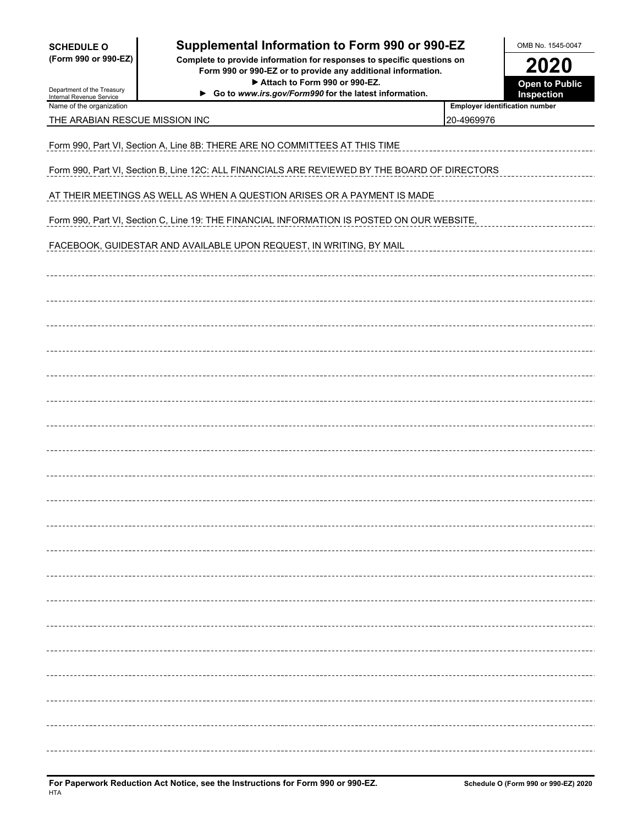| <b>SCHEDULE O</b> |  |                      |
|-------------------|--|----------------------|
|                   |  | (Form 990 or 990-EZ) |

### **Supplemental Information to Form 990 or 990-EZ** NB No. 1545-0047

**(Form 990 or 990-EZ) Complete to provide information for responses to specific questions on Form 990 or 990-EZ or to provide any additional information. 2020** ▶ Attach to Form 990 or 990-EZ. **Depart of Public** Open to Public

**Go to** *www.irs.gov/Form990* **for the latest information. Inspection**

| Department of the Treasury<br>Internal Revenue Service | ► Go to www.irs.gov/Form990 for the latest information. |  |
|--------------------------------------------------------|---------------------------------------------------------|--|
| Name of the organization                               |                                                         |  |

| Employer identification number |  |
|--------------------------------|--|
|                                |  |

| THE ARABIAN RESCUE MISSION INC                                                                | 20-4969976       |  |  |  |  |
|-----------------------------------------------------------------------------------------------|------------------|--|--|--|--|
| Form 990, Part VI, Section A, Line 8B: THERE ARE NO COMMITTEES AT THIS TIME                   |                  |  |  |  |  |
| Form 990, Part VI, Section B, Line 12C: ALL FINANCIALS ARE REVIEWED BY THE BOARD OF DIRECTORS |                  |  |  |  |  |
| AT THEIR MEETINGS AS WELL AS WHEN A QUESTION ARISES OR A PAYMENT IS MADE                      |                  |  |  |  |  |
| Form 990, Part VI, Section C, Line 19: THE FINANCIAL INFORMATION IS POSTED ON OUR WEBSITE,    |                  |  |  |  |  |
| FACEBOOK, GUIDESTAR AND AVAILABLE UPON REQUEST, IN WRITING, BY MAIL                           |                  |  |  |  |  |
|                                                                                               |                  |  |  |  |  |
|                                                                                               |                  |  |  |  |  |
|                                                                                               |                  |  |  |  |  |
|                                                                                               |                  |  |  |  |  |
|                                                                                               |                  |  |  |  |  |
|                                                                                               |                  |  |  |  |  |
|                                                                                               |                  |  |  |  |  |
|                                                                                               |                  |  |  |  |  |
|                                                                                               |                  |  |  |  |  |
|                                                                                               |                  |  |  |  |  |
|                                                                                               |                  |  |  |  |  |
|                                                                                               |                  |  |  |  |  |
|                                                                                               |                  |  |  |  |  |
|                                                                                               |                  |  |  |  |  |
|                                                                                               | ---------------- |  |  |  |  |
|                                                                                               |                  |  |  |  |  |
|                                                                                               |                  |  |  |  |  |
|                                                                                               |                  |  |  |  |  |
|                                                                                               |                  |  |  |  |  |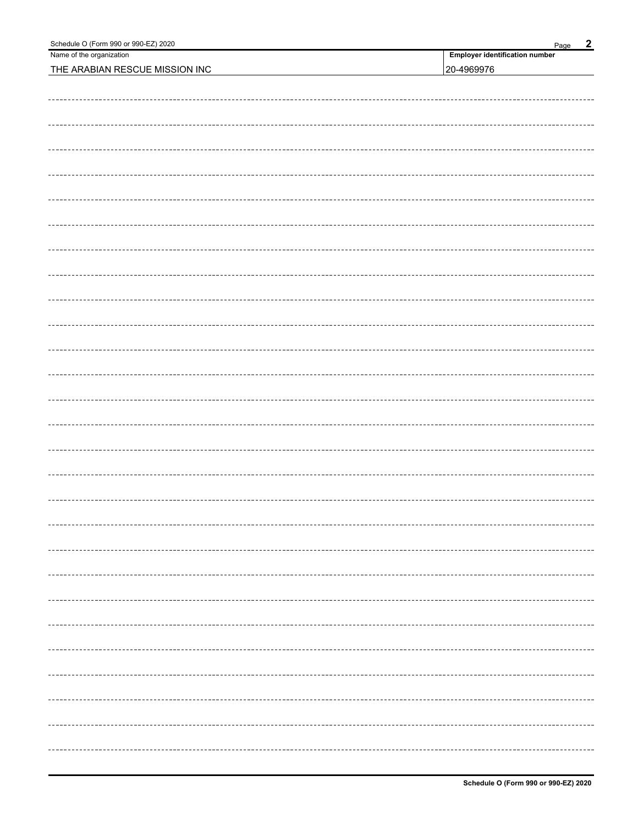| Schedule O (Form 990 or 990-EZ) 2020 | $\overline{2}$<br>Page                |
|--------------------------------------|---------------------------------------|
| Name of the organization             | <b>Employer identification number</b> |
| THE ARABIAN RESCUE MISSION INC       | 20-4969976                            |
|                                      |                                       |
|                                      |                                       |
|                                      |                                       |
|                                      |                                       |
|                                      |                                       |
|                                      |                                       |
|                                      |                                       |
|                                      |                                       |
|                                      |                                       |
|                                      |                                       |
|                                      |                                       |
|                                      |                                       |
|                                      |                                       |
|                                      |                                       |
|                                      |                                       |
|                                      |                                       |
|                                      |                                       |
|                                      |                                       |
|                                      |                                       |
|                                      |                                       |
|                                      |                                       |
|                                      |                                       |
|                                      |                                       |
|                                      |                                       |
|                                      |                                       |
|                                      |                                       |
|                                      |                                       |
|                                      |                                       |
|                                      |                                       |
|                                      |                                       |
|                                      |                                       |
|                                      |                                       |
|                                      |                                       |
|                                      |                                       |
|                                      |                                       |
|                                      |                                       |
|                                      |                                       |
|                                      |                                       |
|                                      |                                       |
|                                      |                                       |
|                                      |                                       |
|                                      |                                       |
|                                      |                                       |
|                                      |                                       |
|                                      |                                       |
|                                      |                                       |
|                                      |                                       |
|                                      |                                       |
|                                      |                                       |
|                                      |                                       |
|                                      |                                       |
|                                      |                                       |
|                                      |                                       |
|                                      |                                       |